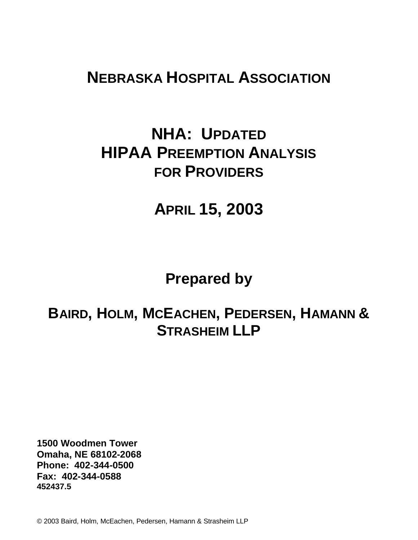# **NEBRASKA HOSPITAL ASSOCIATION**

# **NHA: UPDATED HIPAA PREEMPTION ANALYSIS FOR PROVIDERS**

# **APRIL 15, 2003**

# **Prepared by**

# **BAIRD, HOLM, MCEACHEN, PEDERSEN, HAMANN & STRASHEIM LLP**

**1500 Woodmen Tower Omaha, NE 68102-2068 Phone: 402-344-0500 Fax: 402-344-0588 452437.5**

© 2003 Baird, Holm, McEachen, Pedersen, Hamann & Strasheim LLP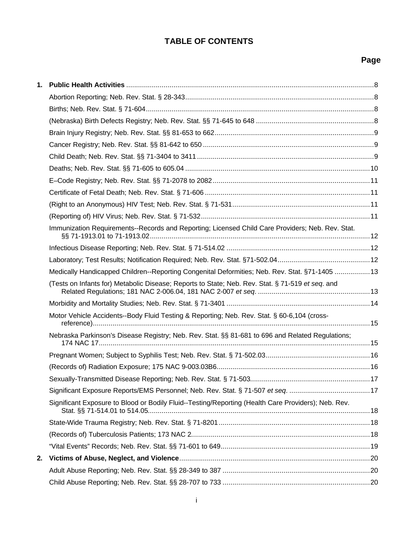# **TABLE OF CONTENTS**

| 1. |                                                                                                     |  |
|----|-----------------------------------------------------------------------------------------------------|--|
|    |                                                                                                     |  |
|    |                                                                                                     |  |
|    |                                                                                                     |  |
|    |                                                                                                     |  |
|    |                                                                                                     |  |
|    |                                                                                                     |  |
|    |                                                                                                     |  |
|    |                                                                                                     |  |
|    |                                                                                                     |  |
|    |                                                                                                     |  |
|    |                                                                                                     |  |
|    | Immunization Requirements--Records and Reporting; Licensed Child Care Providers; Neb. Rev. Stat.    |  |
|    |                                                                                                     |  |
|    |                                                                                                     |  |
|    | Medically Handicapped Children--Reporting Congenital Deformities; Neb. Rev. Stat. §71-1405 13       |  |
|    | (Tests on Infants for) Metabolic Disease; Reports to State; Neb. Rev. Stat. § 71-519 et seq. and    |  |
|    |                                                                                                     |  |
|    | Motor Vehicle Accidents--Body Fluid Testing & Reporting; Neb. Rev. Stat. § 60-6,104 (cross-         |  |
|    | Nebraska Parkinson's Disease Registry; Neb. Rev. Stat. §§ 81-681 to 696 and Related Regulations;    |  |
|    |                                                                                                     |  |
|    |                                                                                                     |  |
|    |                                                                                                     |  |
|    |                                                                                                     |  |
|    | Significant Exposure to Blood or Bodily Fluid--Testing/Reporting (Health Care Providers); Neb. Rev. |  |
|    |                                                                                                     |  |
|    |                                                                                                     |  |
|    |                                                                                                     |  |
| 2. |                                                                                                     |  |
|    |                                                                                                     |  |
|    |                                                                                                     |  |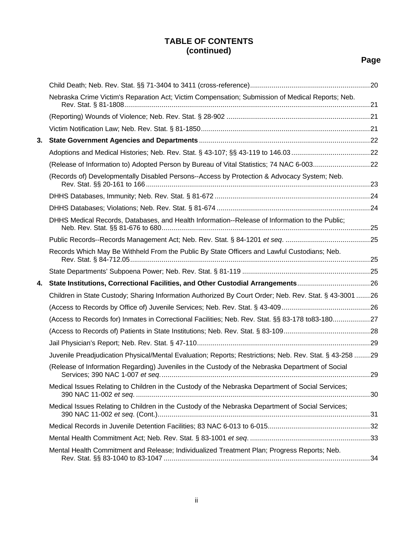|    | Nebraska Crime Victim's Reparation Act; Victim Compensation; Submission of Medical Reports; Neb.        |  |
|----|---------------------------------------------------------------------------------------------------------|--|
|    |                                                                                                         |  |
|    |                                                                                                         |  |
| 3. |                                                                                                         |  |
|    |                                                                                                         |  |
|    | (Release of Information to) Adopted Person by Bureau of Vital Statistics; 74 NAC 6-00322                |  |
|    | (Records of) Developmentally Disabled Persons--Access by Protection & Advocacy System; Neb.             |  |
|    |                                                                                                         |  |
|    |                                                                                                         |  |
|    | DHHS Medical Records, Databases, and Health Information--Release of Information to the Public;          |  |
|    |                                                                                                         |  |
|    | Records Which May Be Withheld From the Public By State Officers and Lawful Custodians; Neb.             |  |
|    |                                                                                                         |  |
| 4. | State Institutions, Correctional Facilities, and Other Custodial Arrangements26                         |  |
|    | Children in State Custody; Sharing Information Authorized By Court Order; Neb. Rev. Stat. § 43-3001 26  |  |
|    |                                                                                                         |  |
|    | (Access to Records for) Inmates in Correctional Facilities; Neb. Rev. Stat. §§ 83-178 to83-18027        |  |
|    |                                                                                                         |  |
|    |                                                                                                         |  |
|    | Juvenile Preadjudication Physical/Mental Evaluation; Reports; Restrictions; Neb. Rev. Stat. § 43-258 29 |  |
|    | (Release of Information Regarding) Juveniles in the Custody of the Nebraska Department of Social        |  |
|    | Medical Issues Relating to Children in the Custody of the Nebraska Department of Social Services;       |  |
|    | Medical Issues Relating to Children in the Custody of the Nebraska Department of Social Services;       |  |
|    |                                                                                                         |  |
|    |                                                                                                         |  |
|    | Mental Health Commitment and Release; Individualized Treatment Plan; Progress Reports; Neb.             |  |
|    |                                                                                                         |  |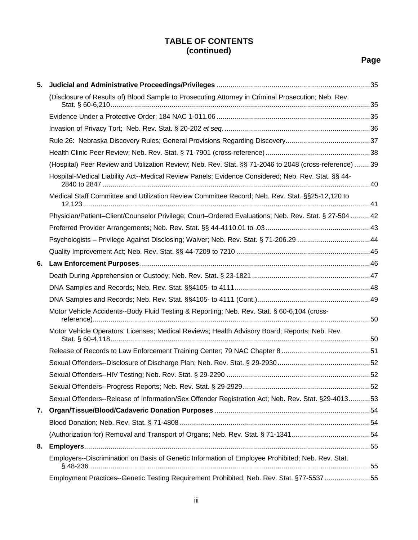| 5. |                                                                                                        |  |
|----|--------------------------------------------------------------------------------------------------------|--|
|    | (Disclosure of Results of) Blood Sample to Prosecuting Attorney in Criminal Prosecution; Neb. Rev.     |  |
|    |                                                                                                        |  |
|    |                                                                                                        |  |
|    |                                                                                                        |  |
|    |                                                                                                        |  |
|    | (Hospital) Peer Review and Utilization Review; Neb. Rev. Stat. §§ 71-2046 to 2048 (cross-reference) 39 |  |
|    | Hospital-Medical Liability Act--Medical Review Panels; Evidence Considered; Neb. Rev. Stat. §§ 44-     |  |
|    | Medical Staff Committee and Utilization Review Committee Record; Neb. Rev. Stat. §§25-12,120 to        |  |
|    | Physician/Patient-Client/Counselor Privilege; Court-Ordered Evaluations; Neb. Rev. Stat. § 27-50442    |  |
|    |                                                                                                        |  |
|    | Psychologists - Privilege Against Disclosing; Waiver; Neb. Rev. Stat. § 71-206.29 44                   |  |
|    |                                                                                                        |  |
| 6. |                                                                                                        |  |
|    |                                                                                                        |  |
|    |                                                                                                        |  |
|    |                                                                                                        |  |
|    | Motor Vehicle Accidents--Body Fluid Testing & Reporting; Neb. Rev. Stat. § 60-6,104 (cross-            |  |
|    | Motor Vehicle Operators' Licenses; Medical Reviews; Health Advisory Board; Reports; Neb. Rev.          |  |
|    |                                                                                                        |  |
|    |                                                                                                        |  |
|    |                                                                                                        |  |
|    |                                                                                                        |  |
|    | Sexual Offenders--Release of Information/Sex Offender Registration Act; Neb. Rev. Stat. §29-401353     |  |
| 7. |                                                                                                        |  |
|    |                                                                                                        |  |
|    |                                                                                                        |  |
| 8. |                                                                                                        |  |
|    | Employers--Discrimination on Basis of Genetic Information of Employee Prohibited; Neb. Rev. Stat.      |  |
|    | Employment Practices--Genetic Testing Requirement Prohibited; Neb. Rev. Stat. §77-5537 55              |  |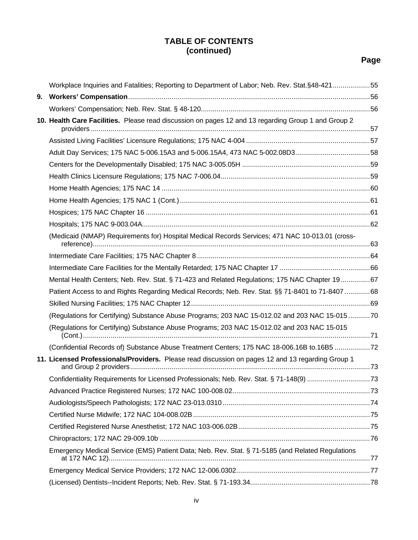| Workplace Inquiries and Fatalities; Reporting to Department of Labor; Neb. Rev. Stat.§48-42155      |  |
|-----------------------------------------------------------------------------------------------------|--|
|                                                                                                     |  |
|                                                                                                     |  |
| 10. Health Care Facilities. Please read discussion on pages 12 and 13 regarding Group 1 and Group 2 |  |
|                                                                                                     |  |
|                                                                                                     |  |
| Adult Day Services; 175 NAC 5-006.15A3 and 5-006.15A4, 473 NAC 5-002.08D358                         |  |
|                                                                                                     |  |
|                                                                                                     |  |
|                                                                                                     |  |
|                                                                                                     |  |
|                                                                                                     |  |
|                                                                                                     |  |
| (Medicaid (NMAP) Requirements for) Hospital Medical Records Services; 471 NAC 10-013.01 (cross-     |  |
|                                                                                                     |  |
|                                                                                                     |  |
| Mental Health Centers; Neb. Rev. Stat. § 71-423 and Related Regulations; 175 NAC Chapter 1967       |  |
| Patient Access to and Rights Regarding Medical Records; Neb. Rev. Stat. §§ 71-8401 to 71-8407 68    |  |
|                                                                                                     |  |
| (Regulations for Certifying) Substance Abuse Programs; 203 NAC 15-012.02 and 203 NAC 15-015 70      |  |
| (Regulations for Certifying) Substance Abuse Programs; 203 NAC 15-012.02 and 203 NAC 15-015         |  |
| (Confidential Records of) Substance Abuse Treatment Centers; 175 NAC 18-006.16B to.16B5             |  |
| 11. Licensed Professionals/Providers. Please read discussion on pages 12 and 13 regarding Group 1   |  |
| Confidentiality Requirements for Licensed Professionals; Neb. Rev. Stat. § 71-148(9) 73             |  |
|                                                                                                     |  |
|                                                                                                     |  |
|                                                                                                     |  |
|                                                                                                     |  |
|                                                                                                     |  |
| Emergency Medical Service (EMS) Patient Data; Neb. Rev. Stat. § 71-5185 (and Related Regulations    |  |
|                                                                                                     |  |
|                                                                                                     |  |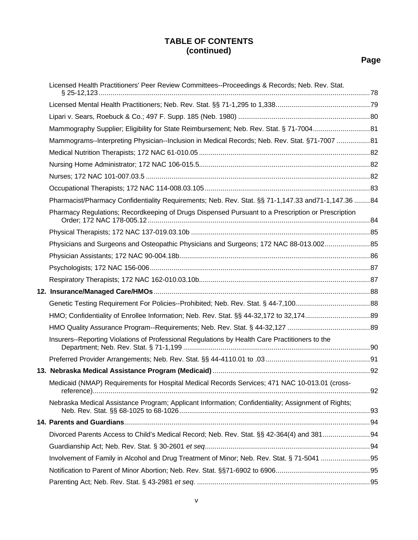| Licensed Health Practitioners' Peer Review Committees--Proceedings & Records; Neb. Rev. Stat.      |  |
|----------------------------------------------------------------------------------------------------|--|
|                                                                                                    |  |
|                                                                                                    |  |
| Mammography Supplier; Eligibility for State Reimbursement; Neb. Rev. Stat. § 71-700481             |  |
| Mammograms--Interpreting Physician--Inclusion in Medical Records; Neb. Rev. Stat. §71-7007 81      |  |
|                                                                                                    |  |
|                                                                                                    |  |
|                                                                                                    |  |
|                                                                                                    |  |
| Pharmacist/Pharmacy Confidentiality Requirements; Neb. Rev. Stat. §§ 71-1,147.33 and71-1,147.36 84 |  |
| Pharmacy Regulations; Recordkeeping of Drugs Dispensed Pursuant to a Prescription or Prescription  |  |
|                                                                                                    |  |
| Physicians and Surgeons and Osteopathic Physicians and Surgeons; 172 NAC 88-013.00285              |  |
|                                                                                                    |  |
|                                                                                                    |  |
|                                                                                                    |  |
|                                                                                                    |  |
|                                                                                                    |  |
|                                                                                                    |  |
|                                                                                                    |  |
| Insurers--Reporting Violations of Professional Regulations by Health Care Practitioners to the     |  |
|                                                                                                    |  |
|                                                                                                    |  |
| Medicaid (NMAP) Requirements for Hospital Medical Records Services; 471 NAC 10-013.01 (cross-      |  |
| Nebraska Medical Assistance Program; Applicant Information; Confidentiality; Assignment of Rights; |  |
|                                                                                                    |  |
|                                                                                                    |  |
|                                                                                                    |  |
|                                                                                                    |  |
|                                                                                                    |  |
|                                                                                                    |  |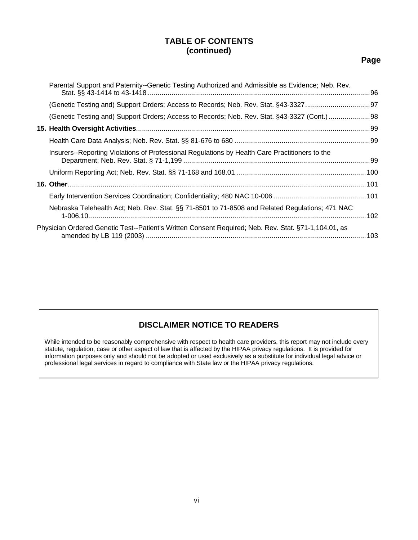#### **Page**

| Parental Support and Paternity--Genetic Testing Authorized and Admissible as Evidence; Neb. Rev.     |  |
|------------------------------------------------------------------------------------------------------|--|
|                                                                                                      |  |
| (Genetic Testing and) Support Orders; Access to Records; Neb. Rev. Stat. §43-3327 (Cont.)  98        |  |
|                                                                                                      |  |
|                                                                                                      |  |
| Insurers--Reporting Violations of Professional Regulations by Health Care Practitioners to the       |  |
|                                                                                                      |  |
|                                                                                                      |  |
|                                                                                                      |  |
| Nebraska Telehealth Act; Neb. Rev. Stat. §§ 71-8501 to 71-8508 and Related Regulations; 471 NAC      |  |
| Physician Ordered Genetic Test--Patient's Written Consent Required; Neb. Rev. Stat. §71-1,104.01, as |  |
|                                                                                                      |  |

#### **DISCLAIMER NOTICE TO READERS**

While intended to be reasonably comprehensive with respect to health care providers, this report may not include every statute, regulation, case or other aspect of law that is affected by the HIPAA privacy regulations. It is provided for information purposes only and should not be adopted or used exclusively as a substitute for individual legal advice or professional legal services in regard to compliance with State law or the HIPAA privacy regulations.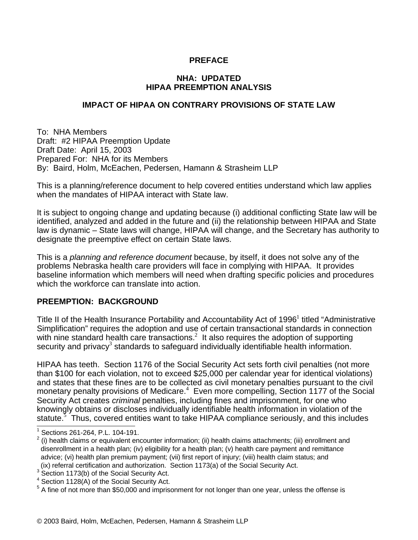#### **PREFACE**

#### **NHA: UPDATED HIPAA PREEMPTION ANALYSIS**

#### **IMPACT OF HIPAA ON CONTRARY PROVISIONS OF STATE LAW**

To: NHA Members Draft: #2 HIPAA Preemption Update Draft Date: April 15, 2003 Prepared For: NHA for its Members By: Baird, Holm, McEachen, Pedersen, Hamann & Strasheim LLP

This is a planning/reference document to help covered entities understand which law applies when the mandates of HIPAA interact with State law.

It is subject to ongoing change and updating because (i) additional conflicting State law will be identified, analyzed and added in the future and (ii) the relationship between HIPAA and State law is dynamic – State laws will change, HIPAA will change, and the Secretary has authority to designate the preemptive effect on certain State laws.

This is a *planning and reference document* because, by itself, it does not solve any of the problems Nebraska health care providers will face in complying with HIPAA. It provides baseline information which members will need when drafting specific policies and procedures which the workforce can translate into action.

#### **PREEMPTION: BACKGROUND**

Title II of the Health Insurance Portability and Accountability Act of 1996<sup>1</sup> titled "Administrative Simplification" requires the adoption and use of certain transactional standards in connection with nine standard health care transactions.<sup>2</sup> It also requires the adoption of supporting security and privacy<sup>3</sup> standards to safeguard individually identifiable health information.

HIPAA has teeth. Section 1176 of the Social Security Act sets forth civil penalties (not more than \$100 for each violation, not to exceed \$25,000 per calendar year for identical violations) and states that these fines are to be collected as civil monetary penalties pursuant to the civil monetary penalty provisions of Medicare.<sup>4</sup> Even more compelling, Section 1177 of the Social Security Act creates *criminal* penalties, including fines and imprisonment, for one who knowingly obtains or discloses individually identifiable health information in violation of the statute.<sup>3</sup> Thus, covered entities want to take HIPAA compliance seriously, and this includes  $\overline{a}$ 

<sup>1</sup> Sections 261-264, P.L. 104-191.

 $2$  (i) health claims or equivalent encounter information; (ii) health claims attachments; (iii) enrollment and disenrollment in a health plan; (iv) eligibility for a health plan; (v) health care payment and remittance advice; (vi) health plan premium payment; (vii) first report of injury; (viii) health claim status; and (ix) referral certification and authorization. Section 1173(a) of the Social Security Act.

 $3$  Section 1173(b) of the Social Security Act.

<sup>&</sup>lt;sup>4</sup> Section 1128(A) of the Social Security Act.

<sup>&</sup>lt;sup>5</sup> A fine of not more than \$50,000 and imprisonment for not longer than one year, unless the offense is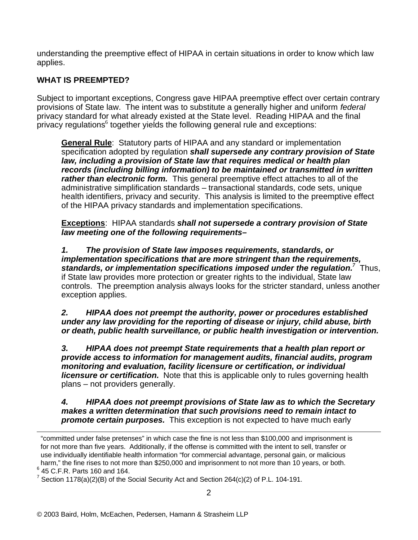understanding the preemptive effect of HIPAA in certain situations in order to know which law applies.

#### **WHAT IS PREEMPTED?**

Subject to important exceptions, Congress gave HIPAA preemptive effect over certain contrary provisions of State law. The intent was to substitute a generally higher and uniform *federal* privacy standard for what already existed at the State level. Reading HIPAA and the final  $\stackrel{\text{\scriptsize{\textsf{in}}}}{\text{\scriptsize{\textsf{in}}}}$  regulations $^6$  together yields the following general rule and exceptions:

**General Rule**: Statutory parts of HIPAA and any standard or implementation specification adopted by regulation *shall supersede any contrary provision of State law, including a provision of State law that requires medical or health plan records (including billing information) to be maintained or transmitted in written rather than electronic form.* This general preemptive effect attaches to all of the administrative simplification standards – transactional standards, code sets, unique health identifiers, privacy and security. This analysis is limited to the preemptive effect of the HIPAA privacy standards and implementation specifications.

**Exceptions**: HIPAA standards *shall not supersede a contrary provision of State law meeting one of the following requirements–*

*1. The provision of State law imposes requirements, standards, or implementation specifications that are more stringent than the requirements,*  standards, or implementation specifications imposed under the regulation.<sup>7</sup> Thus, if State law provides more protection or greater rights to the individual, State law controls. The preemption analysis always looks for the stricter standard, unless another exception applies.

*2. HIPAA does not preempt the authority, power or procedures established under any law providing for the reporting of disease or injury, child abuse, birth or death, public health surveillance, or public health investigation or intervention.*

*3. HIPAA does not preempt State requirements that a health plan report or provide access to information for management audits, financial audits, program monitoring and evaluation, facility licensure or certification, or individual licensure or certification.* Note that this is applicable only to rules governing health plans – not providers generally.

*4. HIPAA does not preempt provisions of State law as to which the Secretary makes a written determination that such provisions need to remain intact to promote certain purposes.* This exception is not expected to have much early

<sup>&</sup>lt;u>.</u> "committed under false pretenses" in which case the fine is not less than \$100,000 and imprisonment is for not more than five years. Additionally, if the offense is committed with the intent to sell, transfer or use individually identifiable health information "for commercial advantage, personal gain, or malicious harm," the fine rises to not more than \$250,000 and imprisonment to not more than 10 years, or both.  $6$  45 C.F.R. Parts 160 and 164.

<sup>&</sup>lt;sup>7</sup> Section 1178(a)(2)(B) of the Social Security Act and Section 264(c)(2) of P.L. 104-191.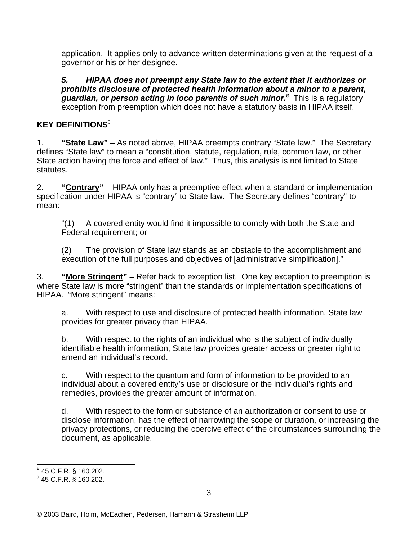application. It applies only to advance written determinations given at the request of a governor or his or her designee.

*5. HIPAA does not preempt any State law to the extent that it authorizes or prohibits disclosure of protected health information about a minor to a parent, guardian, or person acting in loco parentis of such minor.<sup>8</sup>* This is a regulatory exception from preemption which does not have a statutory basis in HIPAA itself.

#### **KEY DEFINITIONS**<sup>9</sup>

1. **"State Law"** – As noted above, HIPAA preempts contrary "State law." The Secretary defines "State law" to mean a "constitution, statute, regulation, rule, common law, or other State action having the force and effect of law." Thus, this analysis is not limited to State statutes.

2. **"Contrary"** – HIPAA only has a preemptive effect when a standard or implementation specification under HIPAA is "contrary" to State law. The Secretary defines "contrary" to mean:

"(1) A covered entity would find it impossible to comply with both the State and Federal requirement; or

(2) The provision of State law stands as an obstacle to the accomplishment and execution of the full purposes and objectives of [administrative simplification]."

3. **"More Stringent"** – Refer back to exception list. One key exception to preemption is where State law is more "stringent" than the standards or implementation specifications of HIPAA. "More stringent" means:

a. With respect to use and disclosure of protected health information, State law provides for greater privacy than HIPAA.

b. With respect to the rights of an individual who is the subject of individually identifiable health information, State law provides greater access or greater right to amend an individual's record.

c. With respect to the quantum and form of information to be provided to an individual about a covered entity's use or disclosure or the individual's rights and remedies, provides the greater amount of information.

d. With respect to the form or substance of an authorization or consent to use or disclose information, has the effect of narrowing the scope or duration, or increasing the privacy protections, or reducing the coercive effect of the circumstances surrounding the document, as applicable.

<sup>&</sup>lt;u>。</u><br><sup>8</sup> 45 C.F.R. § 160.202.

 $^9$  45 C.F.R. § 160.202.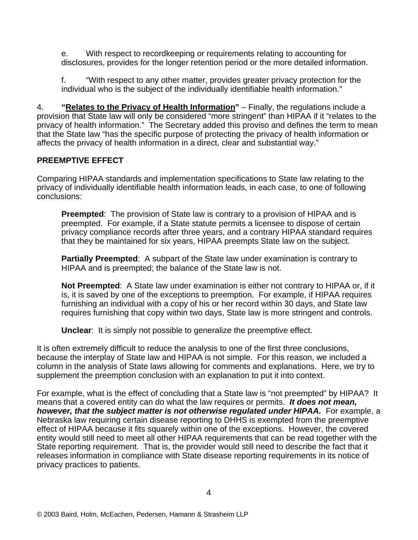e. With respect to recordkeeping or requirements relating to accounting for disclosures, provides for the longer retention period or the more detailed information.

f. "With respect to any other matter, provides greater privacy protection for the individual who is the subject of the individually identifiable health information."

4. **"Relates to the Privacy of Health Information"** – Finally, the regulations include a provision that State law will only be considered "more stringent" than HIPAA if it "relates to the privacy of health information." The Secretary added this proviso and defines the term to mean that the State law "has the specific purpose of protecting the privacy of health information or affects the privacy of health information in a direct, clear and substantial way."

#### **PREEMPTIVE EFFECT**

Comparing HIPAA standards and implementation specifications to State law relating to the privacy of individually identifiable health information leads, in each case, to one of following conclusions:

**Preempted**: The provision of State law is contrary to a provision of HIPAA and is preempted. For example, if a State statute permits a licensee to dispose of certain privacy compliance records after three years, and a contrary HIPAA standard requires that they be maintained for six years, HIPAA preempts State law on the subject.

**Partially Preempted**: A subpart of the State law under examination is contrary to HIPAA and is preempted; the balance of the State law is not.

**Not Preempted**: A State law under examination is either not contrary to HIPAA or, if it is, it is saved by one of the exceptions to preemption. For example, if HIPAA requires furnishing an individual with a copy of his or her record within 30 days, and State law requires furnishing that copy within two days, State law is more stringent and controls.

**Unclear**: It is simply not possible to generalize the preemptive effect.

It is often extremely difficult to reduce the analysis to one of the first three conclusions, because the interplay of State law and HIPAA is not simple. For this reason, we included a column in the analysis of State laws allowing for comments and explanations. Here, we try to supplement the preemption conclusion with an explanation to put it into context.

For example, what is the effect of concluding that a State law is "not preempted" by HIPAA? It means that a covered entity can do what the law requires or permits. *It does not mean, however, that the subject matter is not otherwise regulated under HIPAA.* For example, a Nebraska law requiring certain disease reporting to DHHS is exempted from the preemptive effect of HIPAA because it fits squarely within one of the exceptions. However, the covered entity would still need to meet all other HIPAA requirements that can be read together with the State reporting requirement. That is, the provider would still need to describe the fact that it releases information in compliance with State disease reporting requirements in its notice of privacy practices to patients.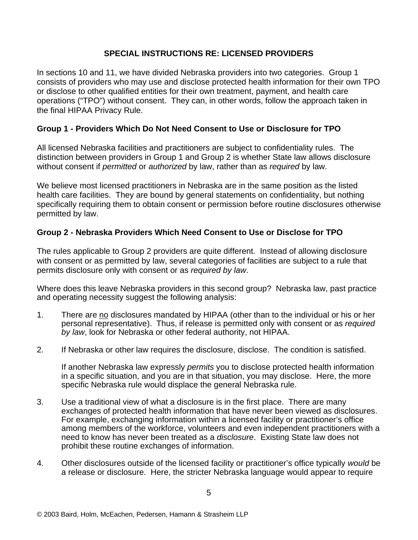#### **SPECIAL INSTRUCTIONS RE: LICENSED PROVIDERS**

In sections 10 and 11, we have divided Nebraska providers into two categories. Group 1 consists of providers who may use and disclose protected health information for their own TPO or disclose to other qualified entities for their own treatment, payment, and health care operations ("TPO") without consent. They can, in other words, follow the approach taken in the final HIPAA Privacy Rule.

#### **Group 1 - Providers Which Do Not Need Consent to Use or Disclosure for TPO**

All licensed Nebraska facilities and practitioners are subject to confidentiality rules. The distinction between providers in Group 1 and Group 2 is whether State law allows disclosure without consent if *permitted* or *authorized* by law, rather than as *required* by law.

We believe most licensed practitioners in Nebraska are in the same position as the listed health care facilities. They are bound by general statements on confidentiality, but nothing specifically requiring them to obtain consent or permission before routine disclosures otherwise permitted by law.

#### **Group 2 - Nebraska Providers Which Need Consent to Use or Disclose for TPO**

The rules applicable to Group 2 providers are quite different. Instead of allowing disclosure with consent or as permitted by law, several categories of facilities are subject to a rule that permits disclosure only with consent or as *required by law*.

Where does this leave Nebraska providers in this second group? Nebraska law, past practice and operating necessity suggest the following analysis:

- 1. There are no disclosures mandated by HIPAA (other than to the individual or his or her personal representative). Thus, if release is permitted only with consent or as *required by law*, look for Nebraska or other federal authority, not HIPAA.
- 2. If Nebraska or other law requires the disclosure, disclose. The condition is satisfied.

If another Nebraska law expressly *permits* you to disclose protected health information in a specific situation, and you are in that situation, you may disclose. Here, the more specific Nebraska rule would displace the general Nebraska rule.

- 3. Use a traditional view of what a disclosure is in the first place. There are many exchanges of protected health information that have never been viewed as disclosures. For example, exchanging information within a licensed facility or practitioner's office among members of the workforce, volunteers and even independent practitioners with a need to know has never been treated as a *disclosure*. Existing State law does not prohibit these routine exchanges of information.
- 4. Other disclosures outside of the licensed facility or practitioner's office typically *would* be a release or disclosure. Here, the stricter Nebraska language would appear to require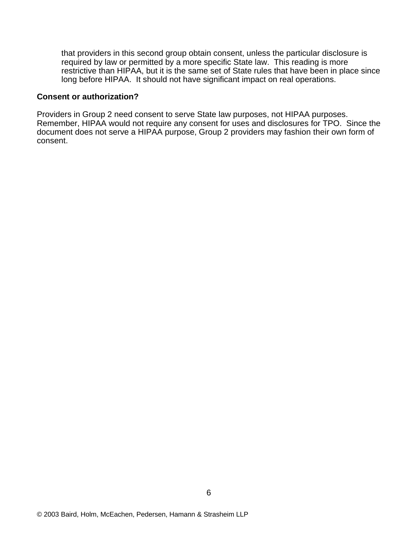that providers in this second group obtain consent, unless the particular disclosure is required by law or permitted by a more specific State law. This reading is more restrictive than HIPAA, but it is the same set of State rules that have been in place since long before HIPAA. It should not have significant impact on real operations.

#### **Consent or authorization?**

Providers in Group 2 need consent to serve State law purposes, not HIPAA purposes. Remember, HIPAA would not require any consent for uses and disclosures for TPO. Since the document does not serve a HIPAA purpose, Group 2 providers may fashion their own form of consent.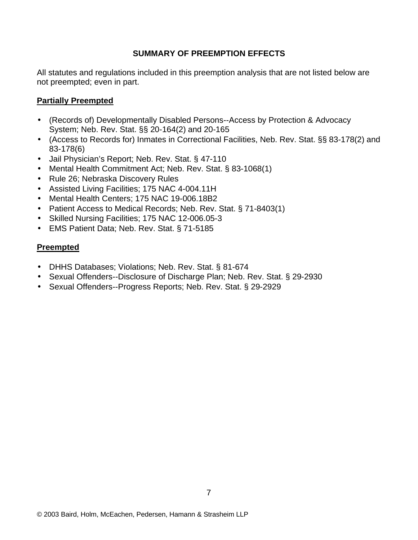#### **SUMMARY OF PREEMPTION EFFECTS**

All statutes and regulations included in this preemption analysis that are not listed below are not preempted; even in part.

#### **Partially Preempted**

- (Records of) Developmentally Disabled Persons--Access by Protection & Advocacy System; Neb. Rev. Stat. §§ 20-164(2) and 20-165
- (Access to Records for) Inmates in Correctional Facilities, Neb. Rev. Stat. §§ 83-178(2) and 83-178(6)
- Jail Physician's Report; Neb. Rev. Stat. § 47-110
- Mental Health Commitment Act; Neb. Rev. Stat. § 83-1068(1)
- Rule 26; Nebraska Discovery Rules
- Assisted Living Facilities; 175 NAC 4-004.11H
- Mental Health Centers; 175 NAC 19-006.18B2
- Patient Access to Medical Records; Neb. Rev. Stat. § 71-8403(1)
- Skilled Nursing Facilities; 175 NAC 12-006.05-3
- EMS Patient Data; Neb. Rev. Stat. § 71-5185

#### **Preempted**

- DHHS Databases; Violations; Neb. Rev. Stat. § 81-674
- Sexual Offenders--Disclosure of Discharge Plan; Neb. Rev. Stat. § 29-2930
- Sexual Offenders--Progress Reports; Neb. Rev. Stat. § 29-2929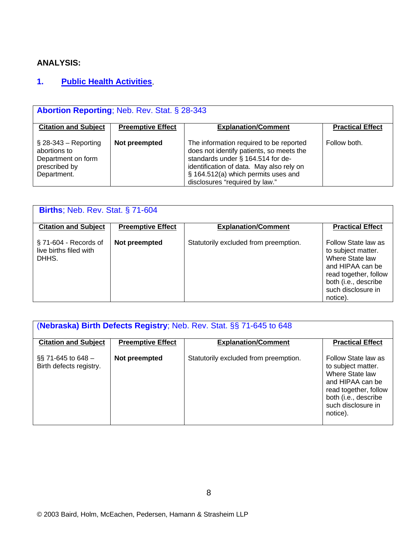### **ANALYSIS:**

# **1. Public Health Activities**.

| <b>Abortion Reporting: Neb. Rev. Stat. § 28-343</b>                                           |                          |                                                                                                                                                                                                                                               |                         |  |  |
|-----------------------------------------------------------------------------------------------|--------------------------|-----------------------------------------------------------------------------------------------------------------------------------------------------------------------------------------------------------------------------------------------|-------------------------|--|--|
| <b>Citation and Subject</b>                                                                   | <b>Preemptive Effect</b> | <b>Explanation/Comment</b>                                                                                                                                                                                                                    | <b>Practical Effect</b> |  |  |
| $\S$ 28-343 – Reporting<br>abortions to<br>Department on form<br>prescribed by<br>Department. | Not preempted            | The information required to be reported<br>does not identify patients, so meets the<br>standards under § 164.514 for de-<br>identification of data. May also rely on<br>§ 164.512(a) which permits uses and<br>disclosures "required by law." | Follow both.            |  |  |

| <b>Births</b> ; Neb. Rev. Stat. § 71-604                    |                          |                                       |                                                                                                                                                                     |  |  |
|-------------------------------------------------------------|--------------------------|---------------------------------------|---------------------------------------------------------------------------------------------------------------------------------------------------------------------|--|--|
| <b>Citation and Subject</b>                                 | <b>Preemptive Effect</b> | <b>Explanation/Comment</b>            | <b>Practical Effect</b>                                                                                                                                             |  |  |
| $\S$ 71-604 - Records of<br>live births filed with<br>DHHS. | Not preempted            | Statutorily excluded from preemption. | Follow State law as<br>to subject matter.<br>Where State law<br>and HIPAA can be<br>read together, follow<br>both (i.e., describe<br>such disclosure in<br>notice). |  |  |

| (Nebraska) Birth Defects Registry; Neb. Rev. Stat. §§ 71-645 to 648 |                          |                                       |                                                                                                                                                                     |  |  |
|---------------------------------------------------------------------|--------------------------|---------------------------------------|---------------------------------------------------------------------------------------------------------------------------------------------------------------------|--|--|
| <b>Citation and Subject</b>                                         | <b>Preemptive Effect</b> | <b>Explanation/Comment</b>            | <b>Practical Effect</b>                                                                                                                                             |  |  |
| $\S$ 71-645 to 648 –<br>Birth defects registry.                     | Not preempted            | Statutorily excluded from preemption. | Follow State law as<br>to subject matter.<br>Where State law<br>and HIPAA can be<br>read together, follow<br>both (i.e., describe<br>such disclosure in<br>notice). |  |  |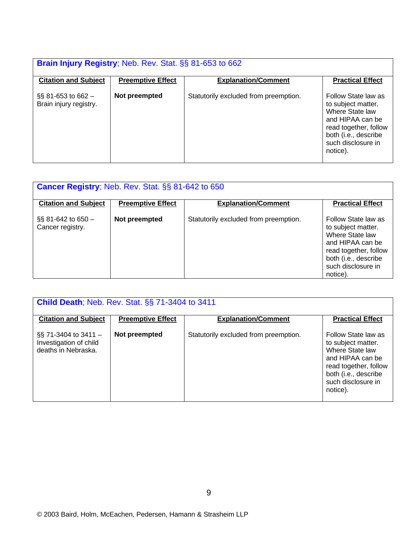| Brain Injury Registry; Neb. Rev. Stat. §§ 81-653 to 662 |                          |                                       |                                                                                                                                                                     |  |  |
|---------------------------------------------------------|--------------------------|---------------------------------------|---------------------------------------------------------------------------------------------------------------------------------------------------------------------|--|--|
| <b>Citation and Subject</b>                             | <b>Preemptive Effect</b> | <b>Explanation/Comment</b>            | <b>Practical Effect</b>                                                                                                                                             |  |  |
| $\S$ § 81-653 to 662 –<br>Brain injury registry.        | Not preempted            | Statutorily excluded from preemption. | Follow State law as<br>to subject matter.<br>Where State law<br>and HIPAA can be<br>read together, follow<br>both (i.e., describe<br>such disclosure in<br>notice). |  |  |

| <b>Cancer Registry</b> ; Neb. Rev. Stat. §§ 81-642 to 650 |                          |                                       |                                                                                                                                                                     |  |  |
|-----------------------------------------------------------|--------------------------|---------------------------------------|---------------------------------------------------------------------------------------------------------------------------------------------------------------------|--|--|
| <b>Citation and Subject</b>                               | <b>Preemptive Effect</b> | <b>Explanation/Comment</b>            | <b>Practical Effect</b>                                                                                                                                             |  |  |
| $\S$ § 81-642 to 650 $-$<br>Cancer registry.              | Not preempted            | Statutorily excluded from preemption. | Follow State law as<br>to subject matter.<br>Where State law<br>and HIPAA can be<br>read together, follow<br>both (i.e., describe<br>such disclosure in<br>notice). |  |  |

| <b>Child Death; Neb. Rev. Stat. §§ 71-3404 to 3411</b>                  |                          |                                       |                                                                                                                                                                     |  |  |  |
|-------------------------------------------------------------------------|--------------------------|---------------------------------------|---------------------------------------------------------------------------------------------------------------------------------------------------------------------|--|--|--|
|                                                                         |                          |                                       |                                                                                                                                                                     |  |  |  |
| <b>Citation and Subject</b>                                             | <b>Preemptive Effect</b> | <b>Explanation/Comment</b>            | <b>Practical Effect</b>                                                                                                                                             |  |  |  |
|                                                                         |                          |                                       |                                                                                                                                                                     |  |  |  |
| $\S$ 71-3404 to 3411 –<br>Investigation of child<br>deaths in Nebraska. | Not preempted            | Statutorily excluded from preemption. | Follow State law as<br>to subject matter.<br>Where State law<br>and HIPAA can be<br>read together, follow<br>both (i.e., describe<br>such disclosure in<br>notice). |  |  |  |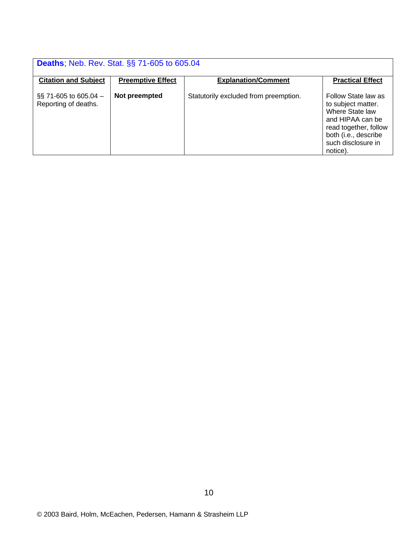|                                                 | <b>Deaths</b> ; Neb. Rev. Stat. §§ 71-605 to 605.04 |                                       |                                                                                                                                                                     |  |
|-------------------------------------------------|-----------------------------------------------------|---------------------------------------|---------------------------------------------------------------------------------------------------------------------------------------------------------------------|--|
| <b>Citation and Subject</b>                     | <b>Preemptive Effect</b>                            | <b>Explanation/Comment</b>            | <b>Practical Effect</b>                                                                                                                                             |  |
| $\S$ 71-605 to 605.04 –<br>Reporting of deaths. | Not preempted                                       | Statutorily excluded from preemption. | Follow State law as<br>to subject matter.<br>Where State law<br>and HIPAA can be<br>read together, follow<br>both (i.e., describe<br>such disclosure in<br>notice). |  |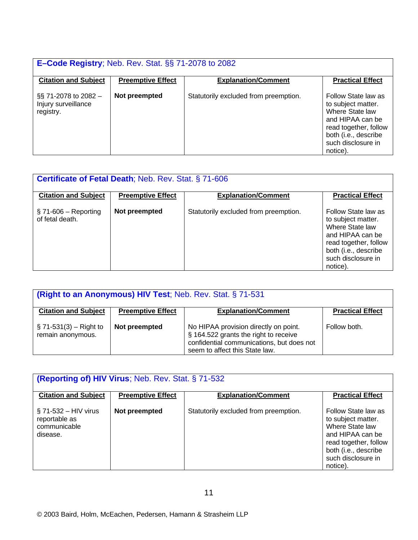| <b>E-Code Registry</b> ; Neb. Rev. Stat. §§ 71-2078 to 2082 |                          |                                       |                                                                                                                                                                     |
|-------------------------------------------------------------|--------------------------|---------------------------------------|---------------------------------------------------------------------------------------------------------------------------------------------------------------------|
| <b>Citation and Subject</b>                                 | <b>Preemptive Effect</b> | <b>Explanation/Comment</b>            | <b>Practical Effect</b>                                                                                                                                             |
| $\S$ 71-2078 to 2082 –<br>Injury surveillance<br>registry.  | Not preempted            | Statutorily excluded from preemption. | Follow State law as<br>to subject matter.<br>Where State law<br>and HIPAA can be<br>read together, follow<br>both (i.e., describe<br>such disclosure in<br>notice). |

| <b>Certificate of Fetal Death; Neb. Rev. Stat. § 71-606</b> |                          |                                       |                                                                                                                                                                     |
|-------------------------------------------------------------|--------------------------|---------------------------------------|---------------------------------------------------------------------------------------------------------------------------------------------------------------------|
| <b>Citation and Subject</b>                                 | <b>Preemptive Effect</b> | <b>Explanation/Comment</b>            | <b>Practical Effect</b>                                                                                                                                             |
| $\S$ 71-606 – Reporting<br>of fetal death.                  | Not preempted            | Statutorily excluded from preemption. | Follow State law as<br>to subject matter.<br>Where State law<br>and HIPAA can be<br>read together, follow<br>both (i.e., describe<br>such disclosure in<br>notice). |

| (Right to an Anonymous) HIV Test; Neb. Rev. Stat. § 71-531 |                          |                                                                                                                                                               |                         |
|------------------------------------------------------------|--------------------------|---------------------------------------------------------------------------------------------------------------------------------------------------------------|-------------------------|
| <b>Citation and Subject</b>                                | <b>Preemptive Effect</b> | <b>Explanation/Comment</b>                                                                                                                                    | <b>Practical Effect</b> |
| $\S$ 71-531(3) – Right to<br>remain anonymous.             | Not preempted            | No HIPAA provision directly on point.<br>§ 164.522 grants the right to receive<br>confidential communications, but does not<br>seem to affect this State law. | Follow both.            |

| <b>(Reporting of) HIV Virus; Neb. Rev. Stat. § 71-532</b>            |                          |                                       |                                                                                                                                                                     |
|----------------------------------------------------------------------|--------------------------|---------------------------------------|---------------------------------------------------------------------------------------------------------------------------------------------------------------------|
| <b>Citation and Subject</b>                                          | <b>Preemptive Effect</b> | <b>Explanation/Comment</b>            | <b>Practical Effect</b>                                                                                                                                             |
| $\S$ 71-532 – HIV virus<br>reportable as<br>communicable<br>disease. | Not preempted            | Statutorily excluded from preemption. | Follow State law as<br>to subject matter.<br>Where State law<br>and HIPAA can be<br>read together, follow<br>both (i.e., describe<br>such disclosure in<br>notice). |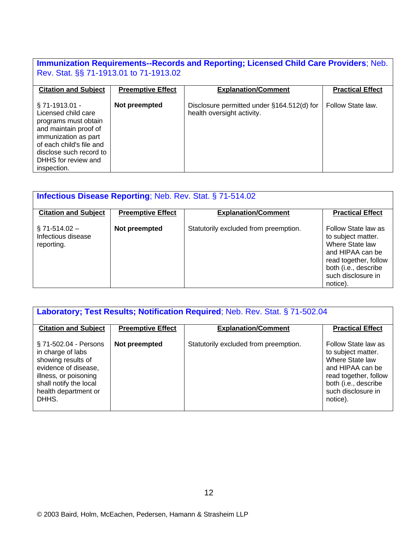# **Immunization Requirements--Records and Reporting; Licensed Child Care Providers**; Neb. Rev. Stat. §§ 71-1913.01 to 71-1913.02

| <b>Citation and Subject</b>                                                                                                                                                                                    | <b>Preemptive Effect</b> | <b>Explanation/Comment</b>                                               | <b>Practical Effect</b> |
|----------------------------------------------------------------------------------------------------------------------------------------------------------------------------------------------------------------|--------------------------|--------------------------------------------------------------------------|-------------------------|
| $\S$ 71-1913.01 -<br>Licensed child care<br>programs must obtain<br>and maintain proof of<br>immunization as part<br>of each child's file and<br>disclose such record to<br>DHHS for review and<br>inspection. | Not preempted            | Disclosure permitted under §164.512(d) for<br>health oversight activity. | Follow State law.       |

| <b>Infectious Disease Reporting; Neb. Rev. Stat. § 71-514.02</b> |                          |                                       |                                                                                                                                                                     |
|------------------------------------------------------------------|--------------------------|---------------------------------------|---------------------------------------------------------------------------------------------------------------------------------------------------------------------|
| <b>Citation and Subject</b>                                      | <b>Preemptive Effect</b> | <b>Explanation/Comment</b>            | <b>Practical Effect</b>                                                                                                                                             |
| $\S$ 71-514.02 -<br>Infectious disease<br>reporting.             | Not preempted            | Statutorily excluded from preemption. | Follow State law as<br>to subject matter.<br>Where State law<br>and HIPAA can be<br>read together, follow<br>both (i.e., describe<br>such disclosure in<br>notice). |

| Laboratory; Test Results; Notification Required; Neb. Rev. Stat. § 71-502.04                                                                                                 |                          |                                       |                                                                                                                                                                     |
|------------------------------------------------------------------------------------------------------------------------------------------------------------------------------|--------------------------|---------------------------------------|---------------------------------------------------------------------------------------------------------------------------------------------------------------------|
| <b>Citation and Subject</b>                                                                                                                                                  | <b>Preemptive Effect</b> | <b>Explanation/Comment</b>            | <b>Practical Effect</b>                                                                                                                                             |
| § 71-502.04 - Persons<br>in charge of labs<br>showing results of<br>evidence of disease,<br>illness, or poisoning<br>shall notify the local<br>health department or<br>DHHS. | Not preempted            | Statutorily excluded from preemption. | Follow State law as<br>to subject matter.<br>Where State law<br>and HIPAA can be<br>read together, follow<br>both (i.e., describe<br>such disclosure in<br>notice). |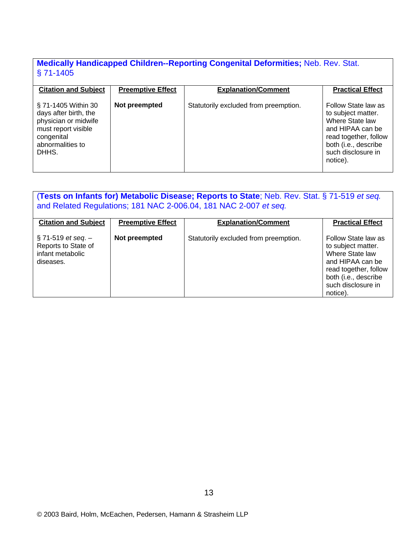#### **Medically Handicapped Children--Reporting Congenital Deformities;** Neb. Rev. Stat. § 71-1405

| <b>Citation and Subject</b>                                                                                                            | <b>Preemptive Effect</b> | <b>Explanation/Comment</b>            | <b>Practical Effect</b>                                                                                                                                             |
|----------------------------------------------------------------------------------------------------------------------------------------|--------------------------|---------------------------------------|---------------------------------------------------------------------------------------------------------------------------------------------------------------------|
| § 71-1405 Within 30<br>days after birth, the<br>physician or midwife<br>must report visible<br>congenital<br>abnormalities to<br>DHHS. | Not preempted            | Statutorily excluded from preemption. | Follow State law as<br>to subject matter.<br>Where State law<br>and HIPAA can be<br>read together, follow<br>both (i.e., describe<br>such disclosure in<br>notice). |

#### (**Tests on Infants for) Metabolic Disease; Reports to State**; Neb. Rev. Stat. § 71-519 *et seq.* and Related Regulations; 181 NAC 2-006.04, 181 NAC 2-007 *et seq.*

| <b>Citation and Subject</b>                                                            | <b>Preemptive Effect</b> | <b>Explanation/Comment</b>            | <b>Practical Effect</b>                                                                                                                                             |
|----------------------------------------------------------------------------------------|--------------------------|---------------------------------------|---------------------------------------------------------------------------------------------------------------------------------------------------------------------|
| $\S$ 71-519 <i>et seq.</i> $-$<br>Reports to State of<br>infant metabolic<br>diseases. | Not preempted            | Statutorily excluded from preemption. | Follow State law as<br>to subject matter.<br>Where State law<br>and HIPAA can be<br>read together, follow<br>both (i.e., describe<br>such disclosure in<br>notice). |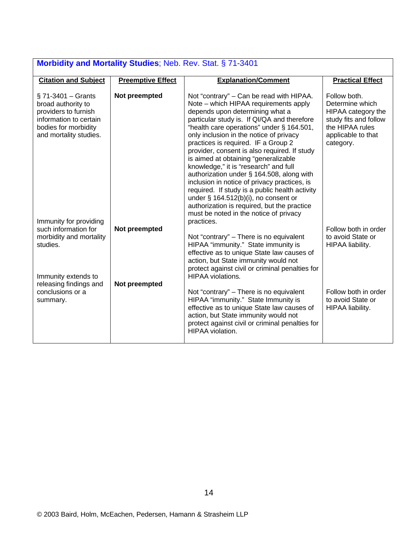| Morbidity and Mortality Studies; Neb. Rev. Stat. § 71-3401                                                                                      |                                |                                                                                                                                                                                                                                                                                                                                                                                                                                                                                                                                                                                                                                                                                                                        |                                                                                                                                      |
|-------------------------------------------------------------------------------------------------------------------------------------------------|--------------------------------|------------------------------------------------------------------------------------------------------------------------------------------------------------------------------------------------------------------------------------------------------------------------------------------------------------------------------------------------------------------------------------------------------------------------------------------------------------------------------------------------------------------------------------------------------------------------------------------------------------------------------------------------------------------------------------------------------------------------|--------------------------------------------------------------------------------------------------------------------------------------|
| <b>Citation and Subject</b>                                                                                                                     | <b>Preemptive Effect</b>       | <b>Explanation/Comment</b>                                                                                                                                                                                                                                                                                                                                                                                                                                                                                                                                                                                                                                                                                             | <b>Practical Effect</b>                                                                                                              |
| $\S$ 71-3401 – Grants<br>broad authority to<br>providers to furnish<br>information to certain<br>bodies for morbidity<br>and mortality studies. | Not preempted                  | Not "contrary" – Can be read with HIPAA.<br>Note – which HIPAA requirements apply<br>depends upon determining what a<br>particular study is. If QI/QA and therefore<br>"health care operations" under § 164.501,<br>only inclusion in the notice of privacy<br>practices is required. IF a Group 2<br>provider, consent is also required. If study<br>is aimed at obtaining "generalizable<br>knowledge," it is "research" and full<br>authorization under § 164.508, along with<br>inclusion in notice of privacy practices, is<br>required. If study is a public health activity<br>under $\S$ 164.512(b)(i), no consent or<br>authorization is required, but the practice<br>must be noted in the notice of privacy | Follow both.<br>Determine which<br>HIPAA category the<br>study fits and follow<br>the HIPAA rules<br>applicable to that<br>category. |
| Immunity for providing<br>such information for<br>morbidity and mortality<br>studies.<br>Immunity extends to<br>releasing findings and          | Not preempted<br>Not preempted | practices.<br>Not "contrary" - There is no equivalent<br>HIPAA "immunity." State immunity is<br>effective as to unique State law causes of<br>action, but State immunity would not<br>protect against civil or criminal penalties for<br><b>HIPAA</b> violations.                                                                                                                                                                                                                                                                                                                                                                                                                                                      | Follow both in order<br>to avoid State or<br>HIPAA liability.                                                                        |
| conclusions or a<br>summary.                                                                                                                    |                                | Not "contrary" - There is no equivalent<br>HIPAA "immunity." State Immunity is<br>effective as to unique State law causes of<br>action, but State immunity would not<br>protect against civil or criminal penalties for<br>HIPAA violation.                                                                                                                                                                                                                                                                                                                                                                                                                                                                            | Follow both in order<br>to avoid State or<br>HIPAA liability.                                                                        |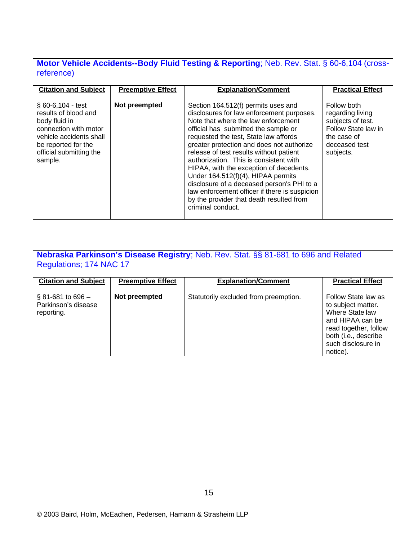### **Motor Vehicle Accidents--Body Fluid Testing & Reporting**; Neb. Rev. Stat. § 60-6,104 (crossreference)

| <b>Citation and Subject</b><br><b>Explanation/Comment</b><br><b>Preemptive Effect</b>                                                                                                                                                                                                                                                                                                                                                                                                                                                                                                                                                                                                                                                                                                        | <b>Practical Effect</b>                                                                                                  |
|----------------------------------------------------------------------------------------------------------------------------------------------------------------------------------------------------------------------------------------------------------------------------------------------------------------------------------------------------------------------------------------------------------------------------------------------------------------------------------------------------------------------------------------------------------------------------------------------------------------------------------------------------------------------------------------------------------------------------------------------------------------------------------------------|--------------------------------------------------------------------------------------------------------------------------|
| Not preempted<br>$$60-6,104 - test$<br>Section 164.512(f) permits uses and<br>results of blood and<br>disclosures for law enforcement purposes.<br>Note that where the law enforcement<br>body fluid in<br>connection with motor<br>official has submitted the sample or<br>requested the test, State law affords<br>vehicle accidents shall<br>greater protection and does not authorize<br>be reported for the<br>release of test results without patient<br>official submitting the<br>authorization. This is consistent with<br>sample.<br>HIPAA, with the exception of decedents.<br>Under 164.512(f)(4), HIPAA permits<br>disclosure of a deceased person's PHI to a<br>law enforcement officer if there is suspicion<br>by the provider that death resulted from<br>criminal conduct. | Follow both<br>regarding living<br>subjects of test.<br>Follow State law in<br>the case of<br>deceased test<br>subjects. |

| Nebraska Parkinson's Disease Registry; Neb. Rev. Stat. §§ 81-681 to 696 and Related<br>Regulations; 174 NAC 17 |                          |                                       |                                                                                                                                                                     |  |
|----------------------------------------------------------------------------------------------------------------|--------------------------|---------------------------------------|---------------------------------------------------------------------------------------------------------------------------------------------------------------------|--|
| <b>Citation and Subject</b>                                                                                    | <b>Preemptive Effect</b> | <b>Explanation/Comment</b>            | <b>Practical Effect</b>                                                                                                                                             |  |
| $\S$ 81-681 to 696 –<br>Parkinson's disease<br>reporting.                                                      | Not preempted            | Statutorily excluded from preemption. | Follow State law as<br>to subject matter.<br>Where State law<br>and HIPAA can be<br>read together, follow<br>both (i.e., describe<br>such disclosure in<br>notice). |  |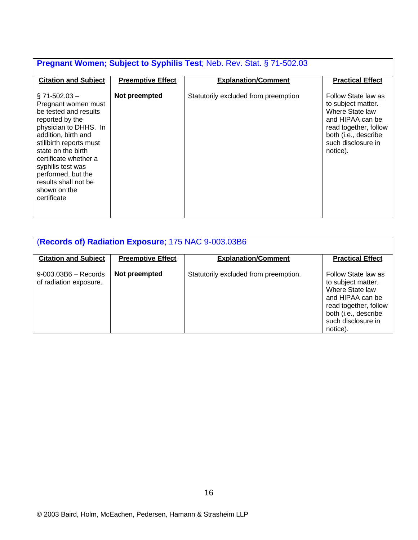# **Pregnant Women; Subject to Syphilis Test**; Neb. Rev. Stat. § 71-502.03

| <b>Citation and Subject</b>                                                                                                                                                                                                                                                                                       | <b>Preemptive Effect</b> | <b>Explanation/Comment</b>           | <b>Practical Effect</b>                                                                                                                                             |
|-------------------------------------------------------------------------------------------------------------------------------------------------------------------------------------------------------------------------------------------------------------------------------------------------------------------|--------------------------|--------------------------------------|---------------------------------------------------------------------------------------------------------------------------------------------------------------------|
| $\S$ 71-502.03 $-$<br>Pregnant women must<br>be tested and results<br>reported by the<br>physician to DHHS. In<br>addition, birth and<br>stillbirth reports must<br>state on the birth<br>certificate whether a<br>syphilis test was<br>performed, but the<br>results shall not be<br>shown on the<br>certificate | Not preempted            | Statutorily excluded from preemption | Follow State law as<br>to subject matter.<br>Where State law<br>and HIPAA can be<br>read together, follow<br>both (i.e., describe<br>such disclosure in<br>notice). |

| (Records of) Radiation Exposure; 175 NAC 9-003.03B6 |                          |                                       |                                                                                                                                                                     |
|-----------------------------------------------------|--------------------------|---------------------------------------|---------------------------------------------------------------------------------------------------------------------------------------------------------------------|
| <b>Citation and Subject</b>                         | <b>Preemptive Effect</b> | <b>Explanation/Comment</b>            | <b>Practical Effect</b>                                                                                                                                             |
| $9 - 003.03B6 -$ Records<br>of radiation exposure.  | Not preempted            | Statutorily excluded from preemption. | Follow State law as<br>to subject matter.<br>Where State law<br>and HIPAA can be<br>read together, follow<br>both (i.e., describe<br>such disclosure in<br>notice). |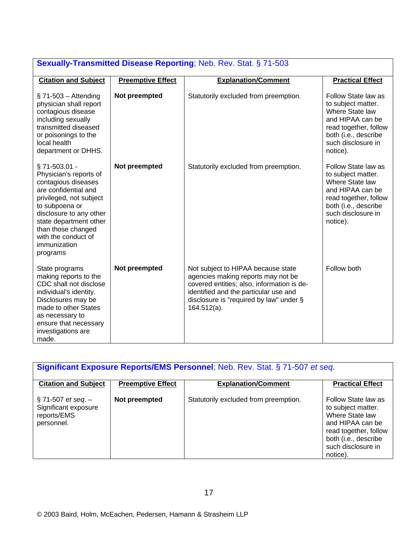| <b>Sexually-Transmitted Disease Reporting; Neb. Rev. Stat. § 71-503</b>                                                                                                                                                                                           |                          |                                                                                                                                                                                                                              |                                                                                                                                                                     |  |
|-------------------------------------------------------------------------------------------------------------------------------------------------------------------------------------------------------------------------------------------------------------------|--------------------------|------------------------------------------------------------------------------------------------------------------------------------------------------------------------------------------------------------------------------|---------------------------------------------------------------------------------------------------------------------------------------------------------------------|--|
| <b>Citation and Subject</b>                                                                                                                                                                                                                                       | <b>Preemptive Effect</b> | <b>Explanation/Comment</b>                                                                                                                                                                                                   | <b>Practical Effect</b>                                                                                                                                             |  |
| $\S$ 71-503 – Attending<br>physician shall report<br>contagious disease<br>including sexually<br>transmitted diseased<br>or poisonings to the<br>local health<br>department or DHHS.                                                                              | Not preempted            | Statutorily excluded from preemption.                                                                                                                                                                                        | Follow State law as<br>to subject matter.<br>Where State law<br>and HIPAA can be<br>read together, follow<br>both (i.e., describe<br>such disclosure in<br>notice). |  |
| § 71-503.01 -<br>Physician's reports of<br>contagious diseases<br>are confidential and<br>privileged, not subject<br>to subpoena or<br>disclosure to any other<br>state department other<br>than those changed<br>with the conduct of<br>immunization<br>programs | Not preempted            | Statutorily excluded from preemption.                                                                                                                                                                                        | Follow State law as<br>to subject matter.<br>Where State law<br>and HIPAA can be<br>read together, follow<br>both (i.e., describe<br>such disclosure in<br>notice). |  |
| State programs<br>making reports to the<br>CDC shall not disclose<br>individual's identity.<br>Disclosures may be<br>made to other States<br>as necessary to<br>ensure that necessary<br>investigations are<br>made.                                              | Not preempted            | Not subject to HIPAA because state<br>agencies making reports may not be<br>covered entities; also, information is de-<br>identified and the particular use and<br>disclosure is "required by law" under §<br>$164.512(a)$ . | Follow both                                                                                                                                                         |  |

| <b>Significant Exposure Reports/EMS Personnel</b> ; Neb. Rev. Stat. § 71-507 et seq. |                          |                                       |                                                                                                                                                                     |  |
|--------------------------------------------------------------------------------------|--------------------------|---------------------------------------|---------------------------------------------------------------------------------------------------------------------------------------------------------------------|--|
| <b>Citation and Subject</b>                                                          | <b>Preemptive Effect</b> | <b>Explanation/Comment</b>            | <b>Practical Effect</b>                                                                                                                                             |  |
| $\S$ 71-507 et seq. –<br>Significant exposure<br>reports/EMS<br>personnel.           | Not preempted            | Statutorily excluded from preemption. | Follow State law as<br>to subject matter.<br>Where State law<br>and HIPAA can be<br>read together, follow<br>both (i.e., describe<br>such disclosure in<br>notice). |  |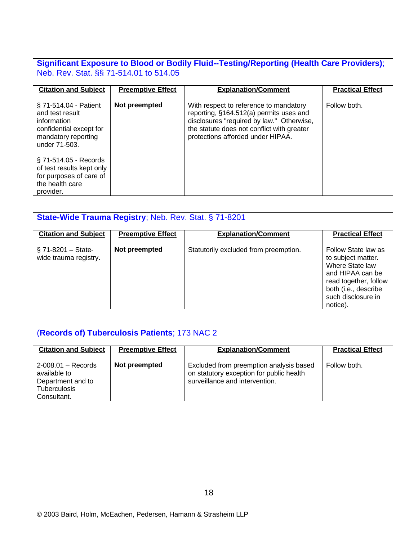#### **Significant Exposure to Blood or Bodily Fluid--Testing/Reporting (Health Care Providers)**; Neb. Rev. Stat. §§ 71-514.01 to 514.05

| <b>Citation and Subject</b>                                                                                                | <b>Preemptive Effect</b> | <b>Explanation/Comment</b>                                                                                                                                                                                        | <b>Practical Effect</b> |
|----------------------------------------------------------------------------------------------------------------------------|--------------------------|-------------------------------------------------------------------------------------------------------------------------------------------------------------------------------------------------------------------|-------------------------|
| § 71-514.04 - Patient<br>and test result<br>information<br>confidential except for<br>mandatory reporting<br>under 71-503. | Not preempted            | With respect to reference to mandatory<br>reporting, §164.512(a) permits uses and<br>disclosures "required by law." Otherwise,<br>the statute does not conflict with greater<br>protections afforded under HIPAA. | Follow both.            |
| § 71-514.05 - Records<br>of test results kept only<br>for purposes of care of<br>the health care<br>provider.              |                          |                                                                                                                                                                                                                   |                         |

| <b>State-Wide Trauma Registry; Neb. Rev. Stat. § 71-8201</b> |                          |                                       |                                                                                                                                                                     |  |
|--------------------------------------------------------------|--------------------------|---------------------------------------|---------------------------------------------------------------------------------------------------------------------------------------------------------------------|--|
| <b>Citation and Subject</b>                                  | <b>Preemptive Effect</b> | <b>Explanation/Comment</b>            | <b>Practical Effect</b>                                                                                                                                             |  |
| $\S$ 71-8201 – State-<br>wide trauma registry.               | Not preempted            | Statutorily excluded from preemption. | Follow State law as<br>to subject matter.<br>Where State law<br>and HIPAA can be<br>read together, follow<br>both (i.e., describe<br>such disclosure in<br>notice). |  |

| (Records of) Tuberculosis Patients; 173 NAC 2                                                     |                          |                                                                                                                       |                         |  |
|---------------------------------------------------------------------------------------------------|--------------------------|-----------------------------------------------------------------------------------------------------------------------|-------------------------|--|
| <b>Citation and Subject</b>                                                                       | <b>Preemptive Effect</b> | <b>Explanation/Comment</b>                                                                                            | <b>Practical Effect</b> |  |
| $2 - 008.01 -$ Records<br>available to<br>Department and to<br><b>Tuberculosis</b><br>Consultant. | Not preempted            | Excluded from preemption analysis based<br>on statutory exception for public health<br>surveillance and intervention. | Follow both.            |  |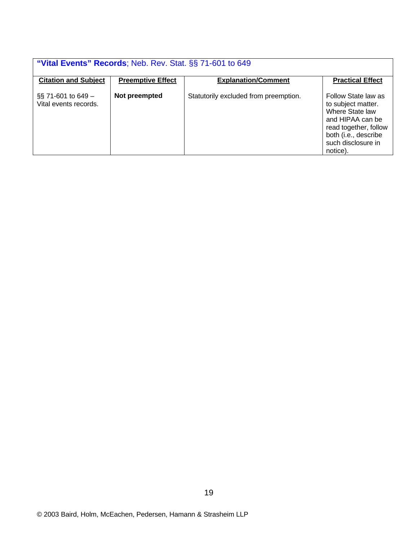| "Vital Events" Records; Neb. Rev. Stat. §§ 71-601 to 649 |                          |                                       |                                                                                                                                                                     |  |
|----------------------------------------------------------|--------------------------|---------------------------------------|---------------------------------------------------------------------------------------------------------------------------------------------------------------------|--|
| <b>Citation and Subject</b>                              | <b>Preemptive Effect</b> | <b>Explanation/Comment</b>            | <b>Practical Effect</b>                                                                                                                                             |  |
| $\S$ 71-601 to 649 –<br>Vital events records.            | Not preempted            | Statutorily excluded from preemption. | Follow State law as<br>to subject matter.<br>Where State law<br>and HIPAA can be<br>read together, follow<br>both (i.e., describe<br>such disclosure in<br>notice). |  |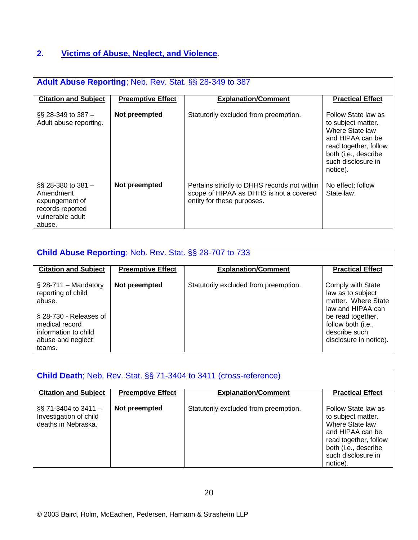# **2. Victims of Abuse, Neglect, and Violence**.

| <b>Adult Abuse Reporting: Neb. Rev. Stat. §§ 28-349 to 387</b>                                        |                          |                                                                                                                       |                                                                                                                                                                     |  |
|-------------------------------------------------------------------------------------------------------|--------------------------|-----------------------------------------------------------------------------------------------------------------------|---------------------------------------------------------------------------------------------------------------------------------------------------------------------|--|
| <b>Citation and Subject</b>                                                                           | <b>Preemptive Effect</b> | <b>Explanation/Comment</b>                                                                                            | <b>Practical Effect</b>                                                                                                                                             |  |
| $\S$ 28-349 to 387 –<br>Adult abuse reporting.                                                        | Not preempted            | Statutorily excluded from preemption.                                                                                 | Follow State law as<br>to subject matter.<br>Where State law<br>and HIPAA can be<br>read together, follow<br>both (i.e., describe<br>such disclosure in<br>notice). |  |
| $\S$ 28-380 to 381 –<br>Amendment<br>expungement of<br>records reported<br>vulnerable adult<br>abuse. | Not preempted            | Pertains strictly to DHHS records not within<br>scope of HIPAA as DHHS is not a covered<br>entity for these purposes. | No effect; follow<br>State law.                                                                                                                                     |  |

| <b>Child Abuse Reporting; Neb. Rev. Stat. §§ 28-707 to 733</b>                                                                                             |                          |                                       |                                                                                                                                                                          |  |
|------------------------------------------------------------------------------------------------------------------------------------------------------------|--------------------------|---------------------------------------|--------------------------------------------------------------------------------------------------------------------------------------------------------------------------|--|
| <b>Citation and Subject</b>                                                                                                                                | <b>Preemptive Effect</b> | <b>Explanation/Comment</b>            | <b>Practical Effect</b>                                                                                                                                                  |  |
| $\S$ 28-711 – Mandatory<br>reporting of child<br>abuse.<br>§ 28-730 - Releases of<br>medical record<br>information to child<br>abuse and neglect<br>teams. | Not preempted            | Statutorily excluded from preemption. | Comply with State<br>law as to subject<br>matter. Where State<br>law and HIPAA can<br>be read together,<br>follow both (i.e.,<br>describe such<br>disclosure in notice). |  |

| <b>Child Death</b> ; Neb. Rev. Stat. §§ 71-3404 to 3411 (cross-reference) |                          |                                       |                                                                                                                                                                     |
|---------------------------------------------------------------------------|--------------------------|---------------------------------------|---------------------------------------------------------------------------------------------------------------------------------------------------------------------|
| <b>Citation and Subject</b>                                               | <b>Preemptive Effect</b> | <b>Explanation/Comment</b>            | <b>Practical Effect</b>                                                                                                                                             |
| $\S$ 71-3404 to 3411 –<br>Investigation of child<br>deaths in Nebraska.   | Not preempted            | Statutorily excluded from preemption. | Follow State law as<br>to subject matter.<br>Where State law<br>and HIPAA can be<br>read together, follow<br>both (i.e., describe<br>such disclosure in<br>notice). |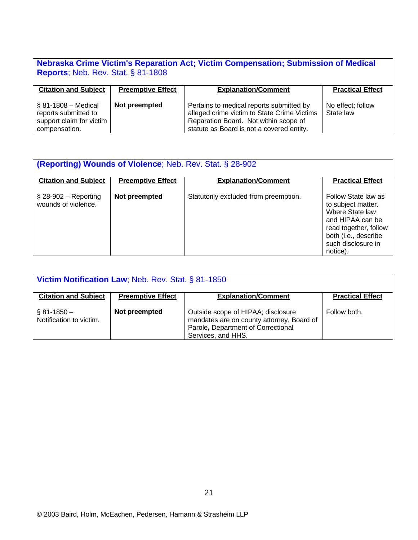# **Nebraska Crime Victim's Reparation Act; Victim Compensation; Submission of Medical Reports**; Neb. Rev. Stat. § 81-1808

| <b>Citation and Subject</b>                                                               | <b>Preemptive Effect</b> | <b>Explanation/Comment</b>                                                                                                                                                    | <b>Practical Effect</b>        |
|-------------------------------------------------------------------------------------------|--------------------------|-------------------------------------------------------------------------------------------------------------------------------------------------------------------------------|--------------------------------|
|                                                                                           |                          |                                                                                                                                                                               |                                |
| $$81-1808 - Medical$<br>reports submitted to<br>support claim for victim<br>compensation. | Not preempted            | Pertains to medical reports submitted by<br>alleged crime victim to State Crime Victims<br>Reparation Board. Not within scope of<br>statute as Board is not a covered entity. | No effect; follow<br>State law |

| <b>(Reporting) Wounds of Violence</b> ; Neb. Rev. Stat. § 28-902 |                          |                                       |                                                                                                                                                                     |  |
|------------------------------------------------------------------|--------------------------|---------------------------------------|---------------------------------------------------------------------------------------------------------------------------------------------------------------------|--|
| <b>Citation and Subject</b>                                      | <b>Preemptive Effect</b> | <b>Explanation/Comment</b>            | <b>Practical Effect</b>                                                                                                                                             |  |
| $\S$ 28-902 – Reporting<br>wounds of violence.                   | Not preempted            | Statutorily excluded from preemption. | Follow State law as<br>to subject matter.<br>Where State law<br>and HIPAA can be<br>read together, follow<br>both (i.e., describe<br>such disclosure in<br>notice). |  |

| Victim Notification Law; Neb. Rev. Stat. § 81-1850 |                          |                                                                                                                                             |                         |  |
|----------------------------------------------------|--------------------------|---------------------------------------------------------------------------------------------------------------------------------------------|-------------------------|--|
| <b>Citation and Subject</b>                        | <b>Preemptive Effect</b> | <b>Explanation/Comment</b>                                                                                                                  | <b>Practical Effect</b> |  |
| $\S 81 - 1850 -$<br>Notification to victim.        | Not preempted            | Outside scope of HIPAA; disclosure<br>mandates are on county attorney, Board of<br>Parole, Department of Correctional<br>Services, and HHS. | Follow both.            |  |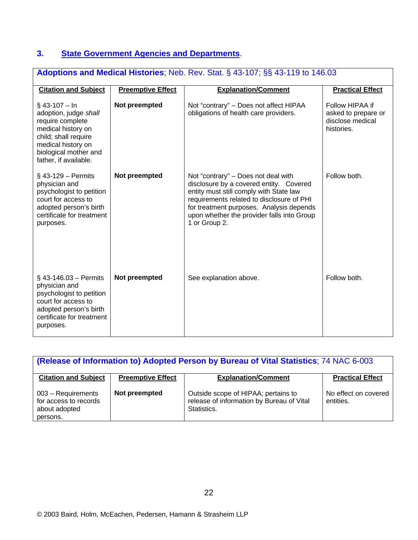### **3. State Government Agencies and Departments**.

| <b>Adoptions and Medical Histories</b> ; Neb. Rev. Stat. § 43-107; §§ 43-119 to 146.03                                                                                             |                          |                                                                                                                                                                                                                                                                                   |                                                                          |  |
|------------------------------------------------------------------------------------------------------------------------------------------------------------------------------------|--------------------------|-----------------------------------------------------------------------------------------------------------------------------------------------------------------------------------------------------------------------------------------------------------------------------------|--------------------------------------------------------------------------|--|
| <b>Citation and Subject</b>                                                                                                                                                        | <b>Preemptive Effect</b> | <b>Explanation/Comment</b>                                                                                                                                                                                                                                                        | <b>Practical Effect</b>                                                  |  |
| $§$ 43-107 - In<br>adoption, judge shall<br>require complete<br>medical history on<br>child; shall require<br>medical history on<br>biological mother and<br>father, if available. | Not preempted            | Not "contrary" - Does not affect HIPAA<br>obligations of health care providers.                                                                                                                                                                                                   | Follow HIPAA if<br>asked to prepare or<br>disclose medical<br>histories. |  |
| $\S$ 43-129 – Permits<br>physician and<br>psychologist to petition<br>court for access to<br>adopted person's birth<br>certificate for treatment<br>purposes.                      | Not preempted            | Not "contrary" – Does not deal with<br>disclosure by a covered entity. Covered<br>entity must still comply with State law<br>requirements related to disclosure of PHI<br>for treatment purposes. Analysis depends<br>upon whether the provider falls into Group<br>1 or Group 2. | Follow both.                                                             |  |
| $$43-146.03 - Permits$<br>physician and<br>psychologist to petition<br>court for access to<br>adopted person's birth<br>certificate for treatment<br>purposes.                     | Not preempted            | See explanation above.                                                                                                                                                                                                                                                            | Follow both.                                                             |  |

| (Release of Information to) Adopted Person by Bureau of Vital Statistics; 74 NAC 6-003 |                          |                                                                                                 |                                   |  |
|----------------------------------------------------------------------------------------|--------------------------|-------------------------------------------------------------------------------------------------|-----------------------------------|--|
| <b>Citation and Subject</b>                                                            | <b>Preemptive Effect</b> | <b>Explanation/Comment</b>                                                                      | <b>Practical Effect</b>           |  |
| 003 - Requirements<br>for access to records<br>about adopted<br>persons.               | Not preempted            | Outside scope of HIPAA; pertains to<br>release of information by Bureau of Vital<br>Statistics. | No effect on covered<br>entities. |  |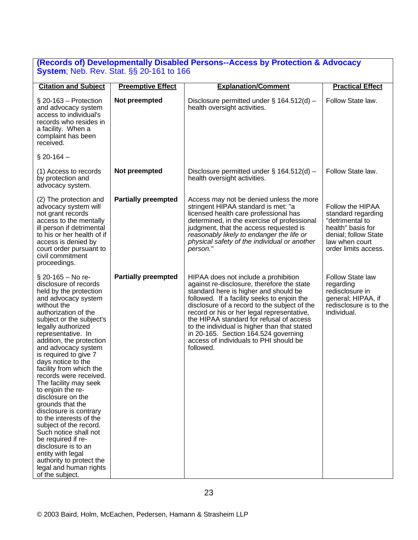#### **(Records of) Developmentally Disabled Persons--Access by Protection & Advocacy System**; Neb. Rev. Stat. §§ 20-161 to 166

| <b>Citation and Subject</b>                                                                                                                                                                                                                                                                                                                                                                                                                                                                                                                                                                                                                                                                                    | <b>Preemptive Effect</b>   | <b>Explanation/Comment</b>                                                                                                                                                                                                                                                                                                                                                                                                                                          | <b>Practical Effect</b>                                                                                                                          |
|----------------------------------------------------------------------------------------------------------------------------------------------------------------------------------------------------------------------------------------------------------------------------------------------------------------------------------------------------------------------------------------------------------------------------------------------------------------------------------------------------------------------------------------------------------------------------------------------------------------------------------------------------------------------------------------------------------------|----------------------------|---------------------------------------------------------------------------------------------------------------------------------------------------------------------------------------------------------------------------------------------------------------------------------------------------------------------------------------------------------------------------------------------------------------------------------------------------------------------|--------------------------------------------------------------------------------------------------------------------------------------------------|
|                                                                                                                                                                                                                                                                                                                                                                                                                                                                                                                                                                                                                                                                                                                |                            |                                                                                                                                                                                                                                                                                                                                                                                                                                                                     |                                                                                                                                                  |
| $\S$ 20-163 – Protection<br>and advocacy system<br>access to individual's<br>records who resides in<br>a facility. When a<br>complaint has been<br>received.                                                                                                                                                                                                                                                                                                                                                                                                                                                                                                                                                   | Not preempted              | Disclosure permitted under $\S$ 164.512(d) –<br>health oversight activities.                                                                                                                                                                                                                                                                                                                                                                                        | Follow State law.                                                                                                                                |
| $\S 20 - 164 -$                                                                                                                                                                                                                                                                                                                                                                                                                                                                                                                                                                                                                                                                                                |                            |                                                                                                                                                                                                                                                                                                                                                                                                                                                                     |                                                                                                                                                  |
| (1) Access to records<br>by protection and<br>advocacy system.                                                                                                                                                                                                                                                                                                                                                                                                                                                                                                                                                                                                                                                 | Not preempted              | Disclosure permitted under $\S$ 164.512(d) –<br>health oversight activities.                                                                                                                                                                                                                                                                                                                                                                                        | Follow State law.                                                                                                                                |
| (2) The protection and<br>advocacy system will<br>not grant records<br>access to the mentally<br>ill person if detrimental<br>to his or her health of if<br>access is denied by<br>court order pursuant to<br>civil commitment<br>proceedings.                                                                                                                                                                                                                                                                                                                                                                                                                                                                 | <b>Partially preempted</b> | Access may not be denied unless the more<br>stringent HIPAA standard is met: "a<br>licensed health care professional has<br>determined, in the exercise of professional<br>judgment, that the access requested is<br>reasonably likely to endanger the life or<br>physical safety of the individual or another<br>person."                                                                                                                                          | Follow the HIPAA<br>standard regarding<br>"detrimental to<br>health" basis for<br>denial; follow State<br>law when court<br>order limits access. |
| $\S$ 20-165 – No re-<br>disclosure of records<br>held by the protection<br>and advocacy system<br>without the<br>authorization of the<br>subject or the subject's<br>legally authorized<br>representative. In<br>addition, the protection<br>and advocacy system<br>is required to give 7<br>days notice to the<br>facility from which the<br>records were received.<br>The facility may seek<br>to enjoin the re-<br>disclosure on the<br>grounds that the<br>disclosure is contrary<br>to the interests of the<br>subject of the record.<br>Such notice shall not<br>be required if re-<br>disclosure is to an<br>entity with legal<br>authority to protect the<br>legal and human rights<br>of the subject. | <b>Partially preempted</b> | HIPAA does not include a prohibition<br>against re-disclosure, therefore the state<br>standard here is higher and should be<br>followed. If a facility seeks to enjoin the<br>disclosure of a record to the subject of the<br>record or his or her legal representative,<br>the HIPAA standard for refusal of access<br>to the individual is higher than that stated<br>in 20-165. Section 164.524 governing<br>access of individuals to PHI should be<br>followed. | Follow State law<br>regarding<br>redisclosure in<br>general; HIPAA, if<br>redisclosure is to the<br>individual.                                  |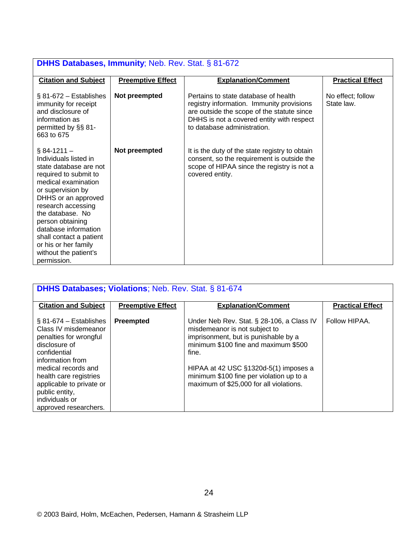| <b>DHHS Databases, Immunity; Neb. Rev. Stat. § 81-672</b>                                                                                                                                                                                                                                                                                     |                          |                                                                                                                                                                                                             |                                 |  |
|-----------------------------------------------------------------------------------------------------------------------------------------------------------------------------------------------------------------------------------------------------------------------------------------------------------------------------------------------|--------------------------|-------------------------------------------------------------------------------------------------------------------------------------------------------------------------------------------------------------|---------------------------------|--|
| <b>Citation and Subject</b>                                                                                                                                                                                                                                                                                                                   | <b>Preemptive Effect</b> | <b>Explanation/Comment</b>                                                                                                                                                                                  | <b>Practical Effect</b>         |  |
| $§ 81-672 - Establishes$<br>immunity for receipt<br>and disclosure of<br>information as<br>permitted by §§ 81-<br>663 to 675                                                                                                                                                                                                                  | Not preempted            | Pertains to state database of health<br>registry information. Immunity provisions<br>are outside the scope of the statute since<br>DHHS is not a covered entity with respect<br>to database administration. | No effect; follow<br>State law. |  |
| $§ 84-1211 -$<br>Individuals listed in<br>state database are not<br>required to submit to<br>medical examination<br>or supervision by<br>DHHS or an approved<br>research accessing<br>the database. No<br>person obtaining<br>database information<br>shall contact a patient<br>or his or her family<br>without the patient's<br>permission. | Not preempted            | It is the duty of the state registry to obtain<br>consent, so the requirement is outside the<br>scope of HIPAA since the registry is not a<br>covered entity.                                               |                                 |  |

| <b>DHHS Databases; Violations; Neb. Rev. Stat. § 81-674</b>                                                                                                                                                                                                                |                          |                                                                                                                                                                                                                                                                                                     |                         |  |
|----------------------------------------------------------------------------------------------------------------------------------------------------------------------------------------------------------------------------------------------------------------------------|--------------------------|-----------------------------------------------------------------------------------------------------------------------------------------------------------------------------------------------------------------------------------------------------------------------------------------------------|-------------------------|--|
| <b>Citation and Subject</b>                                                                                                                                                                                                                                                | <b>Preemptive Effect</b> | <b>Explanation/Comment</b>                                                                                                                                                                                                                                                                          | <b>Practical Effect</b> |  |
| $\S$ 81-674 – Establishes<br>Class IV misdemeanor<br>penalties for wrongful<br>disclosure of<br>confidential<br>information from<br>medical records and<br>health care registries<br>applicable to private or<br>public entity,<br>individuals or<br>approved researchers. | <b>Preempted</b>         | Under Neb Rev. Stat. § 28-106, a Class IV<br>misdemeanor is not subject to<br>imprisonment, but is punishable by a<br>minimum \$100 fine and maximum \$500<br>fine.<br>HIPAA at 42 USC §1320d-5(1) imposes a<br>minimum \$100 fine per violation up to a<br>maximum of \$25,000 for all violations. | Follow HIPAA.           |  |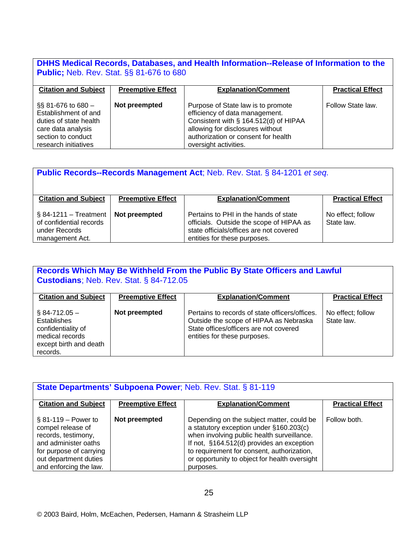#### **DHHS Medical Records, Databases, and Health Information--Release of Information to the Public;** Neb. Rev. Stat. §§ 81-676 to 680

| <b>Citation and Subject</b>                                                                                                                  | <b>Preemptive Effect</b> | <b>Explanation/Comment</b>                                                                                                                                                                                        | <b>Practical Effect</b> |
|----------------------------------------------------------------------------------------------------------------------------------------------|--------------------------|-------------------------------------------------------------------------------------------------------------------------------------------------------------------------------------------------------------------|-------------------------|
| $\S$ 81-676 to 680 $-$<br>Establishment of and<br>duties of state health<br>care data analysis<br>section to conduct<br>research initiatives | Not preempted            | Purpose of State law is to promote<br>efficiency of data management.<br>Consistent with § 164.512(d) of HIPAA<br>allowing for disclosures without<br>authorization or consent for health<br>oversight activities. | Follow State law.       |

| <b>Public Records--Records Management Act</b> ; Neb. Rev. Stat. § 84-1201 et seq.      |                          |                                                                                                                                                              |                                 |  |
|----------------------------------------------------------------------------------------|--------------------------|--------------------------------------------------------------------------------------------------------------------------------------------------------------|---------------------------------|--|
| <b>Citation and Subject</b>                                                            | <b>Preemptive Effect</b> | <b>Explanation/Comment</b>                                                                                                                                   | <b>Practical Effect</b>         |  |
| $§$ 84-1211 – Treatment<br>of confidential records<br>under Records<br>management Act. | Not preempted            | Pertains to PHI in the hands of state<br>officials. Outside the scope of HIPAA as<br>state officials/offices are not covered<br>entities for these purposes. | No effect; follow<br>State law. |  |

#### **Records Which May Be Withheld From the Public By State Officers and Lawful Custodians**; Neb. Rev. Stat. § 84-712.05

| <b>Citation and Subject</b>                                                                                   | <b>Preemptive Effect</b> | <b>Explanation/Comment</b>                                                                                                                                         | <b>Practical Effect</b>         |
|---------------------------------------------------------------------------------------------------------------|--------------------------|--------------------------------------------------------------------------------------------------------------------------------------------------------------------|---------------------------------|
| $§$ 84-712.05 -<br>Establishes<br>confidentiality of<br>medical records<br>except birth and death<br>records. | Not preempted            | Pertains to records of state officers/offices.<br>Outside the scope of HIPAA as Nebraska<br>State offices/officers are not covered<br>entities for these purposes. | No effect; follow<br>State law. |

| State Departments' Subpoena Power; Neb. Rev. Stat. § 81-119                                                                                                               |                          |                                                                                                                                                                                                                                                                                             |                         |  |
|---------------------------------------------------------------------------------------------------------------------------------------------------------------------------|--------------------------|---------------------------------------------------------------------------------------------------------------------------------------------------------------------------------------------------------------------------------------------------------------------------------------------|-------------------------|--|
| <b>Citation and Subject</b>                                                                                                                                               | <b>Preemptive Effect</b> | <b>Explanation/Comment</b>                                                                                                                                                                                                                                                                  | <b>Practical Effect</b> |  |
| $§ 81 - 119 - Power to$<br>compel release of<br>records, testimony,<br>and administer oaths<br>for purpose of carrying<br>out department duties<br>and enforcing the law. | Not preempted            | Depending on the subject matter, could be<br>a statutory exception under §160.203(c)<br>when involving public health surveillance.<br>If not, §164.512(d) provides an exception<br>to requirement for consent, authorization,<br>or opportunity to object for health oversight<br>purposes. | Follow both.            |  |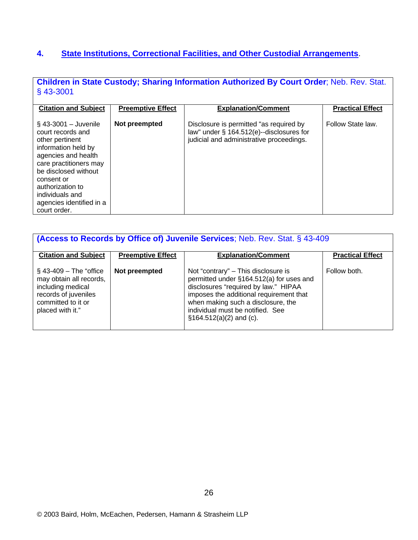### **4. State Institutions, Correctional Facilities, and Other Custodial Arrangements**.

**Children in State Custody; Sharing Information Authorized By Court Order**; Neb. Rev. Stat. § 43-3001

| <b>Citation and Subject</b>                                                                                                                                                                                                                                      | <b>Preemptive Effect</b> | <b>Explanation/Comment</b>                                                                                                         | <b>Practical Effect</b> |
|------------------------------------------------------------------------------------------------------------------------------------------------------------------------------------------------------------------------------------------------------------------|--------------------------|------------------------------------------------------------------------------------------------------------------------------------|-------------------------|
| $\S$ 43-3001 - Juvenile<br>court records and<br>other pertinent<br>information held by<br>agencies and health<br>care practitioners may<br>be disclosed without<br>consent or<br>authorization to<br>individuals and<br>agencies identified in a<br>court order. | Not preempted            | Disclosure is permitted "as required by<br>law" under $\S$ 164.512(e)--disclosures for<br>judicial and administrative proceedings. | Follow State law.       |

| <b>(Access to Records by Office of) Juvenile Services</b> ; Neb. Rev. Stat. § 43-409                                                         |                          |                                                                                                                                                                                                                                                                            |                         |
|----------------------------------------------------------------------------------------------------------------------------------------------|--------------------------|----------------------------------------------------------------------------------------------------------------------------------------------------------------------------------------------------------------------------------------------------------------------------|-------------------------|
| <b>Citation and Subject</b>                                                                                                                  | <b>Preemptive Effect</b> | <b>Explanation/Comment</b>                                                                                                                                                                                                                                                 | <b>Practical Effect</b> |
| $\S$ 43-409 – The "office"<br>may obtain all records,<br>including medical<br>records of juveniles<br>committed to it or<br>placed with it." | Not preempted            | Not "contrary" – This disclosure is<br>permitted under §164.512(a) for uses and<br>disclosures "required by law." HIPAA<br>imposes the additional requirement that<br>when making such a disclosure, the<br>individual must be notified. See<br>$\S164.512(a)(2)$ and (c). | Follow both.            |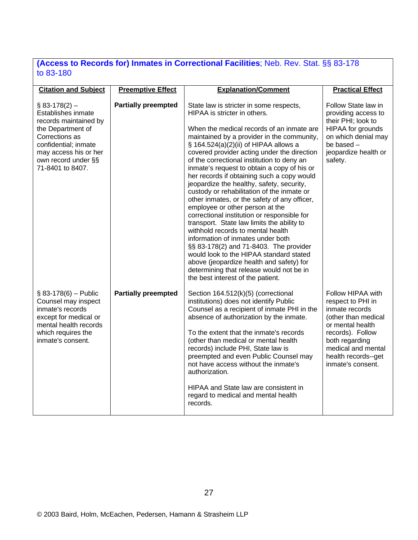#### **(Access to Records for) Inmates in Correctional Facilities**; Neb. Rev. Stat. §§ 83-178 to 83-180

| <b>Citation and Subject</b>                                                                                                                                                                      | <b>Preemptive Effect</b>   | <b>Explanation/Comment</b>                                                                                                                                                                                                                                                                                                                                                                                                                                                                                                                                                                                                                                                                                                                                                                                                                                                                                                                                                   | <b>Practical Effect</b>                                                                                                                                                                                     |
|--------------------------------------------------------------------------------------------------------------------------------------------------------------------------------------------------|----------------------------|------------------------------------------------------------------------------------------------------------------------------------------------------------------------------------------------------------------------------------------------------------------------------------------------------------------------------------------------------------------------------------------------------------------------------------------------------------------------------------------------------------------------------------------------------------------------------------------------------------------------------------------------------------------------------------------------------------------------------------------------------------------------------------------------------------------------------------------------------------------------------------------------------------------------------------------------------------------------------|-------------------------------------------------------------------------------------------------------------------------------------------------------------------------------------------------------------|
| $$83-178(2)$ -<br>Establishes inmate<br>records maintained by<br>the Department of<br>Corrections as<br>confidential; inmate<br>may access his or her<br>own record under §§<br>71-8401 to 8407. | <b>Partially preempted</b> | State law is stricter in some respects,<br>HIPAA is stricter in others.<br>When the medical records of an inmate are<br>maintained by a provider in the community,<br>§ 164.524(a)(2)(ii) of HIPAA allows a<br>covered provider acting under the direction<br>of the correctional institution to deny an<br>inmate's request to obtain a copy of his or<br>her records if obtaining such a copy would<br>jeopardize the healthy, safety, security,<br>custody or rehabilitation of the inmate or<br>other inmates, or the safety of any officer,<br>employee or other person at the<br>correctional institution or responsible for<br>transport. State law limits the ability to<br>withhold records to mental health<br>information of inmates under both<br>§§ 83-178(2) and 71-8403. The provider<br>would look to the HIPAA standard stated<br>above (jeopardize health and safety) for<br>determining that release would not be in<br>the best interest of the patient. | Follow State law in<br>providing access to<br>their PHI; look to<br>HIPAA for grounds<br>on which denial may<br>be based -<br>jeopardize health or<br>safety.                                               |
| $$83-178(6) - Public$<br>Counsel may inspect<br>inmate's records<br>except for medical or<br>mental health records<br>which requires the<br>inmate's consent.                                    | <b>Partially preempted</b> | Section 164.512(k)(5) (correctional<br>institutions) does not identify Public<br>Counsel as a recipient of inmate PHI in the<br>absence of authorization by the inmate.<br>To the extent that the inmate's records<br>(other than medical or mental health<br>records) include PHI, State law is<br>preempted and even Public Counsel may<br>not have access without the inmate's<br>authorization.<br>HIPAA and State law are consistent in<br>regard to medical and mental health<br>records.                                                                                                                                                                                                                                                                                                                                                                                                                                                                              | Follow HIPAA with<br>respect to PHI in<br>inmate records<br>(other than medical<br>or mental health<br>records). Follow<br>both regarding<br>medical and mental<br>health records--get<br>inmate's consent. |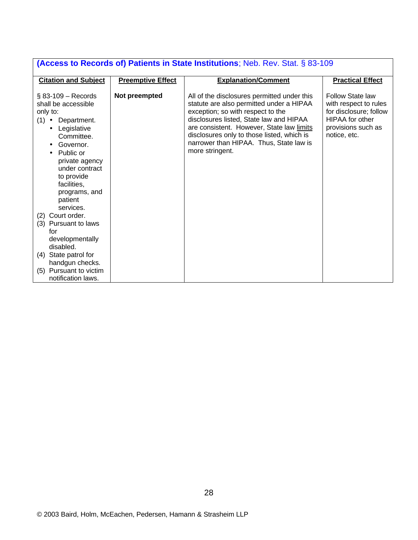| (Access to Records of) Patients in State Institutions; Neb. Rev. Stat. § 83-109                                                                                                                                                                                                                                         |                          |                                                                                                                                                                                                                                                                                                                                  |                                                                                                                                            |  |  |
|-------------------------------------------------------------------------------------------------------------------------------------------------------------------------------------------------------------------------------------------------------------------------------------------------------------------------|--------------------------|----------------------------------------------------------------------------------------------------------------------------------------------------------------------------------------------------------------------------------------------------------------------------------------------------------------------------------|--------------------------------------------------------------------------------------------------------------------------------------------|--|--|
| <b>Citation and Subject</b>                                                                                                                                                                                                                                                                                             | <b>Preemptive Effect</b> | <b>Explanation/Comment</b>                                                                                                                                                                                                                                                                                                       | <b>Practical Effect</b>                                                                                                                    |  |  |
| $\S$ 83-109 – Records<br>shall be accessible<br>only to:<br>$(1) \bullet$<br>Department.<br>Legislative<br>$\bullet$<br>Committee.<br>Governor.<br>$\bullet$<br>Public or<br>$\bullet$<br>private agency<br>under contract<br>to provide<br>facilities,<br>programs, and<br>patient<br>services.<br>Court order.<br>(2) | Not preempted            | All of the disclosures permitted under this<br>statute are also permitted under a HIPAA<br>exception; so with respect to the<br>disclosures listed, State law and HIPAA<br>are consistent. However, State law limits<br>disclosures only to those listed, which is<br>narrower than HIPAA. Thus, State law is<br>more stringent. | <b>Follow State law</b><br>with respect to rules<br>for disclosure; follow<br><b>HIPAA</b> for other<br>provisions such as<br>notice, etc. |  |  |
| (3) Pursuant to laws<br>for<br>developmentally<br>disabled.                                                                                                                                                                                                                                                             |                          |                                                                                                                                                                                                                                                                                                                                  |                                                                                                                                            |  |  |
| (4) State patrol for<br>handgun checks.                                                                                                                                                                                                                                                                                 |                          |                                                                                                                                                                                                                                                                                                                                  |                                                                                                                                            |  |  |
| (5) Pursuant to victim<br>notification laws.                                                                                                                                                                                                                                                                            |                          |                                                                                                                                                                                                                                                                                                                                  |                                                                                                                                            |  |  |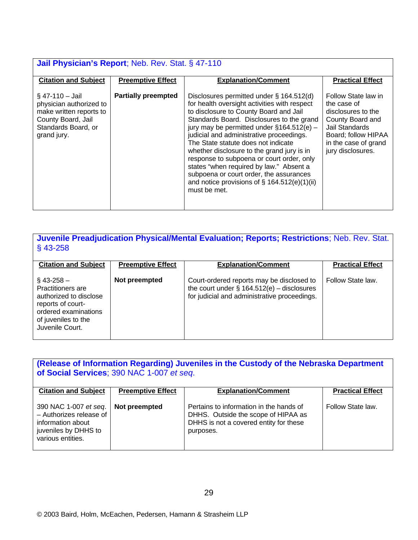| <b>Jail Physician's Report</b> ; Neb. Rev. Stat. § 47-110                                                                           |                            |                                                                                                                                                                                                                                                                                                                                                                                                                                                                                                                                                                       |                                                                                                                                                                           |  |
|-------------------------------------------------------------------------------------------------------------------------------------|----------------------------|-----------------------------------------------------------------------------------------------------------------------------------------------------------------------------------------------------------------------------------------------------------------------------------------------------------------------------------------------------------------------------------------------------------------------------------------------------------------------------------------------------------------------------------------------------------------------|---------------------------------------------------------------------------------------------------------------------------------------------------------------------------|--|
| <b>Citation and Subject</b>                                                                                                         | <b>Preemptive Effect</b>   | <b>Explanation/Comment</b>                                                                                                                                                                                                                                                                                                                                                                                                                                                                                                                                            | <b>Practical Effect</b>                                                                                                                                                   |  |
| $§$ 47-110 - Jail<br>physician authorized to<br>make written reports to<br>County Board, Jail<br>Standards Board, or<br>grand jury. | <b>Partially preempted</b> | Disclosures permitted under § 164.512(d)<br>for health oversight activities with respect<br>to disclosure to County Board and Jail<br>Standards Board. Disclosures to the grand<br>jury may be permitted under $§164.512(e)$ -<br>judicial and administrative proceedings.<br>The State statute does not indicate<br>whether disclosure to the grand jury is in<br>response to subpoena or court order, only<br>states "when required by law." Absent a<br>subpoena or court order, the assurances<br>and notice provisions of $\S$ 164.512(e)(1)(ii)<br>must be met. | Follow State law in<br>the case of<br>disclosures to the<br>County Board and<br><b>Jail Standards</b><br>Board; follow HIPAA<br>in the case of grand<br>jury disclosures. |  |

**Juvenile Preadjudication Physical/Mental Evaluation; Reports; Restrictions**; Neb. Rev. Stat. § 43-258

| <b>Citation and Subject</b>                                                                                                                               | <b>Preemptive Effect</b> | <b>Explanation/Comment</b>                                                                                                                 | <b>Practical Effect</b> |
|-----------------------------------------------------------------------------------------------------------------------------------------------------------|--------------------------|--------------------------------------------------------------------------------------------------------------------------------------------|-------------------------|
| $§$ 43-258 -<br><b>Practitioners are</b><br>authorized to disclose<br>reports of court-<br>ordered examinations<br>of juveniles to the<br>Juvenile Court. | Not preempted            | Court-ordered reports may be disclosed to<br>the court under $\S$ 164.512(e) – disclosures<br>for judicial and administrative proceedings. | Follow State law.       |

# **(Release of Information Regarding) Juveniles in the Custody of the Nebraska Department of Social Services**; 390 NAC 1-007 *et seq*.

| <b>Citation and Subject</b>                                                                                        | <b>Preemptive Effect</b> | <b>Explanation/Comment</b>                                                                                                            | <b>Practical Effect</b> |
|--------------------------------------------------------------------------------------------------------------------|--------------------------|---------------------------------------------------------------------------------------------------------------------------------------|-------------------------|
| 390 NAC 1-007 et seq.<br>- Authorizes release of<br>information about<br>juveniles by DHHS to<br>various entities. | Not preempted            | Pertains to information in the hands of<br>DHHS. Outside the scope of HIPAA as<br>DHHS is not a covered entity for these<br>purposes. | Follow State law.       |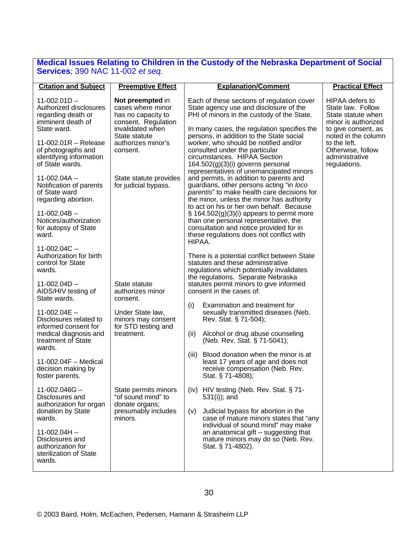#### **Medical Issues Relating to Children in the Custody of the Nebraska Department of Social Services**; 390 NAC 11-002 *et seq.*

| <b>Citation and Subject</b>                                                                        | <b>Preemptive Effect</b>                                                                               | <b>Explanation/Comment</b>                                                                                                                                                                                                            | <b>Practical Effect</b>                                                                                         |
|----------------------------------------------------------------------------------------------------|--------------------------------------------------------------------------------------------------------|---------------------------------------------------------------------------------------------------------------------------------------------------------------------------------------------------------------------------------------|-----------------------------------------------------------------------------------------------------------------|
| $11-002.01D -$<br>Authorized disclosures<br>regarding death or<br>imminent death of<br>State ward. | Not preempted in<br>cases where minor<br>has no capacity to<br>consent. Regulation<br>invalidated when | Each of these sections of regulation cover<br>State agency use and disclosure of the<br>PHI of minors in the custody of the State.<br>In many cases, the regulation specifies the                                                     | <b>HIPAA</b> defers to<br>State law. Follow<br>State statute when<br>minor is authorized<br>to give consent, as |
| 11-002.01 $R -$ Release<br>of photographs and<br>identifying information<br>of State wards.        | State statute<br>authorizes minor's<br>consent.                                                        | persons, in addition to the State social<br>worker, who should be notified and/or<br>consulted under the particular<br>circumstances. HIPAA Section<br>$164.502(g)(3)(i)$ governs personal<br>representatives of unemancipated minors | noted in the column<br>to the left.<br>Otherwise, follow<br>administrative<br>regulations.                      |
| $11-002.04A -$<br>Notification of parents<br>of State ward<br>regarding abortion.                  | State statute provides<br>for judicial bypass.                                                         | and permits, in addition to parents and<br>guardians, other persons acting "in loco<br>parentis" to make health care decisions for<br>the minor, unless the minor has authority<br>to act on his or her own behalf. Because           |                                                                                                                 |
| $11-002.04B -$<br>Notices/authorization<br>for autopsy of State<br>ward.                           |                                                                                                        | $\S$ 164.502(g)(3)(i) appears to permit more<br>than one personal representative, the<br>consultation and notice provided for in<br>these regulations does not conflict with<br>HIPAA.                                                |                                                                                                                 |
| $11 - 002.04C -$<br>Authorization for birth<br>control for State<br>wards.                         |                                                                                                        | There is a potential conflict between State<br>statutes and these administrative<br>regulations which potentially invalidates<br>the regulations. Separate Nebraska                                                                   |                                                                                                                 |
| $11-002.04D -$<br>AIDS/HIV testing of<br>State wards.                                              | State statute<br>authorizes minor<br>consent.                                                          | statutes permit minors to give informed<br>consent in the cases of:                                                                                                                                                                   |                                                                                                                 |
| $11-002.04E -$<br>Disclosures related to<br>informed consent for                                   | Under State law,<br>minors may consent<br>for STD testing and                                          | Examination and treatment for<br>(i)<br>sexually transmitted diseases (Neb.<br>Rev. Stat. § 71-504);                                                                                                                                  |                                                                                                                 |
| medical diagnosis and<br>treatment of State<br>wards.                                              | treatment.                                                                                             | (ii)<br>Alcohol or drug abuse counseling<br>(Neb. Rev. Stat. § 71-5041);                                                                                                                                                              |                                                                                                                 |
| $11-002.04F$ – Medical<br>decision making by<br>foster parents.                                    |                                                                                                        | (iii)<br>Blood donation when the minor is at<br>least 17 years of age and does not<br>receive compensation (Neb. Rev.<br>Stat. § 71-4808);                                                                                            |                                                                                                                 |
| $11 - 002.046G -$<br>Disclosures and<br>authorization for organ                                    | State permits minors<br>"of sound mind" to<br>donate organs;                                           | (iv) HIV testing (Neb. Rev. Stat. § 71-<br>531(i)); and                                                                                                                                                                               |                                                                                                                 |
| donation by State<br>wards.                                                                        | presumably includes<br>minors.                                                                         | Judicial bypass for abortion in the<br>(V)<br>case of mature minors states that "any<br>individual of sound mind" may make                                                                                                            |                                                                                                                 |
| $11-002.04H -$<br>Disclosures and<br>authorization for<br>sterilization of State<br>wards.         |                                                                                                        | an anatomical gift $-$ suggesting that<br>mature minors may do so (Neb. Rev.<br>Stat. § 71-4802).                                                                                                                                     |                                                                                                                 |
|                                                                                                    |                                                                                                        |                                                                                                                                                                                                                                       |                                                                                                                 |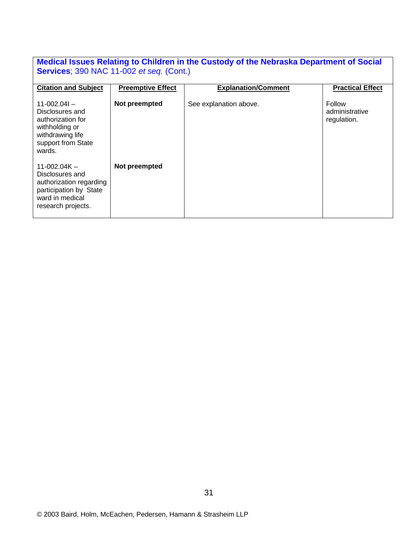#### **Medical Issues Relating to Children in the Custody of the Nebraska Department of Social Services**; 390 NAC 11-002 *et seq.* (Cont.)

| <b>Citation and Subject</b>                                                                                                     | <b>Preemptive Effect</b> | <b>Explanation/Comment</b> | <b>Practical Effect</b>                 |
|---------------------------------------------------------------------------------------------------------------------------------|--------------------------|----------------------------|-----------------------------------------|
| $11-002.041 -$<br>Disclosures and<br>authorization for<br>withholding or<br>withdrawing life<br>support from State<br>wards.    | Not preempted            | See explanation above.     | Follow<br>administrative<br>regulation. |
| $11-002.04K -$<br>Disclosures and<br>authorization regarding<br>participation by State<br>ward in medical<br>research projects. | Not preempted            |                            |                                         |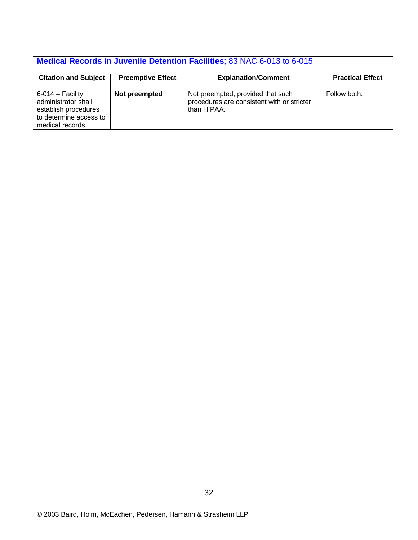# **Medical Records in Juvenile Detention Facilities**; 83 NAC 6-013 to 6-015

| <b>Citation and Subject</b>                                                                                     | <b>Preemptive Effect</b> | <b>Explanation/Comment</b>                                                                     | <b>Practical Effect</b> |
|-----------------------------------------------------------------------------------------------------------------|--------------------------|------------------------------------------------------------------------------------------------|-------------------------|
|                                                                                                                 |                          |                                                                                                |                         |
| $6-014$ – Facility<br>administrator shall<br>establish procedures<br>to determine access to<br>medical records. | Not preempted            | Not preempted, provided that such<br>procedures are consistent with or stricter<br>than HIPAA. | Follow both.            |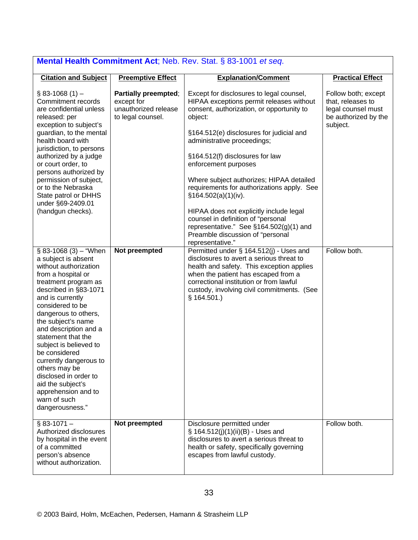| <b>Mental Health Commitment Act</b> ; Neb. Rev. Stat. § 83-1001 <i>et seq.</i>                                                                                                                                                                                                                                                                                                                                                                                                  |                                                                                 |                                                                                                                                                                                                                                                                                                                                                                                                                                                                                                                                                                                          |                                                                                                    |  |
|---------------------------------------------------------------------------------------------------------------------------------------------------------------------------------------------------------------------------------------------------------------------------------------------------------------------------------------------------------------------------------------------------------------------------------------------------------------------------------|---------------------------------------------------------------------------------|------------------------------------------------------------------------------------------------------------------------------------------------------------------------------------------------------------------------------------------------------------------------------------------------------------------------------------------------------------------------------------------------------------------------------------------------------------------------------------------------------------------------------------------------------------------------------------------|----------------------------------------------------------------------------------------------------|--|
| <b>Citation and Subject</b>                                                                                                                                                                                                                                                                                                                                                                                                                                                     | <b>Preemptive Effect</b>                                                        | <b>Explanation/Comment</b>                                                                                                                                                                                                                                                                                                                                                                                                                                                                                                                                                               | <b>Practical Effect</b>                                                                            |  |
| $§$ 83-1068 (1) -<br>Commitment records<br>are confidential unless<br>released: per<br>exception to subject's<br>guardian, to the mental<br>health board with<br>jurisdiction, to persons<br>authorized by a judge<br>or court order, to<br>persons authorized by<br>permission of subject,<br>or to the Nebraska<br>State patrol or DHHS<br>under §69-2409.01<br>(handgun checks).                                                                                             | Partially preempted;<br>except for<br>unauthorized release<br>to legal counsel. | Except for disclosures to legal counsel,<br>HIPAA exceptions permit releases without<br>consent, authorization, or opportunity to<br>object:<br>§164.512(e) disclosures for judicial and<br>administrative proceedings;<br>§164.512(f) disclosures for law<br>enforcement purposes<br>Where subject authorizes; HIPAA detailed<br>requirements for authorizations apply. See<br>\$164.502(a)(1)(iv).<br>HIPAA does not explicitly include legal<br>counsel in definition of "personal<br>representative." See §164.502(g)(1) and<br>Preamble discussion of "personal<br>representative." | Follow both; except<br>that, releases to<br>legal counsel must<br>be authorized by the<br>subject. |  |
| $$83-1068(3) - "When$<br>a subject is absent<br>without authorization<br>from a hospital or<br>treatment program as<br>described in §83-1071<br>and is currently<br>considered to be<br>dangerous to others,<br>the subject's name<br>and description and a<br>statement that the<br>subject is believed to<br>be considered<br>currently dangerous to<br>others may be<br>disclosed in order to<br>aid the subject's<br>apprehension and to<br>warn of such<br>dangerousness." | Not preempted                                                                   | Permitted under § 164.512(j) - Uses and<br>disclosures to avert a serious threat to<br>health and safety. This exception applies<br>when the patient has escaped from a<br>correctional institution or from lawful<br>custody, involving civil commitments. (See<br>§ 164.501.                                                                                                                                                                                                                                                                                                           | Follow both.                                                                                       |  |
| $§$ 83-1071 -<br>Authorized disclosures<br>by hospital in the event<br>of a committed<br>person's absence<br>without authorization.                                                                                                                                                                                                                                                                                                                                             | Not preempted                                                                   | Disclosure permitted under<br>§ 164.512(j)(1)(ii)(B) - Uses and<br>disclosures to avert a serious threat to<br>health or safety, specifically governing<br>escapes from lawful custody.                                                                                                                                                                                                                                                                                                                                                                                                  | Follow both.                                                                                       |  |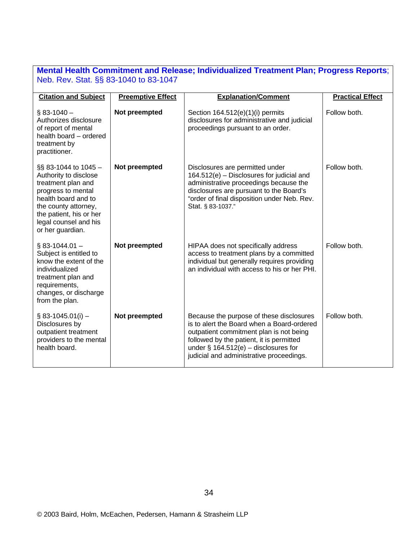#### **Mental Health Commitment and Release; Individualized Treatment Plan; Progress Reports**; Neb. Rev. Stat. §§ 83-1040 to 83-1047

| <b>Citation and Subject</b>                                                                                                                                                                                          | <b>Preemptive Effect</b> | <b>Explanation/Comment</b>                                                                                                                                                                                                                                           | <b>Practical Effect</b> |
|----------------------------------------------------------------------------------------------------------------------------------------------------------------------------------------------------------------------|--------------------------|----------------------------------------------------------------------------------------------------------------------------------------------------------------------------------------------------------------------------------------------------------------------|-------------------------|
| $§$ 83-1040 -<br>Authorizes disclosure<br>of report of mental<br>health board - ordered<br>treatment by<br>practitioner.                                                                                             | Not preempted            | Section $164.512(e)(1)(i)$ permits<br>disclosures for administrative and judicial<br>proceedings pursuant to an order.                                                                                                                                               | Follow both.            |
| $\S$ § 83-1044 to 1045 -<br>Authority to disclose<br>treatment plan and<br>progress to mental<br>health board and to<br>the county attorney,<br>the patient, his or her<br>legal counsel and his<br>or her guardian. | Not preempted            | Disclosures are permitted under<br>164.512(e) - Disclosures for judicial and<br>administrative proceedings because the<br>disclosures are pursuant to the Board's<br>"order of final disposition under Neb. Rev.<br>Stat. § 83-1037."                                | Follow both.            |
| $§$ 83-1044.01 -<br>Subject is entitled to<br>know the extent of the<br>individualized<br>treatment plan and<br>requirements,<br>changes, or discharge<br>from the plan.                                             | Not preempted            | HIPAA does not specifically address<br>access to treatment plans by a committed<br>individual but generally requires providing<br>an individual with access to his or her PHI.                                                                                       | Follow both.            |
| $\S$ 83-1045.01(i) –<br>Disclosures by<br>outpatient treatment<br>providers to the mental<br>health board.                                                                                                           | Not preempted            | Because the purpose of these disclosures<br>is to alert the Board when a Board-ordered<br>outpatient commitment plan is not being<br>followed by the patient, it is permitted<br>under $\S$ 164.512(e) – disclosures for<br>judicial and administrative proceedings. | Follow both.            |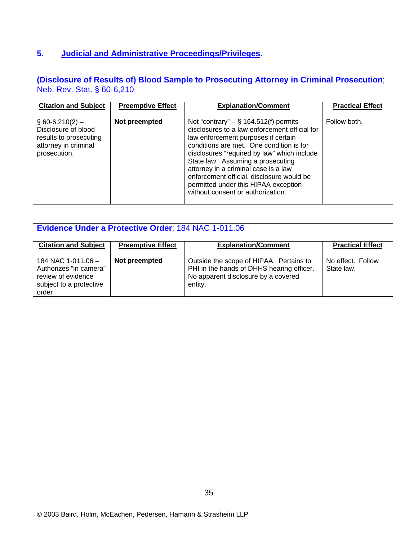#### **5. Judicial and Administrative Proceedings/Privileges**.

**(Disclosure of Results of) Blood Sample to Prosecuting Attorney in Criminal Prosecution**; Neb. Rev. Stat. § 60-6,210

| <b>Citation and Subject</b>                                                                                 | <b>Preemptive Effect</b> | <b>Explanation/Comment</b>                                                                                                                                                                                                                                                                                                                                                                                                        | <b>Practical Effect</b> |  |
|-------------------------------------------------------------------------------------------------------------|--------------------------|-----------------------------------------------------------------------------------------------------------------------------------------------------------------------------------------------------------------------------------------------------------------------------------------------------------------------------------------------------------------------------------------------------------------------------------|-------------------------|--|
| $\S$ 60-6,210(2) –<br>Disclosure of blood<br>results to prosecuting<br>attorney in criminal<br>prosecution. | Not preempted            | Not "contrary" $-$ § 164.512(f) permits<br>disclosures to a law enforcement official for<br>law enforcement purposes if certain<br>conditions are met. One condition is for<br>disclosures "required by law" which include<br>State law. Assuming a prosecuting<br>attorney in a criminal case is a law<br>enforcement official, disclosure would be<br>permitted under this HIPAA exception<br>without consent or authorization. | Follow both.            |  |

| <b>Evidence Under a Protective Order: 184 NAC 1-011.06</b>                                               |                          |                                                                                                                                        |                                 |
|----------------------------------------------------------------------------------------------------------|--------------------------|----------------------------------------------------------------------------------------------------------------------------------------|---------------------------------|
| <b>Citation and Subject</b>                                                                              | <b>Preemptive Effect</b> | <b>Explanation/Comment</b>                                                                                                             | <b>Practical Effect</b>         |
| 184 NAC 1-011.06 $-$<br>Authorizes "in camera"<br>review of evidence<br>subject to a protective<br>order | Not preempted            | Outside the scope of HIPAA. Pertains to<br>PHI in the hands of DHHS hearing officer.<br>No apparent disclosure by a covered<br>entity. | No effect. Follow<br>State law. |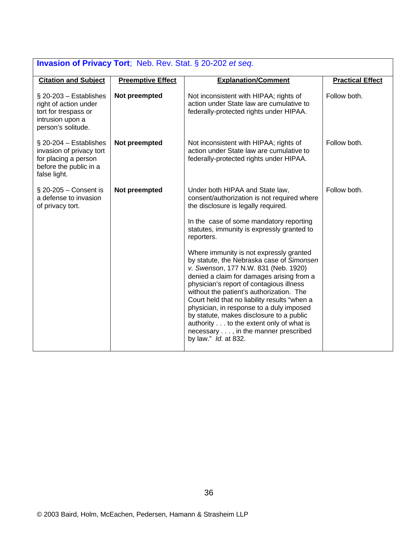| <b>Invasion of Privacy Tort; Neb. Rev. Stat. § 20-202 et seq.</b>                                                       |                          |                                                                                                                                                                                                                                                                                                                                                                                                                                                                                                                      |                         |
|-------------------------------------------------------------------------------------------------------------------------|--------------------------|----------------------------------------------------------------------------------------------------------------------------------------------------------------------------------------------------------------------------------------------------------------------------------------------------------------------------------------------------------------------------------------------------------------------------------------------------------------------------------------------------------------------|-------------------------|
| <b>Citation and Subject</b>                                                                                             | <b>Preemptive Effect</b> | <b>Explanation/Comment</b>                                                                                                                                                                                                                                                                                                                                                                                                                                                                                           | <b>Practical Effect</b> |
| $\S$ 20-203 – Establishes<br>right of action under<br>tort for trespass or<br>intrusion upon a<br>person's solitude.    | Not preempted            | Not inconsistent with HIPAA; rights of<br>action under State law are cumulative to<br>federally-protected rights under HIPAA.                                                                                                                                                                                                                                                                                                                                                                                        | Follow both.            |
| $\S$ 20-204 – Establishes<br>invasion of privacy tort<br>for placing a person<br>before the public in a<br>false light. | Not preempted            | Not inconsistent with HIPAA; rights of<br>action under State law are cumulative to<br>federally-protected rights under HIPAA.                                                                                                                                                                                                                                                                                                                                                                                        | Follow both.            |
| $\S$ 20-205 - Consent is<br>a defense to invasion<br>of privacy tort.                                                   | Not preempted            | Under both HIPAA and State law,<br>consent/authorization is not required where<br>the disclosure is legally required.                                                                                                                                                                                                                                                                                                                                                                                                | Follow both.            |
|                                                                                                                         |                          | In the case of some mandatory reporting<br>statutes, immunity is expressly granted to<br>reporters.                                                                                                                                                                                                                                                                                                                                                                                                                  |                         |
|                                                                                                                         |                          | Where immunity is not expressly granted<br>by statute, the Nebraska case of Simonsen<br>v. Swenson, 177 N.W. 831 (Neb. 1920)<br>denied a claim for damages arising from a<br>physician's report of contagious illness<br>without the patient's authorization. The<br>Court held that no liability results "when a<br>physician, in response to a duly imposed<br>by statute, makes disclosure to a public<br>authority to the extent only of what is<br>necessary , in the manner prescribed<br>by law." Id. at 832. |                         |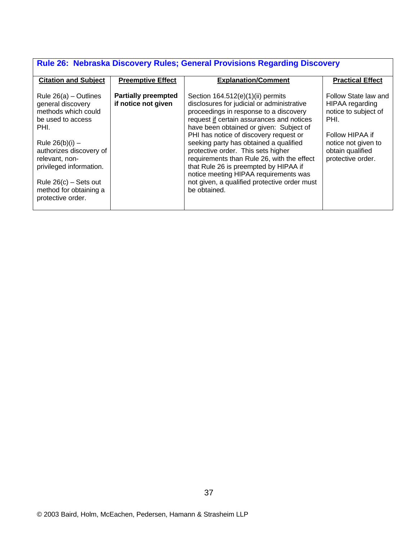| Rule 26: Nebraska Discovery Rules; General Provisions Regarding Discovery                                                                                                                                                                                               |                                                   |                                                                                                                                                                                                                                                                                                                                                                                                                                                                                                                                               |                                                                                                                                                            |  |
|-------------------------------------------------------------------------------------------------------------------------------------------------------------------------------------------------------------------------------------------------------------------------|---------------------------------------------------|-----------------------------------------------------------------------------------------------------------------------------------------------------------------------------------------------------------------------------------------------------------------------------------------------------------------------------------------------------------------------------------------------------------------------------------------------------------------------------------------------------------------------------------------------|------------------------------------------------------------------------------------------------------------------------------------------------------------|--|
| <b>Citation and Subject</b>                                                                                                                                                                                                                                             | <b>Preemptive Effect</b>                          | <b>Explanation/Comment</b>                                                                                                                                                                                                                                                                                                                                                                                                                                                                                                                    | <b>Practical Effect</b>                                                                                                                                    |  |
| Rule $26(a)$ – Outlines<br>general discovery<br>methods which could<br>be used to access<br>PHI.<br>Rule $26(b)(i) -$<br>authorizes discovery of<br>relevant, non-<br>privileged information.<br>Rule $26(c)$ – Sets out<br>method for obtaining a<br>protective order. | <b>Partially preempted</b><br>if notice not given | Section $164.512(e)(1)(ii)$ permits<br>disclosures for judicial or administrative<br>proceedings in response to a discovery<br>request if certain assurances and notices<br>have been obtained or given: Subject of<br>PHI has notice of discovery request or<br>seeking party has obtained a qualified<br>protective order. This sets higher<br>requirements than Rule 26, with the effect<br>that Rule 26 is preempted by HIPAA if<br>notice meeting HIPAA requirements was<br>not given, a qualified protective order must<br>be obtained. | Follow State law and<br>HIPAA regarding<br>notice to subject of<br>PHI.<br>Follow HIPAA if<br>notice not given to<br>obtain qualified<br>protective order. |  |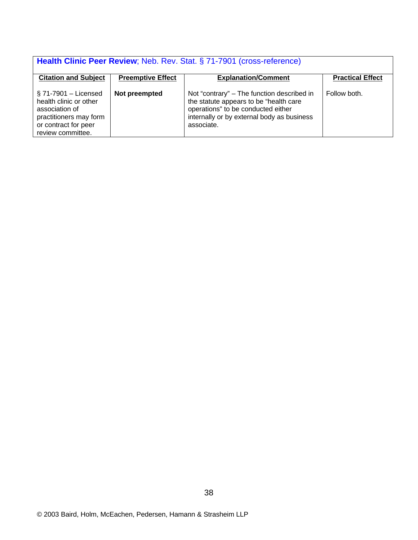| Health Clinic Peer Review; Neb. Rev. Stat. § 71-7901 (cross-reference)                                                                     |                          |                                                                                                                                                                                        |                         |  |
|--------------------------------------------------------------------------------------------------------------------------------------------|--------------------------|----------------------------------------------------------------------------------------------------------------------------------------------------------------------------------------|-------------------------|--|
| <b>Citation and Subject</b>                                                                                                                | <b>Preemptive Effect</b> | <b>Explanation/Comment</b>                                                                                                                                                             | <b>Practical Effect</b> |  |
| $\S$ 71-7901 – Licensed<br>health clinic or other<br>association of<br>practitioners may form<br>or contract for peer<br>review committee. | Not preempted            | Not "contrary" - The function described in<br>the statute appears to be "health care<br>operations" to be conducted either<br>internally or by external body as business<br>associate. | Follow both.            |  |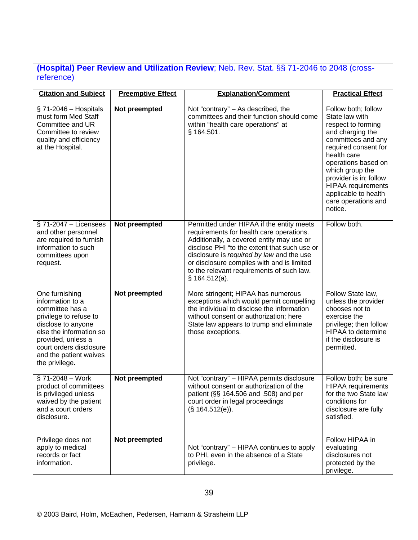#### **(Hospital) Peer Review and Utilization Review**; Neb. Rev. Stat. §§ 71-2046 to 2048 (crossreference)

| <b>Citation and Subject</b>                                                                                                                                                                                                   | <b>Preemptive Effect</b> | <b>Explanation/Comment</b>                                                                                                                                                                                                                                                                                                                  | <b>Practical Effect</b>                                                                                                                                                                                                                                                                                 |
|-------------------------------------------------------------------------------------------------------------------------------------------------------------------------------------------------------------------------------|--------------------------|---------------------------------------------------------------------------------------------------------------------------------------------------------------------------------------------------------------------------------------------------------------------------------------------------------------------------------------------|---------------------------------------------------------------------------------------------------------------------------------------------------------------------------------------------------------------------------------------------------------------------------------------------------------|
| $\S$ 71-2046 – Hospitals<br>must form Med Staff<br>Committee and UR<br>Committee to review<br>quality and efficiency<br>at the Hospital.                                                                                      | Not preempted            | Not "contrary" - As described, the<br>committees and their function should come<br>within "health care operations" at<br>§ 164.501.                                                                                                                                                                                                         | Follow both; follow<br>State law with<br>respect to forming<br>and charging the<br>committees and any<br>required consent for<br>health care<br>operations based on<br>which group the<br>provider is in; follow<br><b>HIPAA</b> requirements<br>applicable to health<br>care operations and<br>notice. |
| $\S$ 71-2047 - Licensees<br>and other personnel<br>are required to furnish<br>information to such<br>committees upon<br>request.                                                                                              | Not preempted            | Permitted under HIPAA if the entity meets<br>requirements for health care operations.<br>Additionally, a covered entity may use or<br>disclose PHI "to the extent that such use or<br>disclosure is required by law and the use<br>or disclosure complies with and is limited<br>to the relevant requirements of such law.<br>§ 164.512(a). | Follow both.                                                                                                                                                                                                                                                                                            |
| One furnishing<br>information to a<br>committee has a<br>privilege to refuse to<br>disclose to anyone<br>else the information so<br>provided, unless a<br>court orders disclosure<br>and the patient waives<br>the privilege. | Not preempted            | More stringent; HIPAA has numerous<br>exceptions which would permit compelling<br>the individual to disclose the information<br>without consent or authorization; here<br>State law appears to trump and eliminate<br>those exceptions.                                                                                                     | Follow State law,<br>unless the provider<br>chooses not to<br>exercise the<br>privilege; then follow<br><b>HIPAA to determine</b><br>if the disclosure is<br>permitted.                                                                                                                                 |
| §71-2048 - Work<br>product of committees<br>is privileged unless<br>waived by the patient<br>and a court orders<br>disclosure.                                                                                                | Not preempted            | Not "contrary" - HIPAA permits disclosure<br>without consent or authorization of the<br>patient (§§ 164.506 and .508) and per<br>court order in legal proceedings<br>(S. 164.512(e)).                                                                                                                                                       | Follow both; be sure<br><b>HIPAA</b> requirements<br>for the two State law<br>conditions for<br>disclosure are fully<br>satisfied.                                                                                                                                                                      |
| Privilege does not<br>apply to medical<br>records or fact<br>information.                                                                                                                                                     | Not preempted            | Not "contrary" – HIPAA continues to apply<br>to PHI, even in the absence of a State<br>privilege.                                                                                                                                                                                                                                           | Follow HIPAA in<br>evaluating<br>disclosures not<br>protected by the<br>privilege.                                                                                                                                                                                                                      |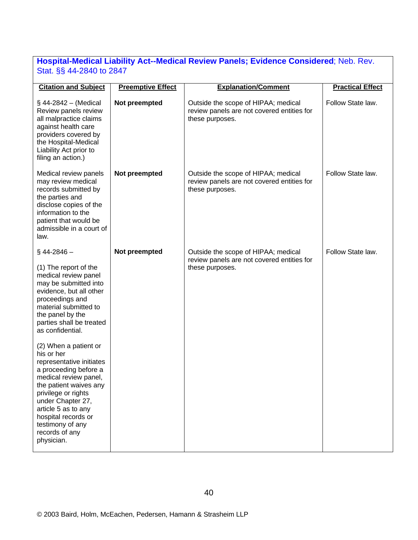#### **Hospital-Medical Liability Act--Medical Review Panels; Evidence Considered**; Neb. Rev. Stat. §§ 44-2840 to 2847

| <b>Preemptive Effect</b> | <b>Explanation/Comment</b>                                                                           | <b>Practical Effect</b>                    |
|--------------------------|------------------------------------------------------------------------------------------------------|--------------------------------------------|
| Not preempted            | Outside the scope of HIPAA; medical<br>review panels are not covered entities for<br>these purposes. | Follow State law.                          |
| Not preempted            | Outside the scope of HIPAA; medical<br>review panels are not covered entities for<br>these purposes. | Follow State law.                          |
| Not preempted            | Outside the scope of HIPAA; medical                                                                  | Follow State law.                          |
|                          | these purposes.                                                                                      |                                            |
|                          |                                                                                                      |                                            |
|                          |                                                                                                      | review panels are not covered entities for |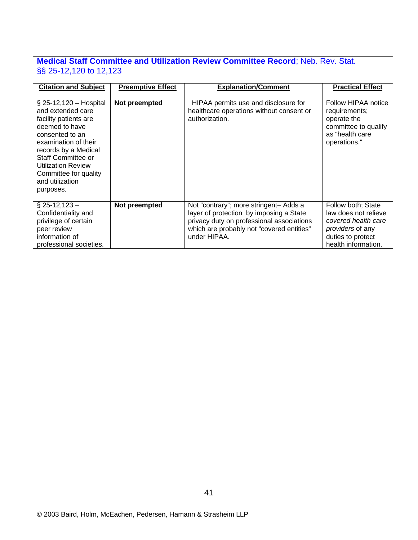#### **Medical Staff Committee and Utilization Review Committee Record**; Neb. Rev. Stat. §§ 25-12,120 to 12,123

| <b>Citation and Subject</b>                                                                                                                                                                                                                                              | <b>Preemptive Effect</b> | <b>Explanation/Comment</b>                                                                                                                                                                  | <b>Practical Effect</b>                                                                                                           |
|--------------------------------------------------------------------------------------------------------------------------------------------------------------------------------------------------------------------------------------------------------------------------|--------------------------|---------------------------------------------------------------------------------------------------------------------------------------------------------------------------------------------|-----------------------------------------------------------------------------------------------------------------------------------|
| $\S$ 25-12,120 – Hospital<br>and extended care<br>facility patients are<br>deemed to have<br>consented to an<br>examination of their<br>records by a Medical<br>Staff Committee or<br><b>Utilization Review</b><br>Committee for quality<br>and utilization<br>purposes. | Not preempted            | HIPAA permits use and disclosure for<br>healthcare operations without consent or<br>authorization.                                                                                          | Follow HIPAA notice<br>requirements;<br>operate the<br>committee to qualify<br>as "health care<br>operations."                    |
| $\S$ 25-12,123 -<br>Confidentiality and<br>privilege of certain<br>peer review<br>information of<br>professional societies.                                                                                                                                              | Not preempted            | Not "contrary"; more stringent- Adds a<br>layer of protection by imposing a State<br>privacy duty on professional associations<br>which are probably not "covered entities"<br>under HIPAA. | Follow both; State<br>law does not relieve<br>covered health care<br>providers of any<br>duties to protect<br>health information. |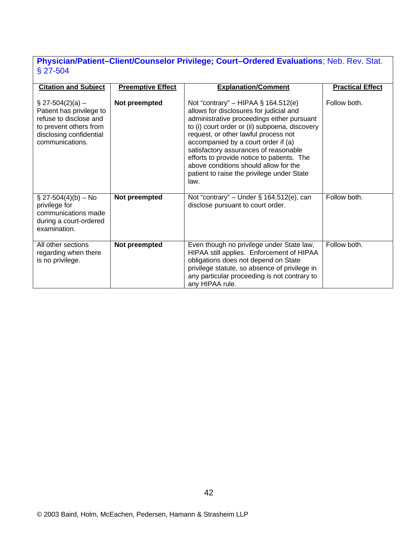### **Physician/Patient–Client/Counselor Privilege; Court–Ordered Evaluations**; Neb. Rev. Stat. § 27-504

| <b>Citation and Subject</b>                                                                                                                       | <b>Preemptive Effect</b> | <b>Explanation/Comment</b>                                                                                                                                                                                                                                                                                                                                                                                                                             | <b>Practical Effect</b> |
|---------------------------------------------------------------------------------------------------------------------------------------------------|--------------------------|--------------------------------------------------------------------------------------------------------------------------------------------------------------------------------------------------------------------------------------------------------------------------------------------------------------------------------------------------------------------------------------------------------------------------------------------------------|-------------------------|
| $\S$ 27-504(2)(a) –<br>Patient has privilege to<br>refuse to disclose and<br>to prevent others from<br>disclosing confidential<br>communications. | Not preempted            | Not "contrary" – HIPAA $\S$ 164.512(e)<br>allows for disclosures for judicial and<br>administrative proceedings either pursuant<br>to (i) court order or (ii) subpoena, discovery<br>request, or other lawful process not<br>accompanied by a court order if (a)<br>satisfactory assurances of reasonable<br>efforts to provide notice to patients. The<br>above conditions should allow for the<br>patient to raise the privilege under State<br>law. | Follow both.            |
| $\S$ 27-504(4)(b) – No<br>privilege for<br>communications made<br>during a court-ordered<br>examination.                                          | Not preempted            | Not "contrary" – Under $\S$ 164.512(e), can<br>disclose pursuant to court order.                                                                                                                                                                                                                                                                                                                                                                       | Follow both.            |
| All other sections<br>regarding when there<br>is no privilege.                                                                                    | Not preempted            | Even though no privilege under State law,<br>HIPAA still applies. Enforcement of HIPAA<br>obligations does not depend on State<br>privilege statute, so absence of privilege in<br>any particular proceeding is not contrary to<br>any HIPAA rule.                                                                                                                                                                                                     | Follow both.            |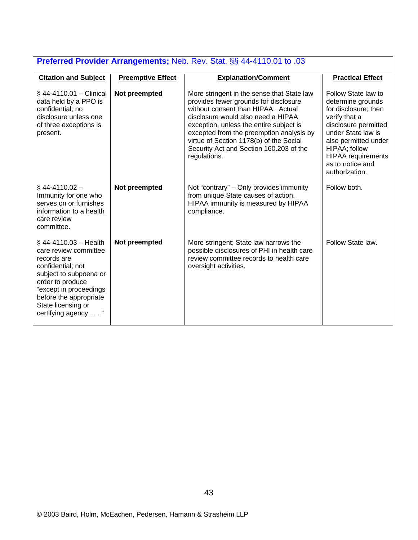| <b>Preferred Provider Arrangements;</b> Neb. Rev. Stat. §§ 44-4110.01 to .03                                                                                                                                                        |                          |                                                                                                                                                                                                                                                                                                                                                              |                                                                                                                                                                                                                                             |  |
|-------------------------------------------------------------------------------------------------------------------------------------------------------------------------------------------------------------------------------------|--------------------------|--------------------------------------------------------------------------------------------------------------------------------------------------------------------------------------------------------------------------------------------------------------------------------------------------------------------------------------------------------------|---------------------------------------------------------------------------------------------------------------------------------------------------------------------------------------------------------------------------------------------|--|
| <b>Citation and Subject</b>                                                                                                                                                                                                         | <b>Preemptive Effect</b> | <b>Explanation/Comment</b>                                                                                                                                                                                                                                                                                                                                   | <b>Practical Effect</b>                                                                                                                                                                                                                     |  |
| $$44-4110.01 - Clinical$<br>data held by a PPO is<br>confidential; no<br>disclosure unless one<br>of three exceptions is<br>present.                                                                                                | Not preempted            | More stringent in the sense that State law<br>provides fewer grounds for disclosure<br>without consent than HIPAA. Actual<br>disclosure would also need a HIPAA<br>exception, unless the entire subject is<br>excepted from the preemption analysis by<br>virtue of Section 1178(b) of the Social<br>Security Act and Section 160.203 of the<br>regulations. | Follow State law to<br>determine grounds<br>for disclosure; then<br>verify that a<br>disclosure permitted<br>under State law is<br>also permitted under<br>HIPAA; follow<br><b>HIPAA</b> requirements<br>as to notice and<br>authorization. |  |
| $§$ 44-4110.02 -<br>Immunity for one who<br>serves on or furnishes<br>information to a health<br>care review<br>committee.                                                                                                          | Not preempted            | Not "contrary" – Only provides immunity<br>from unique State causes of action.<br>HIPAA immunity is measured by HIPAA<br>compliance.                                                                                                                                                                                                                         | Follow both.                                                                                                                                                                                                                                |  |
| $§$ 44-4110.03 - Health<br>care review committee<br>records are<br>confidential; not<br>subject to subpoena or<br>order to produce<br>"except in proceedings<br>before the appropriate<br>State licensing or<br>certifying agency " | Not preempted            | More stringent; State law narrows the<br>possible disclosures of PHI in health care<br>review committee records to health care<br>oversight activities.                                                                                                                                                                                                      | Follow State law.                                                                                                                                                                                                                           |  |

#### **Preferred Provider Arrangements;** Neb. Rev. Stat. §§ 44-4110.01 to .03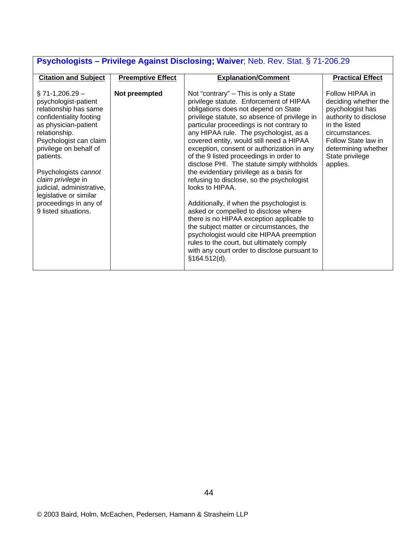| <b>1 Sydnologials</b> – Filmiege Agamat Disclosing, maner, neb. nev. Olal. 3 TT 200.20                                                                                                                                                                                                                                                                         |                          |                                                                                                                                                                                                                                                                                                                                                                                                                                                                                                                                                                                                                                                                                                                                                                                                                                                                                                        |                                                                                                                                                                                                      |  |
|----------------------------------------------------------------------------------------------------------------------------------------------------------------------------------------------------------------------------------------------------------------------------------------------------------------------------------------------------------------|--------------------------|--------------------------------------------------------------------------------------------------------------------------------------------------------------------------------------------------------------------------------------------------------------------------------------------------------------------------------------------------------------------------------------------------------------------------------------------------------------------------------------------------------------------------------------------------------------------------------------------------------------------------------------------------------------------------------------------------------------------------------------------------------------------------------------------------------------------------------------------------------------------------------------------------------|------------------------------------------------------------------------------------------------------------------------------------------------------------------------------------------------------|--|
| <b>Citation and Subject</b>                                                                                                                                                                                                                                                                                                                                    | <b>Preemptive Effect</b> | <b>Explanation/Comment</b>                                                                                                                                                                                                                                                                                                                                                                                                                                                                                                                                                                                                                                                                                                                                                                                                                                                                             | <b>Practical Effect</b>                                                                                                                                                                              |  |
| $\S$ 71-1,206.29 -<br>psychologist-patient<br>relationship has same<br>confidentiality footing<br>as physician-patient<br>relationship.<br>Psychologist can claim<br>privilege on behalf of<br>patients.<br>Psychologists cannot<br>claim privilege in<br>judicial, administrative,<br>legislative or similar<br>proceedings in any of<br>9 listed situations. | Not preempted            | Not "contrary" – This is only a State<br>privilege statute. Enforcement of HIPAA<br>obligations does not depend on State<br>privilege statute, so absence of privilege in<br>particular proceedings is not contrary to<br>any HIPAA rule. The psychologist, as a<br>covered entity, would still need a HIPAA<br>exception, consent or authorization in any<br>of the 9 listed proceedings in order to<br>disclose PHI. The statute simply withholds<br>the evidentiary privilege as a basis for<br>refusing to disclose, so the psychologist<br>looks to HIPAA.<br>Additionally, if when the psychologist is<br>asked or compelled to disclose where<br>there is no HIPAA exception applicable to<br>the subject matter or circumstances, the<br>psychologist would cite HIPAA preemption<br>rules to the court, but ultimately comply<br>with any court order to disclose pursuant to<br>§164.512(d). | Follow HIPAA in<br>deciding whether the<br>psychologist has<br>authority to disclose<br>in the listed<br>circumstances.<br>Follow State law in<br>determining whether<br>State privilege<br>applies. |  |
|                                                                                                                                                                                                                                                                                                                                                                |                          |                                                                                                                                                                                                                                                                                                                                                                                                                                                                                                                                                                                                                                                                                                                                                                                                                                                                                                        |                                                                                                                                                                                                      |  |

#### **Psychologists – Privilege Against Disclosing; Waiver**; Neb. Rev. Stat. § 71-206.29

1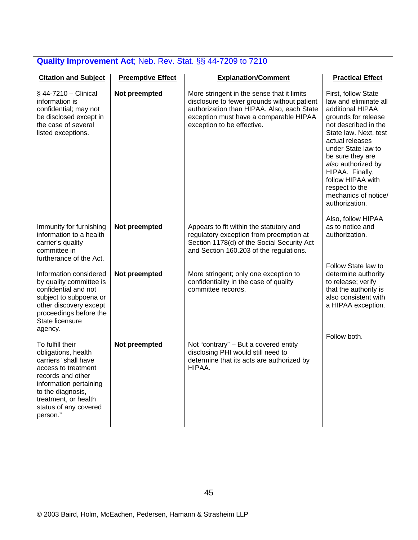| <b>Quality Improvement Act; Neb. Rev. Stat. §§ 44-7209 to 7210</b>                                                                                                                                                      |                          |                                                                                                                                                                                                                 |                                                                                                                                                                                                                                                                                                                                 |  |
|-------------------------------------------------------------------------------------------------------------------------------------------------------------------------------------------------------------------------|--------------------------|-----------------------------------------------------------------------------------------------------------------------------------------------------------------------------------------------------------------|---------------------------------------------------------------------------------------------------------------------------------------------------------------------------------------------------------------------------------------------------------------------------------------------------------------------------------|--|
| <b>Citation and Subject</b>                                                                                                                                                                                             | <b>Preemptive Effect</b> | <b>Explanation/Comment</b>                                                                                                                                                                                      | <b>Practical Effect</b>                                                                                                                                                                                                                                                                                                         |  |
| $\S$ 44-7210 - Clinical<br>information is<br>confidential; may not<br>be disclosed except in<br>the case of several<br>listed exceptions.                                                                               | Not preempted            | More stringent in the sense that it limits<br>disclosure to fewer grounds without patient<br>authorization than HIPAA. Also, each State<br>exception must have a comparable HIPAA<br>exception to be effective. | First, follow State<br>law and eliminate all<br>additional HIPAA<br>grounds for release<br>not described in the<br>State law. Next, test<br>actual releases<br>under State law to<br>be sure they are<br>also authorized by<br>HIPAA. Finally,<br>follow HIPAA with<br>respect to the<br>mechanics of notice/<br>authorization. |  |
| Immunity for furnishing<br>information to a health<br>carrier's quality<br>committee in<br>furtherance of the Act.                                                                                                      | Not preempted            | Appears to fit within the statutory and<br>regulatory exception from preemption at<br>Section 1178(d) of the Social Security Act<br>and Section 160.203 of the regulations.                                     | Also, follow HIPAA<br>as to notice and<br>authorization.                                                                                                                                                                                                                                                                        |  |
| Information considered<br>by quality committee is<br>confidential and not<br>subject to subpoena or<br>other discovery except<br>proceedings before the<br>State licensure<br>agency.                                   | Not preempted            | More stringent; only one exception to<br>confidentiality in the case of quality<br>committee records.                                                                                                           | Follow State law to<br>determine authority<br>to release; verify<br>that the authority is<br>also consistent with<br>a HIPAA exception.                                                                                                                                                                                         |  |
| To fulfill their<br>obligations, health<br>carriers "shall have<br>access to treatment<br>records and other<br>information pertaining<br>to the diagnosis,<br>treatment, or health<br>status of any covered<br>person." | Not preempted            | Not "contrary" - But a covered entity<br>disclosing PHI would still need to<br>determine that its acts are authorized by<br>HIPAA.                                                                              | Follow both.                                                                                                                                                                                                                                                                                                                    |  |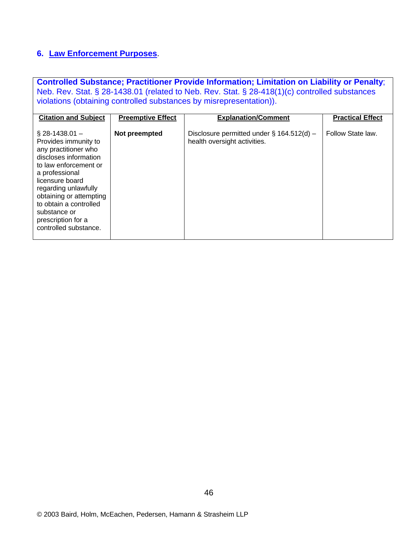#### **6. Law Enforcement Purposes**.

**Controlled Substance; Practitioner Provide Information; Limitation on Liability or Penalty**; Neb. Rev. Stat. § 28-1438.01 (related to Neb. Rev. Stat. § 28-418(1)(c) controlled substances violations (obtaining controlled substances by misrepresentation)).

| <b>Citation and Subject</b>                                                                                                                                                                                                                                                                          | <b>Preemptive Effect</b> | <b>Explanation/Comment</b>                                                   | <b>Practical Effect</b> |
|------------------------------------------------------------------------------------------------------------------------------------------------------------------------------------------------------------------------------------------------------------------------------------------------------|--------------------------|------------------------------------------------------------------------------|-------------------------|
| $\S$ 28-1438.01 –<br>Provides immunity to<br>any practitioner who<br>discloses information<br>to law enforcement or<br>a professional<br>licensure board<br>regarding unlawfully<br>obtaining or attempting<br>to obtain a controlled<br>substance or<br>prescription for a<br>controlled substance. | Not preempted            | Disclosure permitted under $\S$ 164.512(d) –<br>health oversight activities. | Follow State law.       |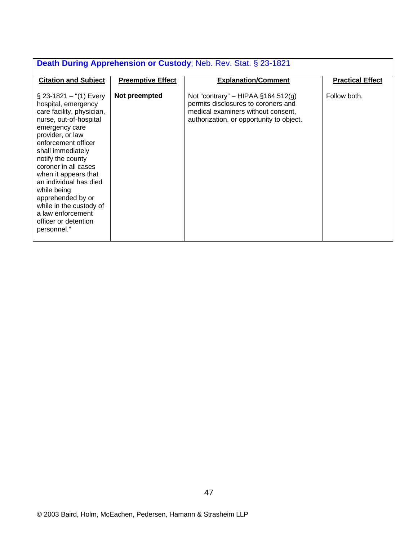| Death During Apprehension or Custody; Neb. Rev. Stat. § 23-1821                                                                                                                                                                                                                                                                                                                                                     |                          |                                                                                                                                                                 |                         |  |
|---------------------------------------------------------------------------------------------------------------------------------------------------------------------------------------------------------------------------------------------------------------------------------------------------------------------------------------------------------------------------------------------------------------------|--------------------------|-----------------------------------------------------------------------------------------------------------------------------------------------------------------|-------------------------|--|
| <b>Citation and Subject</b>                                                                                                                                                                                                                                                                                                                                                                                         | <b>Preemptive Effect</b> | <b>Explanation/Comment</b>                                                                                                                                      | <b>Practical Effect</b> |  |
| $\S$ 23-1821 – "(1) Every<br>hospital, emergency<br>care facility, physician,<br>nurse, out-of-hospital<br>emergency care<br>provider, or law<br>enforcement officer<br>shall immediately<br>notify the county<br>coroner in all cases<br>when it appears that<br>an individual has died<br>while being<br>apprehended by or<br>while in the custody of<br>a law enforcement<br>officer or detention<br>personnel." | Not preempted            | Not "contrary" – HIPAA $\S$ 164.512(g)<br>permits disclosures to coroners and<br>medical examiners without consent,<br>authorization, or opportunity to object. | Follow both.            |  |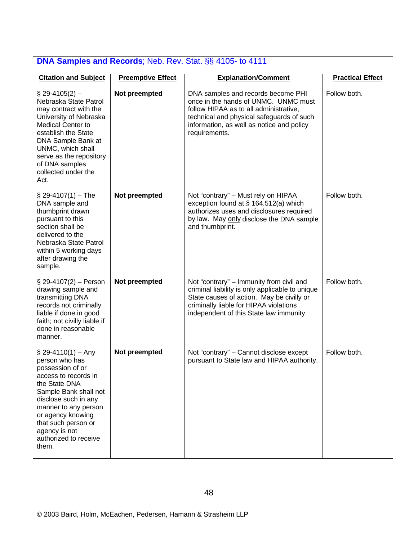| DNA Samples and Records; Neb. Rev. Stat. §§ 4105- to 4111                                                                                                                                                                                                                    |                          |                                                                                                                                                                                                                                 |                         |  |
|------------------------------------------------------------------------------------------------------------------------------------------------------------------------------------------------------------------------------------------------------------------------------|--------------------------|---------------------------------------------------------------------------------------------------------------------------------------------------------------------------------------------------------------------------------|-------------------------|--|
| <b>Citation and Subject</b>                                                                                                                                                                                                                                                  | <b>Preemptive Effect</b> | <b>Explanation/Comment</b>                                                                                                                                                                                                      | <b>Practical Effect</b> |  |
| $$29-4105(2) -$<br>Nebraska State Patrol<br>may contract with the<br>University of Nebraska<br><b>Medical Center to</b><br>establish the State<br>DNA Sample Bank at<br>UNMC, which shall<br>serve as the repository<br>of DNA samples<br>collected under the<br>Act.        | Not preempted            | DNA samples and records become PHI<br>once in the hands of UNMC. UNMC must<br>follow HIPAA as to all administrative,<br>technical and physical safeguards of such<br>information, as well as notice and policy<br>requirements. | Follow both.            |  |
| $$29-4107(1) - The$<br>DNA sample and<br>thumbprint drawn<br>pursuant to this<br>section shall be<br>delivered to the<br>Nebraska State Patrol<br>within 5 working days<br>after drawing the<br>sample.                                                                      | Not preempted            | Not "contrary" - Must rely on HIPAA<br>exception found at § 164.512(a) which<br>authorizes uses and disclosures required<br>by law. May only disclose the DNA sample<br>and thumbprint.                                         | Follow both.            |  |
| § 29-4107(2) - Person<br>drawing sample and<br>transmitting DNA<br>records not criminally<br>liable if done in good<br>faith; not civilly liable if<br>done in reasonable<br>manner.                                                                                         | Not preempted            | Not "contrary" – Immunity from civil and<br>criminal liability is only applicable to unique<br>State causes of action. May be civilly or<br>criminally liable for HIPAA violations<br>independent of this State law immunity.   | Follow both.            |  |
| $\S$ 29-4110(1) – Any<br>person who has<br>possession of or<br>access to records in<br>the State DNA<br>Sample Bank shall not<br>disclose such in any<br>manner to any person<br>or agency knowing<br>that such person or<br>agency is not<br>authorized to receive<br>them. | Not preempted            | Not "contrary" - Cannot disclose except<br>pursuant to State law and HIPAA authority.                                                                                                                                           | Follow both.            |  |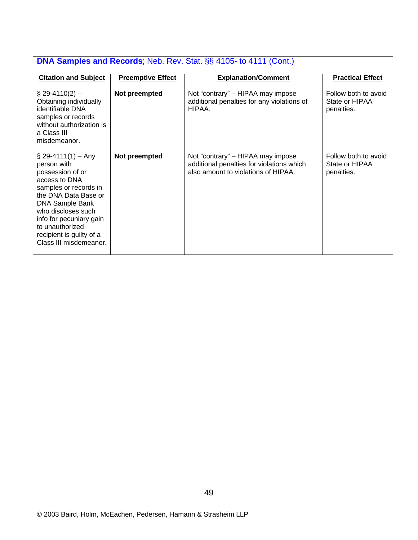| <b>DNA Samples and Records</b> ; Neb. Rev. Stat. §§ 4105- to 4111 (Cont.)                                                                                                                                                                                               |                          |                                                                                                                       |                                                      |  |
|-------------------------------------------------------------------------------------------------------------------------------------------------------------------------------------------------------------------------------------------------------------------------|--------------------------|-----------------------------------------------------------------------------------------------------------------------|------------------------------------------------------|--|
| <b>Citation and Subject</b>                                                                                                                                                                                                                                             | <b>Preemptive Effect</b> | <b>Explanation/Comment</b>                                                                                            | <b>Practical Effect</b>                              |  |
| $\S$ 29-4110(2) –<br>Obtaining individually<br>identifiable DNA<br>samples or records<br>without authorization is<br>a Class III<br>misdemeanor.                                                                                                                        | Not preempted            | Not "contrary" – HIPAA may impose<br>additional penalties for any violations of<br>HIPAA.                             | Follow both to avoid<br>State or HIPAA<br>penalties. |  |
| $\S$ 29-4111(1) – Any<br>person with<br>possession of or<br>access to DNA<br>samples or records in<br>the DNA Data Base or<br>DNA Sample Bank<br>who discloses such<br>info for pecuniary gain<br>to unauthorized<br>recipient is guilty of a<br>Class III misdemeanor. | Not preempted            | Not "contrary" – HIPAA may impose<br>additional penalties for violations which<br>also amount to violations of HIPAA. | Follow both to avoid<br>State or HIPAA<br>penalties. |  |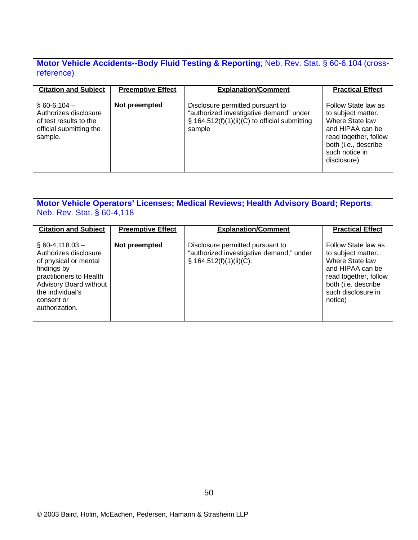#### **Motor Vehicle Accidents--Body Fluid Testing & Reporting**; Neb. Rev. Stat. § 60-6,104 (crossreference)

| <b>Citation and Subject</b>                                                                           | <b>Preemptive Effect</b> | <b>Explanation/Comment</b>                                                                                                             | <b>Practical Effect</b>                                                                                                                                             |
|-------------------------------------------------------------------------------------------------------|--------------------------|----------------------------------------------------------------------------------------------------------------------------------------|---------------------------------------------------------------------------------------------------------------------------------------------------------------------|
| $$60-6,104-$<br>Authorizes disclosure<br>of test results to the<br>official submitting the<br>sample. | Not preempted            | Disclosure permitted pursuant to<br>"authorized investigative demand" under<br>§ 164.512(f)(1)(ii)(C) to official submitting<br>sample | Follow State law as<br>to subject matter.<br>Where State law<br>and HIPAA can be<br>read together, follow<br>both (i.e., describe<br>such notice in<br>disclosure). |

| Motor Vehicle Operators' Licenses; Medical Reviews; Health Advisory Board; Reports;<br>Neb. Rev. Stat. § 60-4,118                                                                                   |                          |                                                                                                            |                                                                                                                                                                   |  |
|-----------------------------------------------------------------------------------------------------------------------------------------------------------------------------------------------------|--------------------------|------------------------------------------------------------------------------------------------------------|-------------------------------------------------------------------------------------------------------------------------------------------------------------------|--|
| <b>Citation and Subject</b>                                                                                                                                                                         | <b>Preemptive Effect</b> | <b>Explanation/Comment</b>                                                                                 | <b>Practical Effect</b>                                                                                                                                           |  |
| $\S$ 60-4,118.03 -<br>Authorizes disclosure<br>of physical or mental<br>findings by<br>practitioners to Health<br><b>Advisory Board without</b><br>the individual's<br>consent or<br>authorization. | Not preempted            | Disclosure permitted pursuant to<br>"authorized investigative demand," under<br>$\S$ 164.512(f)(1)(ii)(C). | Follow State law as<br>to subject matter.<br>Where State law<br>and HIPAA can be<br>read together, follow<br>both (i.e. describe<br>such disclosure in<br>notice) |  |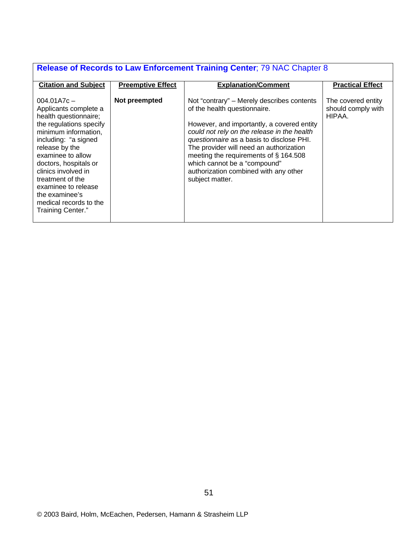# **Release of Records to Law Enforcement Training Center**; 79 NAC Chapter 8

| <b>Citation and Subject</b>                                                                                                                                                                                                                                                                                                                   | <b>Preemptive Effect</b> | <b>Explanation/Comment</b>                                                                                                                                                                                                                                                                                                                                                                          | <b>Practical Effect</b>                            |
|-----------------------------------------------------------------------------------------------------------------------------------------------------------------------------------------------------------------------------------------------------------------------------------------------------------------------------------------------|--------------------------|-----------------------------------------------------------------------------------------------------------------------------------------------------------------------------------------------------------------------------------------------------------------------------------------------------------------------------------------------------------------------------------------------------|----------------------------------------------------|
| $004.01A7c -$<br>Applicants complete a<br>health questionnaire;<br>the regulations specify<br>minimum information,<br>including: "a signed<br>release by the<br>examinee to allow<br>doctors, hospitals or<br>clinics involved in<br>treatment of the<br>examinee to release<br>the examinee's<br>medical records to the<br>Training Center." | Not preempted            | Not "contrary" – Merely describes contents<br>of the health questionnaire.<br>However, and importantly, a covered entity<br>could not rely on the release in the health<br>questionnaire as a basis to disclose PHI.<br>The provider will need an authorization<br>meeting the requirements of §164.508<br>which cannot be a "compound"<br>authorization combined with any other<br>subject matter. | The covered entity<br>should comply with<br>HIPAA. |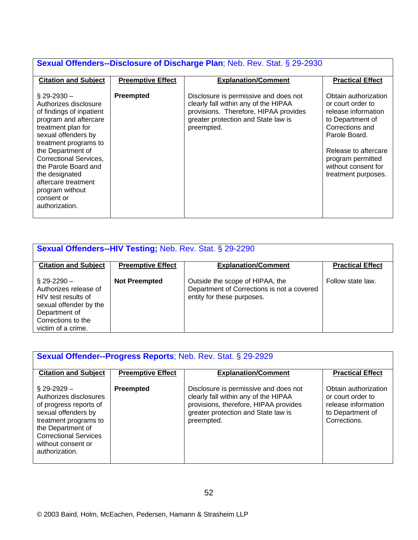#### **Sexual Offenders--Disclosure of Discharge Plan**; Neb. Rev. Stat. § 29-2930 **Citation and Subject Preemptive Effect Explanation/Comment Practical Effect** § 29-2930 – Authorizes disclosure of findings of inpatient program and aftercare treatment plan for sexual offenders by treatment programs to the Department of Correctional Services, the Parole Board and the designated aftercare treatment program without consent or authorization. **Preempted** Disclosure is permissive and does not clearly fall within any of the HIPAA provisions. Therefore, HIPAA provides greater protection and State law is preempted. Obtain authorization or court order to release information to Department of Corrections and Parole Board. Release to aftercare program permitted without consent for treatment purposes.

| <b>Sexual Offenders--HIV Testing; Neb. Rev. Stat. § 29-2290</b>                                                                                         |                          |                                                                                                             |                         |  |
|---------------------------------------------------------------------------------------------------------------------------------------------------------|--------------------------|-------------------------------------------------------------------------------------------------------------|-------------------------|--|
| <b>Citation and Subject</b>                                                                                                                             | <b>Preemptive Effect</b> | <b>Explanation/Comment</b>                                                                                  | <b>Practical Effect</b> |  |
| $\S$ 29-2290 $-$<br>Authorizes release of<br>HIV test results of<br>sexual offender by the<br>Department of<br>Corrections to the<br>victim of a crime. | <b>Not Preempted</b>     | Outside the scope of HIPAA, the<br>Department of Corrections is not a covered<br>entity for these purposes. | Follow state law.       |  |

| <b>Sexual Offender--Progress Reports</b> ; Neb. Rev. Stat. § 29-2929                                                                                                                                              |                          |                                                                                                                                                                             |                                                                                                      |  |
|-------------------------------------------------------------------------------------------------------------------------------------------------------------------------------------------------------------------|--------------------------|-----------------------------------------------------------------------------------------------------------------------------------------------------------------------------|------------------------------------------------------------------------------------------------------|--|
| <b>Citation and Subject</b>                                                                                                                                                                                       | <b>Preemptive Effect</b> | <b>Explanation/Comment</b>                                                                                                                                                  | <b>Practical Effect</b>                                                                              |  |
| $\S$ 29-2929 $-$<br>Authorizes disclosures<br>of progress reports of<br>sexual offenders by<br>treatment programs to<br>the Department of<br><b>Correctional Services</b><br>without consent or<br>authorization. | Preempted                | Disclosure is permissive and does not<br>clearly fall within any of the HIPAA<br>provisions, therefore, HIPAA provides<br>greater protection and State law is<br>preempted. | Obtain authorization<br>or court order to<br>release information<br>to Department of<br>Corrections. |  |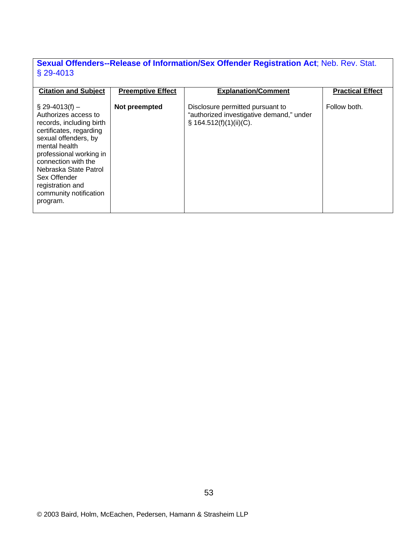## **Sexual Offenders--Release of Information/Sex Offender Registration Act**; Neb. Rev. Stat. § 29-4013

| <b>Citation and Subject</b><br>$\S$ 29-4013(f) –<br>Authorizes access to<br>records, including birth<br>certificates, regarding<br>sexual offenders, by<br>mental health<br>professional working in<br>connection with the<br>Nebraska State Patrol<br>Sex Offender<br>registration and<br>community notification<br>program. | <b>Preemptive Effect</b><br>Not preempted | <b>Explanation/Comment</b><br>Disclosure permitted pursuant to<br>"authorized investigative demand," under<br>$\S$ 164.512(f)(1)(ii)(C). | <b>Practical Effect</b><br>Follow both. |
|-------------------------------------------------------------------------------------------------------------------------------------------------------------------------------------------------------------------------------------------------------------------------------------------------------------------------------|-------------------------------------------|------------------------------------------------------------------------------------------------------------------------------------------|-----------------------------------------|
|                                                                                                                                                                                                                                                                                                                               |                                           |                                                                                                                                          |                                         |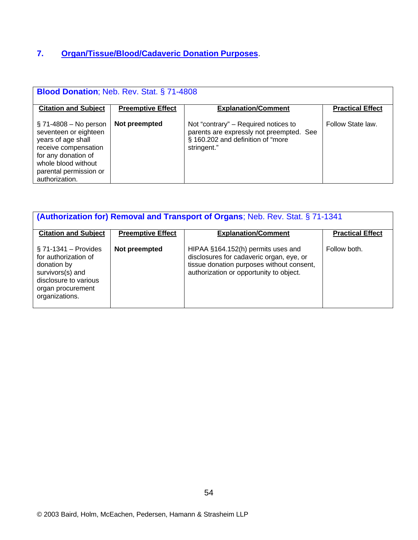### **7. Organ/Tissue/Blood/Cadaveric Donation Purposes**.

| <b>Blood Donation</b> ; Neb. Rev. Stat. § 71-4808                                                                                                                                         |                          |                                                                                                                                      |                         |  |
|-------------------------------------------------------------------------------------------------------------------------------------------------------------------------------------------|--------------------------|--------------------------------------------------------------------------------------------------------------------------------------|-------------------------|--|
| <b>Citation and Subject</b>                                                                                                                                                               | <b>Preemptive Effect</b> | <b>Explanation/Comment</b>                                                                                                           | <b>Practical Effect</b> |  |
| $\S$ 71-4808 – No person<br>seventeen or eighteen<br>years of age shall<br>receive compensation<br>for any donation of<br>whole blood without<br>parental permission or<br>authorization. | Not preempted            | Not "contrary" – Required notices to<br>parents are expressly not preempted. See<br>§ 160.202 and definition of "more<br>stringent." | Follow State law.       |  |

| (Authorization for) Removal and Transport of Organs; Neb. Rev. Stat. § 71-1341                                                                     |                          |                                                                                                                                                                        |                         |  |
|----------------------------------------------------------------------------------------------------------------------------------------------------|--------------------------|------------------------------------------------------------------------------------------------------------------------------------------------------------------------|-------------------------|--|
| <b>Citation and Subject</b>                                                                                                                        | <b>Preemptive Effect</b> | <b>Explanation/Comment</b>                                                                                                                                             | <b>Practical Effect</b> |  |
| $\S$ 71-1341 – Provides<br>for authorization of<br>donation by<br>survivors(s) and<br>disclosure to various<br>organ procurement<br>organizations. | Not preempted            | HIPAA §164.152(h) permits uses and<br>disclosures for cadaveric organ, eye, or<br>tissue donation purposes without consent,<br>authorization or opportunity to object. | Follow both.            |  |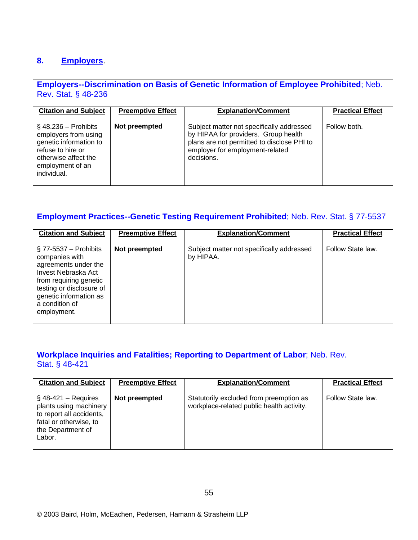#### **8. Employers**.

#### **Employers--Discrimination on Basis of Genetic Information of Employee Prohibited**; Neb. Rev. Stat. § 48-236

| <b>Citation and Subject</b>                                                                                                                               | <b>Preemptive Effect</b> | <b>Explanation/Comment</b>                                                                                                                                                       | <b>Practical Effect</b> |
|-----------------------------------------------------------------------------------------------------------------------------------------------------------|--------------------------|----------------------------------------------------------------------------------------------------------------------------------------------------------------------------------|-------------------------|
| $\S$ 48.236 – Prohibits<br>employers from using<br>genetic information to<br>refuse to hire or<br>otherwise affect the<br>employment of an<br>individual. | Not preempted            | Subject matter not specifically addressed<br>by HIPAA for providers. Group health<br>plans are not permitted to disclose PHI to<br>employer for employment-related<br>decisions. | Follow both.            |

| <b>Employment Practices--Genetic Testing Requirement Prohibited; Neb. Rev. Stat. § 77-5537</b>                                                                                                             |                          |                                                        |                         |  |
|------------------------------------------------------------------------------------------------------------------------------------------------------------------------------------------------------------|--------------------------|--------------------------------------------------------|-------------------------|--|
| <b>Citation and Subject</b>                                                                                                                                                                                | <b>Preemptive Effect</b> | <b>Explanation/Comment</b>                             | <b>Practical Effect</b> |  |
| $\S$ 77-5537 – Prohibits<br>companies with<br>agreements under the<br>Invest Nebraska Act<br>from requiring genetic<br>testing or disclosure of<br>genetic information as<br>a condition of<br>employment. | Not preempted            | Subject matter not specifically addressed<br>by HIPAA. | Follow State law.       |  |

#### **Workplace Inquiries and Fatalities; Reporting to Department of Labor**; Neb. Rev. Stat. § 48-421

| <b>Citation and Subject</b>                                                                                                           | <b>Preemptive Effect</b> | <b>Explanation/Comment</b>                                                           | <b>Practical Effect</b> |  |
|---------------------------------------------------------------------------------------------------------------------------------------|--------------------------|--------------------------------------------------------------------------------------|-------------------------|--|
| $\S$ 48-421 – Requires<br>plants using machinery<br>to report all accidents,<br>fatal or otherwise, to<br>the Department of<br>Labor. | Not preempted            | Statutorily excluded from preemption as<br>workplace-related public health activity. | Follow State law.       |  |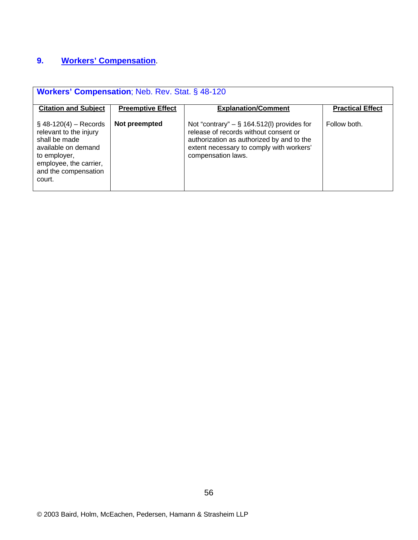# **9. Workers' Compensation**.

| <b>Workers' Compensation</b> ; Neb. Rev. Stat. § 48-120                                                                                                                |                          |                                                                                                                                                                                                      |                         |  |
|------------------------------------------------------------------------------------------------------------------------------------------------------------------------|--------------------------|------------------------------------------------------------------------------------------------------------------------------------------------------------------------------------------------------|-------------------------|--|
| <b>Citation and Subject</b>                                                                                                                                            | <b>Preemptive Effect</b> | <b>Explanation/Comment</b>                                                                                                                                                                           | <b>Practical Effect</b> |  |
| $\S$ 48-120(4) – Records<br>relevant to the injury<br>shall be made<br>available on demand<br>to employer,<br>employee, the carrier,<br>and the compensation<br>court. | Not preempted            | Not "contrary" $-$ § 164.512(I) provides for<br>release of records without consent or<br>authorization as authorized by and to the<br>extent necessary to comply with workers'<br>compensation laws. | Follow both.            |  |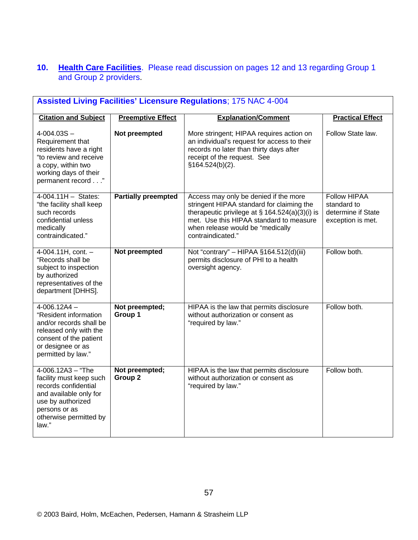#### **10. Health Care Facilities**. Please read discussion on pages 12 and 13 regarding Group 1 and Group 2 providers.

| <b>Assisted Living Facilities' Licensure Regulations; 175 NAC 4-004</b>                                                                                                     |                            |                                                                                                                                                                                                                                             |                                                                               |  |
|-----------------------------------------------------------------------------------------------------------------------------------------------------------------------------|----------------------------|---------------------------------------------------------------------------------------------------------------------------------------------------------------------------------------------------------------------------------------------|-------------------------------------------------------------------------------|--|
| <b>Citation and Subject</b>                                                                                                                                                 | <b>Preemptive Effect</b>   | <b>Explanation/Comment</b>                                                                                                                                                                                                                  | <b>Practical Effect</b>                                                       |  |
| $4 - 004.03S -$<br>Requirement that<br>residents have a right<br>"to review and receive<br>a copy, within two<br>working days of their<br>permanent record"                 | Not preempted              | More stringent; HIPAA requires action on<br>an individual's request for access to their<br>records no later than thirty days after<br>receipt of the request. See<br>§164.524(b)(2).                                                        | Follow State law.                                                             |  |
| $4-004.11H - States:$<br>"the facility shall keep<br>such records<br>confidential unless<br>medically<br>contraindicated."                                                  | <b>Partially preempted</b> | Access may only be denied if the more<br>stringent HIPAA standard for claiming the<br>therapeutic privilege at $\S$ 164.524(a)(3)(i) is<br>met. Use this HIPAA standard to measure<br>when release would be "medically<br>contraindicated." | <b>Follow HIPAA</b><br>standard to<br>determine if State<br>exception is met. |  |
| 4-004.11H, cont. -<br>"Records shall be<br>subject to inspection<br>by authorized<br>representatives of the<br>department [DHHS].                                           | Not preempted              | Not "contrary" - HIPAA §164.512(d)(iii)<br>permits disclosure of PHI to a health<br>oversight agency.                                                                                                                                       | Follow both.                                                                  |  |
| $4-006.12A4 -$<br>"Resident information<br>and/or records shall be<br>released only with the<br>consent of the patient<br>or designee or as<br>permitted by law."           | Not preempted;<br>Group 1  | HIPAA is the law that permits disclosure<br>without authorization or consent as<br>"required by law."                                                                                                                                       | Follow both.                                                                  |  |
| $4 - 006.12A3 - "The$<br>facility must keep such<br>records confidential<br>and available only for<br>use by authorized<br>persons or as<br>otherwise permitted by<br>law." | Not preempted;<br>Group 2  | HIPAA is the law that permits disclosure<br>without authorization or consent as<br>"required by law."                                                                                                                                       | Follow both.                                                                  |  |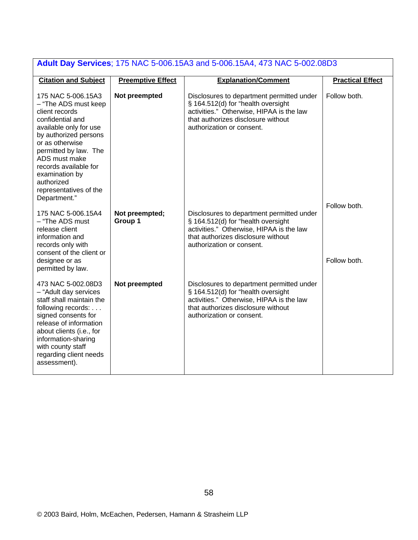| <b>Adult Day Services: 175 NAC 5-006.15A3 and 5-006.15A4, 473 NAC 5-002.08D3</b>                                                                                                                                                                                                                    |                           |                                                                                                                                                                                                |                              |  |
|-----------------------------------------------------------------------------------------------------------------------------------------------------------------------------------------------------------------------------------------------------------------------------------------------------|---------------------------|------------------------------------------------------------------------------------------------------------------------------------------------------------------------------------------------|------------------------------|--|
| <b>Citation and Subject</b>                                                                                                                                                                                                                                                                         | <b>Preemptive Effect</b>  | <b>Explanation/Comment</b>                                                                                                                                                                     | <b>Practical Effect</b>      |  |
| 175 NAC 5-006.15A3<br>- "The ADS must keep<br>client records<br>confidential and<br>available only for use<br>by authorized persons<br>or as otherwise<br>permitted by law. The<br>ADS must make<br>records available for<br>examination by<br>authorized<br>representatives of the<br>Department." | Not preempted             | Disclosures to department permitted under<br>§ 164.512(d) for "health oversight<br>activities." Otherwise, HIPAA is the law<br>that authorizes disclosure without<br>authorization or consent. | Follow both.                 |  |
| 175 NAC 5-006.15A4<br>- "The ADS must<br>release client<br>information and<br>records only with<br>consent of the client or<br>designee or as<br>permitted by law.                                                                                                                                  | Not preempted;<br>Group 1 | Disclosures to department permitted under<br>§ 164.512(d) for "health oversight<br>activities." Otherwise, HIPAA is the law<br>that authorizes disclosure without<br>authorization or consent. | Follow both.<br>Follow both. |  |
| 473 NAC 5-002.08D3<br>- "Adult day services<br>staff shall maintain the<br>following records:<br>signed consents for<br>release of information<br>about clients (i.e., for<br>information-sharing<br>with county staff<br>regarding client needs<br>assessment).                                    | Not preempted             | Disclosures to department permitted under<br>§ 164.512(d) for "health oversight<br>activities." Otherwise, HIPAA is the law<br>that authorizes disclosure without<br>authorization or consent. |                              |  |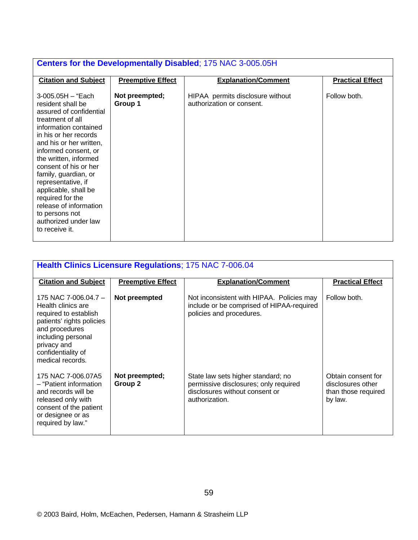| <b>Centers for the Developmentally Disabled; 175 NAC 3-005.05H</b>                                                                                                                                                                                                                                                                                                                                                           |                           |                                                               |                         |  |
|------------------------------------------------------------------------------------------------------------------------------------------------------------------------------------------------------------------------------------------------------------------------------------------------------------------------------------------------------------------------------------------------------------------------------|---------------------------|---------------------------------------------------------------|-------------------------|--|
| <b>Citation and Subject</b>                                                                                                                                                                                                                                                                                                                                                                                                  | <b>Preemptive Effect</b>  | <b>Explanation/Comment</b>                                    | <b>Practical Effect</b> |  |
| 3-005.05H – "Each<br>resident shall be<br>assured of confidential<br>treatment of all<br>information contained<br>in his or her records<br>and his or her written,<br>informed consent, or<br>the written, informed<br>consent of his or her<br>family, guardian, or<br>representative, if<br>applicable, shall be<br>required for the<br>release of information<br>to persons not<br>authorized under law<br>to receive it. | Not preempted;<br>Group 1 | HIPAA permits disclosure without<br>authorization or consent. | Follow both.            |  |

| <b>Health Clinics Licensure Regulations; 175 NAC 7-006.04</b>                                                                                                                                       |                           |                                                                                                                                 |                                                                           |
|-----------------------------------------------------------------------------------------------------------------------------------------------------------------------------------------------------|---------------------------|---------------------------------------------------------------------------------------------------------------------------------|---------------------------------------------------------------------------|
| <b>Citation and Subject</b>                                                                                                                                                                         | <b>Preemptive Effect</b>  | <b>Explanation/Comment</b>                                                                                                      | <b>Practical Effect</b>                                                   |
| 175 NAC 7-006.04.7 $-$<br>Health clinics are<br>required to establish<br>patients' rights policies<br>and procedures<br>including personal<br>privacy and<br>confidentiality of<br>medical records. | Not preempted             | Not inconsistent with HIPAA. Policies may<br>include or be comprised of HIPAA-required<br>policies and procedures.              | Follow both.                                                              |
| 175 NAC 7-006.07A5<br>- "Patient information<br>and records will be<br>released only with<br>consent of the patient<br>or designee or as<br>required by law."                                       | Not preempted;<br>Group 2 | State law sets higher standard; no<br>permissive disclosures; only required<br>disclosures without consent or<br>authorization. | Obtain consent for<br>disclosures other<br>than those required<br>by law. |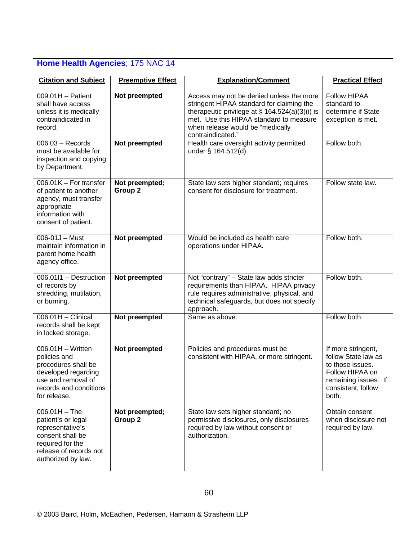| Home Health Agencies; 175 NAC 14                                                                                                                   |                                      |                                                                                                                                                                                                                                                |                                                                                                                                         |
|----------------------------------------------------------------------------------------------------------------------------------------------------|--------------------------------------|------------------------------------------------------------------------------------------------------------------------------------------------------------------------------------------------------------------------------------------------|-----------------------------------------------------------------------------------------------------------------------------------------|
| <b>Citation and Subject</b>                                                                                                                        | <b>Preemptive Effect</b>             | <b>Explanation/Comment</b>                                                                                                                                                                                                                     | <b>Practical Effect</b>                                                                                                                 |
| $009.01H -$ Patient<br>shall have access<br>unless it is medically<br>contraindicated in<br>record.                                                | Not preempted                        | Access may not be denied unless the more<br>stringent HIPAA standard for claiming the<br>therapeutic privilege at $\S$ 164.524(a)(3)(i) is<br>met. Use this HIPAA standard to measure<br>when release would be "medically<br>contraindicated." | Follow HIPAA<br>standard to<br>determine if State<br>exception is met.                                                                  |
| $006.03 - Records$<br>must be available for<br>inspection and copying<br>by Department.                                                            | Not preempted                        | Health care oversight activity permitted<br>under § 164.512(d).                                                                                                                                                                                | Follow both.                                                                                                                            |
| 006.01K - For transfer<br>of patient to another<br>agency, must transfer<br>appropriate<br>information with<br>consent of patient.                 | Not preempted;<br>Group <sub>2</sub> | State law sets higher standard; requires<br>consent for disclosure for treatment.                                                                                                                                                              | Follow state law.                                                                                                                       |
| $006 - 01J - Must$<br>maintain information in<br>parent home health<br>agency office.                                                              | Not preempted                        | Would be included as health care<br>operations under HIPAA.                                                                                                                                                                                    | Follow both.                                                                                                                            |
| 006.01I1 - Destruction<br>of records by<br>shredding, mutilation,<br>or burning.                                                                   | Not preempted                        | Not "contrary" - State law adds stricter<br>requirements than HIPAA. HIPAA privacy<br>rule requires administrative, physical, and<br>technical safeguards, but does not specify<br>approach.                                                   | Follow both.                                                                                                                            |
| $006.01H -$ Clinical<br>records shall be kept<br>in locked storage.                                                                                | Not preempted                        | Same as above.                                                                                                                                                                                                                                 | Follow both.                                                                                                                            |
| $006.01H - W$ ritten<br>policies and<br>procedures shall be<br>developed regarding<br>use and removal of<br>records and conditions<br>for release. | Not preempted                        | Policies and procedures must be<br>consistent with HIPAA, or more stringent.                                                                                                                                                                   | If more stringent,<br>follow State law as<br>to those issues.<br>Follow HIPAA on<br>remaining issues. If<br>consistent, follow<br>both. |
| $006.01H - The$<br>patient's or legal<br>representative's<br>consent shall be<br>required for the<br>release of records not<br>authorized by law.  | Not preempted;<br>Group <sub>2</sub> | State law sets higher standard; no<br>permissive disclosures, only disclosures<br>required by law without consent or<br>authorization.                                                                                                         | Obtain consent<br>when disclosure not<br>required by law.                                                                               |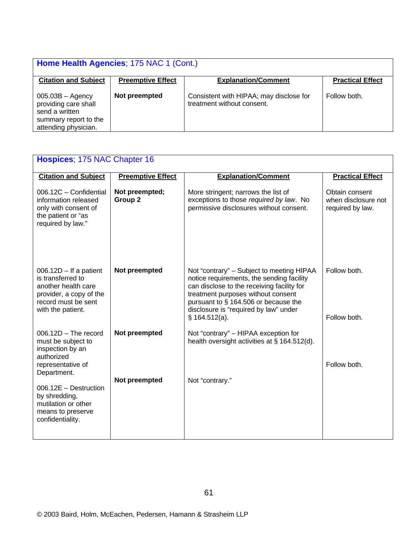| Home Health Agencies; 175 NAC 1 (Cont.)                                                                       |                          |                                                                       |                         |
|---------------------------------------------------------------------------------------------------------------|--------------------------|-----------------------------------------------------------------------|-------------------------|
| <b>Citation and Subject</b>                                                                                   | <b>Preemptive Effect</b> | <b>Explanation/Comment</b>                                            | <b>Practical Effect</b> |
| $005.03B -$ Agency<br>providing care shall<br>send a written<br>summary report to the<br>attending physician. | Not preempted            | Consistent with HIPAA; may disclose for<br>treatment without consent. | Follow both.            |

| Hospices; 175 NAC Chapter 16                                                                                                                |                                      |                                                                                                                                                                                                                                                                              |                                                           |  |
|---------------------------------------------------------------------------------------------------------------------------------------------|--------------------------------------|------------------------------------------------------------------------------------------------------------------------------------------------------------------------------------------------------------------------------------------------------------------------------|-----------------------------------------------------------|--|
| <b>Citation and Subject</b>                                                                                                                 | <b>Preemptive Effect</b>             | <b>Explanation/Comment</b>                                                                                                                                                                                                                                                   | <b>Practical Effect</b>                                   |  |
| 006.12C - Confidential<br>information released<br>only with consent of<br>the patient or "as<br>required by law."                           | Not preempted;<br>Group <sub>2</sub> | More stringent; narrows the list of<br>exceptions to those required by law. No<br>permissive disclosures without consent.                                                                                                                                                    | Obtain consent<br>when disclosure not<br>required by law. |  |
| $006.12D - If a patient$<br>is transferred to<br>another health care<br>provider, a copy of the<br>record must be sent<br>with the patient. | Not preempted                        | Not "contrary" - Subject to meeting HIPAA<br>notice requirements, the sending facility<br>can disclose to the receiving facility for<br>treatment purposes without consent<br>pursuant to § 164.506 or because the<br>disclosure is "required by law" under<br>§ 164.512(a). | Follow both.<br>Follow both.                              |  |
| $006.12D - The record$<br>must be subject to<br>inspection by an<br>authorized<br>representative of<br>Department.                          | Not preempted                        | Not "contrary" – HIPAA exception for<br>health oversight activities at § 164.512(d).                                                                                                                                                                                         | Follow both.                                              |  |
| 006.12E - Destruction<br>by shredding,<br>mutilation or other<br>means to preserve<br>confidentiality.                                      | Not preempted                        | Not "contrary."                                                                                                                                                                                                                                                              |                                                           |  |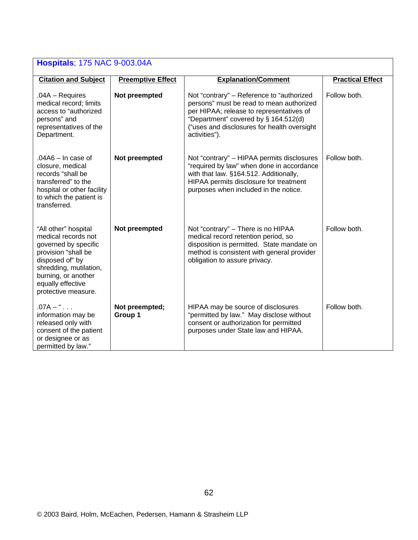| <b>Hospitals: 175 NAC 9-003.04A</b>                                                                                                                                                                        |                           |                                                                                                                                                                                                                                           |                         |  |
|------------------------------------------------------------------------------------------------------------------------------------------------------------------------------------------------------------|---------------------------|-------------------------------------------------------------------------------------------------------------------------------------------------------------------------------------------------------------------------------------------|-------------------------|--|
| <b>Citation and Subject</b>                                                                                                                                                                                | <b>Preemptive Effect</b>  | <b>Explanation/Comment</b>                                                                                                                                                                                                                | <b>Practical Effect</b> |  |
| $.04A - Requires$<br>medical record; limits<br>access to "authorized<br>persons" and<br>representatives of the<br>Department.                                                                              | Not preempted             | Not "contrary" – Reference to "authorized<br>persons" must be read to mean authorized<br>per HIPAA; release to representatives of<br>"Department" covered by § 164.512(d)<br>("uses and disclosures for health oversight<br>activities"). | Follow both.            |  |
| $.04A6 - In case of$<br>closure, medical<br>records "shall be<br>transferred" to the<br>hospital or other facility<br>to which the patient is<br>transferred.                                              | Not preempted             | Not "contrary" - HIPAA permits disclosures<br>"required by law" when done in accordance<br>with that law. §164.512. Additionally,<br>HIPAA permits disclosure for treatment<br>purposes when included in the notice.                      | Follow both.            |  |
| "All other" hospital<br>medical records not<br>governed by specific<br>provision "shall be<br>disposed of" by<br>shredding, mutilation,<br>burning, or another<br>equally effective<br>protective measure. | Not preempted             | Not "contrary" - There is no HIPAA<br>medical record retention period, so<br>disposition is permitted. State mandate on<br>method is consistent with general provider<br>obligation to assure privacy.                                    | Follow both.            |  |
| $.07A - "$<br>information may be<br>released only with<br>consent of the patient<br>or designee or as<br>permitted by law."                                                                                | Not preempted;<br>Group 1 | HIPAA may be source of disclosures<br>"permitted by law." May disclose without<br>consent or authorization for permitted<br>purposes under State law and HIPAA.                                                                           | Follow both.            |  |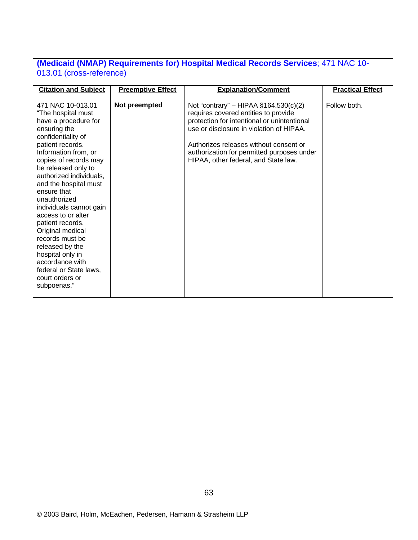### **(Medicaid (NMAP) Requirements for) Hospital Medical Records Services**; 471 NAC 10- 013.01 (cross-reference)

| <b>Citation and Subject</b> | <b>Preemptive Effect</b> | <b>Explanation/Comment</b>                  | <b>Practical Effect</b> |
|-----------------------------|--------------------------|---------------------------------------------|-------------------------|
|                             |                          |                                             |                         |
| 471 NAC 10-013.01           | Not preempted            | Not "contrary" – HIPAA $§164.530(c)(2)$     | Follow both.            |
| "The hospital must          |                          | requires covered entities to provide        |                         |
| have a procedure for        |                          | protection for intentional or unintentional |                         |
| ensuring the                |                          | use or disclosure in violation of HIPAA.    |                         |
| confidentiality of          |                          |                                             |                         |
| patient records.            |                          | Authorizes releases without consent or      |                         |
| Information from, or        |                          |                                             |                         |
|                             |                          | authorization for permitted purposes under  |                         |
| copies of records may       |                          | HIPAA, other federal, and State law.        |                         |
| be released only to         |                          |                                             |                         |
| authorized individuals,     |                          |                                             |                         |
| and the hospital must       |                          |                                             |                         |
| ensure that                 |                          |                                             |                         |
| unauthorized                |                          |                                             |                         |
| individuals cannot gain     |                          |                                             |                         |
| access to or alter          |                          |                                             |                         |
| patient records.            |                          |                                             |                         |
| Original medical            |                          |                                             |                         |
| records must be             |                          |                                             |                         |
| released by the             |                          |                                             |                         |
| hospital only in            |                          |                                             |                         |
| accordance with             |                          |                                             |                         |
| federal or State laws,      |                          |                                             |                         |
| court orders or             |                          |                                             |                         |
| subpoenas."                 |                          |                                             |                         |
|                             |                          |                                             |                         |
|                             |                          |                                             |                         |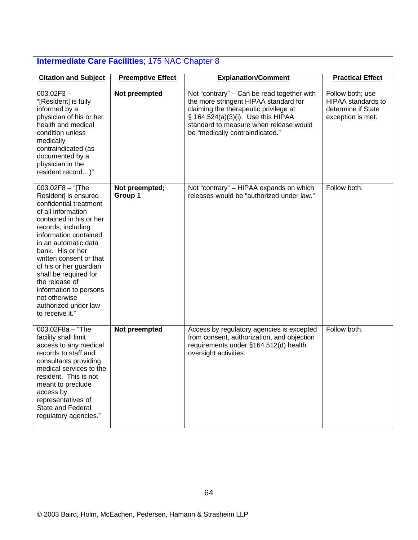| <b>Intermediate Care Facilities; 175 NAC Chapter 8</b>                                                                                                                                                                                                                                                                                                                                               |                           |                                                                                                                                                                                                                                                 |                                                                                   |  |
|------------------------------------------------------------------------------------------------------------------------------------------------------------------------------------------------------------------------------------------------------------------------------------------------------------------------------------------------------------------------------------------------------|---------------------------|-------------------------------------------------------------------------------------------------------------------------------------------------------------------------------------------------------------------------------------------------|-----------------------------------------------------------------------------------|--|
| <b>Citation and Subject</b>                                                                                                                                                                                                                                                                                                                                                                          | <b>Preemptive Effect</b>  | <b>Explanation/Comment</b>                                                                                                                                                                                                                      | <b>Practical Effect</b>                                                           |  |
| $003.02F3 -$<br>"[Resident] is fully<br>informed by a<br>physician of his or her<br>health and medical<br>condition unless<br>medically<br>contraindicated (as<br>documented by a<br>physician in the<br>resident record)"                                                                                                                                                                           | Not preempted             | Not "contrary" – Can be read together with<br>the more stringent HIPAA standard for<br>claiming the therapeutic privilege at<br>§ 164.524(a)(3)(i). Use this HIPAA<br>standard to measure when release would<br>be "medically contraindicated." | Follow both; use<br>HIPAA standards to<br>determine if State<br>exception is met. |  |
| 003.02F8 - "[The<br>Resident] is ensured<br>confidential treatment<br>of all information<br>contained in his or her<br>records, including<br>information contained<br>in an automatic data<br>bank. His or her<br>written consent or that<br>of his or her guardian<br>shall be required for<br>the release of<br>information to persons<br>not otherwise<br>authorized under law<br>to receive it." | Not preempted;<br>Group 1 | Not "contrary" - HIPAA expands on which<br>releases would be "authorized under law."                                                                                                                                                            | Follow both.                                                                      |  |
| $003.02F8a - "The$<br>facility shall limit<br>access to any medical<br>records to staff and<br>consultants providing<br>medical services to the<br>resident. This is not<br>meant to preclude<br>access by<br>representatives of<br>State and Federal<br>regulatory agencies."                                                                                                                       | Not preempted             | Access by regulatory agencies is excepted<br>from consent, authorization, and objection<br>requirements under §164.512(d) health<br>oversight activities.                                                                                       | Follow both.                                                                      |  |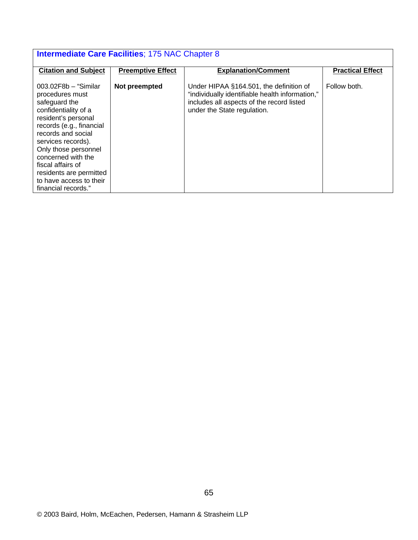| <b>Intermediate Care Facilities; 175 NAC Chapter 8</b>                                                                                                                                                                                                                                                                            |                          |                                                                                                                                                                        |                         |
|-----------------------------------------------------------------------------------------------------------------------------------------------------------------------------------------------------------------------------------------------------------------------------------------------------------------------------------|--------------------------|------------------------------------------------------------------------------------------------------------------------------------------------------------------------|-------------------------|
| <b>Citation and Subject</b>                                                                                                                                                                                                                                                                                                       | <b>Preemptive Effect</b> | <b>Explanation/Comment</b>                                                                                                                                             | <b>Practical Effect</b> |
| $003.02F8b - "Similar$<br>procedures must<br>safeguard the<br>confidentiality of a<br>resident's personal<br>records (e.g., financial<br>records and social<br>services records).<br>Only those personnel<br>concerned with the<br>fiscal affairs of<br>residents are permitted<br>to have access to their<br>financial records." | Not preempted            | Under HIPAA §164.501, the definition of<br>"individually identifiable health information,"<br>includes all aspects of the record listed<br>under the State regulation. | Follow both.            |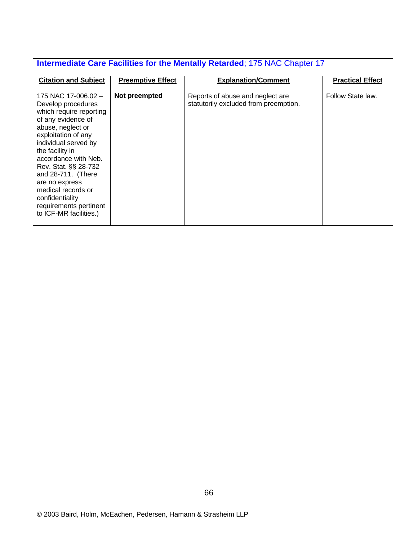| Intermediate Care Facilities for the Mentally Retarded; 175 NAC Chapter 17                                                                                                                                                                                                                                                                                             |                          |                                                                           |                         |  |
|------------------------------------------------------------------------------------------------------------------------------------------------------------------------------------------------------------------------------------------------------------------------------------------------------------------------------------------------------------------------|--------------------------|---------------------------------------------------------------------------|-------------------------|--|
| <b>Citation and Subject</b>                                                                                                                                                                                                                                                                                                                                            | <b>Preemptive Effect</b> | <b>Explanation/Comment</b>                                                | <b>Practical Effect</b> |  |
| 175 NAC 17-006.02 -<br>Develop procedures<br>which require reporting<br>of any evidence of<br>abuse, neglect or<br>exploitation of any<br>individual served by<br>the facility in<br>accordance with Neb.<br>Rev. Stat. §§ 28-732<br>and 28-711. (There<br>are no express<br>medical records or<br>confidentiality<br>requirements pertinent<br>to ICF-MR facilities.) | Not preempted            | Reports of abuse and neglect are<br>statutorily excluded from preemption. | Follow State law.       |  |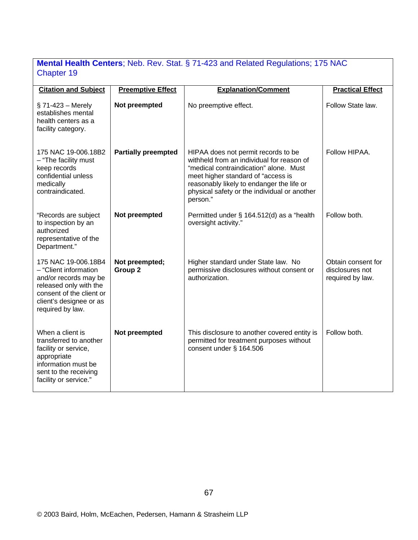# **Mental Health Centers**; Neb. Rev. Stat. § 71-423 and Related Regulations; 175 NAC Chapter 19

| <b>Citation and Subject</b>                                                                                                                                                | <b>Preemptive Effect</b>             | <b>Explanation/Comment</b>                                                                                                                                                                                                                                                | <b>Practical Effect</b>                                   |
|----------------------------------------------------------------------------------------------------------------------------------------------------------------------------|--------------------------------------|---------------------------------------------------------------------------------------------------------------------------------------------------------------------------------------------------------------------------------------------------------------------------|-----------------------------------------------------------|
|                                                                                                                                                                            |                                      |                                                                                                                                                                                                                                                                           |                                                           |
| $\S$ 71-423 – Merely<br>establishes mental<br>health centers as a<br>facility category.                                                                                    | Not preempted                        | No preemptive effect.                                                                                                                                                                                                                                                     | Follow State law.                                         |
| 175 NAC 19-006.18B2<br>- "The facility must<br>keep records<br>confidential unless<br>medically<br>contraindicated.                                                        | <b>Partially preempted</b>           | HIPAA does not permit records to be<br>withheld from an individual for reason of<br>"medical contraindication" alone. Must<br>meet higher standard of "access is<br>reasonably likely to endanger the life or<br>physical safety or the individual or another<br>person." | Follow HIPAA.                                             |
| "Records are subject<br>to inspection by an<br>authorized<br>representative of the<br>Department."                                                                         | Not preempted                        | Permitted under § 164.512(d) as a "health<br>oversight activity."                                                                                                                                                                                                         | Follow both.                                              |
| 175 NAC 19-006.18B4<br>- "Client information<br>and/or records may be<br>released only with the<br>consent of the client or<br>client's designee or as<br>required by law. | Not preempted;<br>Group <sub>2</sub> | Higher standard under State law. No<br>permissive disclosures without consent or<br>authorization.                                                                                                                                                                        | Obtain consent for<br>disclosures not<br>required by law. |
| When a client is<br>transferred to another<br>facility or service,<br>appropriate<br>information must be<br>sent to the receiving<br>facility or service."                 | Not preempted                        | This disclosure to another covered entity is<br>permitted for treatment purposes without<br>consent under § 164.506                                                                                                                                                       | Follow both.                                              |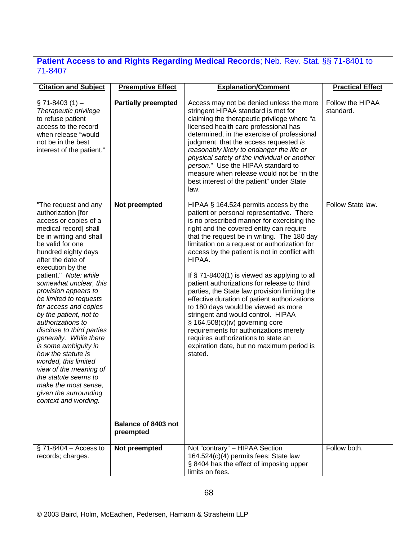# **Patient Access to and Rights Regarding Medical Records**; Neb. Rev. Stat. §§ 71-8401 to 71-8407

| <b>Citation and Subject</b>                                                                                                                                                                                                                                                                                                                                                                                                                                                                                                                                                                                                                      | <b>Preemptive Effect</b>                          | <b>Explanation/Comment</b>                                                                                                                                                                                                                                                                                                                                                                                                                                                                                                                                                                                                                                                                                                                                                                         | <b>Practical Effect</b>       |
|--------------------------------------------------------------------------------------------------------------------------------------------------------------------------------------------------------------------------------------------------------------------------------------------------------------------------------------------------------------------------------------------------------------------------------------------------------------------------------------------------------------------------------------------------------------------------------------------------------------------------------------------------|---------------------------------------------------|----------------------------------------------------------------------------------------------------------------------------------------------------------------------------------------------------------------------------------------------------------------------------------------------------------------------------------------------------------------------------------------------------------------------------------------------------------------------------------------------------------------------------------------------------------------------------------------------------------------------------------------------------------------------------------------------------------------------------------------------------------------------------------------------------|-------------------------------|
| $\S$ 71-8403 (1) –<br>Therapeutic privilege<br>to refuse patient<br>access to the record<br>when release "would<br>not be in the best<br>interest of the patient."                                                                                                                                                                                                                                                                                                                                                                                                                                                                               | <b>Partially preempted</b>                        | Access may not be denied unless the more<br>stringent HIPAA standard is met for<br>claiming the therapeutic privilege where "a<br>licensed health care professional has<br>determined, in the exercise of professional<br>judgment, that the access requested is<br>reasonably likely to endanger the life or<br>physical safety of the individual or another<br>person." Use the HIPAA standard to<br>measure when release would not be "in the<br>best interest of the patient" under State<br>law.                                                                                                                                                                                                                                                                                              | Follow the HIPAA<br>standard. |
| "The request and any<br>authorization [for<br>access or copies of a<br>medical record] shall<br>be in writing and shall<br>be valid for one<br>hundred eighty days<br>after the date of<br>execution by the<br>patient." Note: while<br>somewhat unclear, this<br>provision appears to<br>be limited to requests<br>for access and copies<br>by the patient, not to<br>authorizations to<br>disclose to third parties<br>generally. While there<br>is some ambiguity in<br>how the statute is<br>worded, this limited<br>view of the meaning of<br>the statute seems to<br>make the most sense,<br>given the surrounding<br>context and wording. | Not preempted<br>Balance of 8403 not<br>preempted | HIPAA § 164.524 permits access by the<br>patient or personal representative. There<br>is no prescribed manner for exercising the<br>right and the covered entity can require<br>that the request be in writing. The 180 day<br>limitation on a request or authorization for<br>access by the patient is not in conflict with<br>HIPAA.<br>If $\S$ 71-8403(1) is viewed as applying to all<br>patient authorizations for release to third<br>parties, the State law provision limiting the<br>effective duration of patient authorizations<br>to 180 days would be viewed as more<br>stringent and would control. HIPAA<br>§ 164.508(c)(iv) governing core<br>requirements for authorizations merely<br>requires authorizations to state an<br>expiration date, but no maximum period is<br>stated. | Follow State law.             |
| $\S$ 71-8404 – Access to<br>records; charges.                                                                                                                                                                                                                                                                                                                                                                                                                                                                                                                                                                                                    | Not preempted                                     | Not "contrary" - HIPAA Section<br>164.524(c)(4) permits fees; State law<br>§ 8404 has the effect of imposing upper<br>limits on fees.                                                                                                                                                                                                                                                                                                                                                                                                                                                                                                                                                                                                                                                              | Follow both.                  |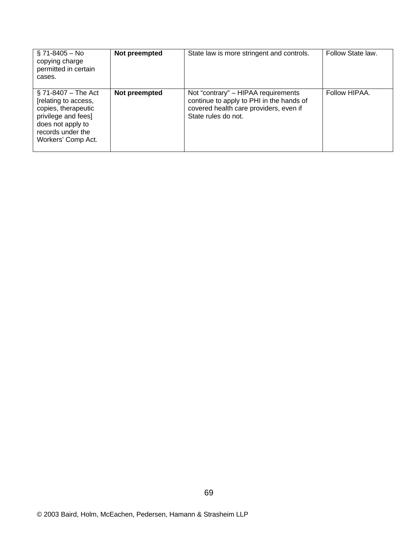| $$71-8405 - No$<br>copying charge<br>permitted in certain<br>cases.                                                                                          | Not preempted | State law is more stringent and controls.                                                                                                        | Follow State law. |
|--------------------------------------------------------------------------------------------------------------------------------------------------------------|---------------|--------------------------------------------------------------------------------------------------------------------------------------------------|-------------------|
| $\S$ 71-8407 – The Act<br>[relating to access,<br>copies, therapeutic<br>privilege and fees]<br>does not apply to<br>records under the<br>Workers' Comp Act. | Not preempted | Not "contrary" - HIPAA requirements<br>continue to apply to PHI in the hands of<br>covered health care providers, even if<br>State rules do not. | Follow HIPAA.     |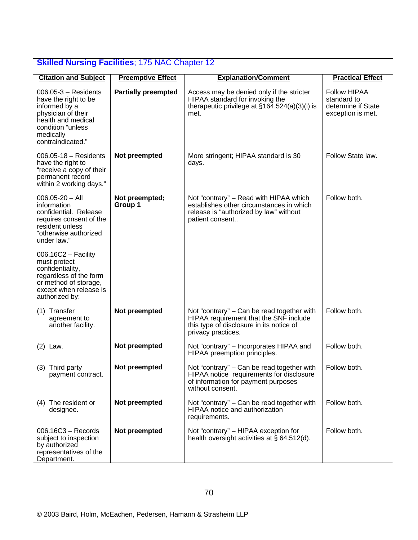| <b>Skilled Nursing Facilities; 175 NAC Chapter 12</b>                                                                                                              |                            |                                                                                                                                                        |                                                                               |  |
|--------------------------------------------------------------------------------------------------------------------------------------------------------------------|----------------------------|--------------------------------------------------------------------------------------------------------------------------------------------------------|-------------------------------------------------------------------------------|--|
| <b>Citation and Subject</b>                                                                                                                                        | <b>Preemptive Effect</b>   | <b>Explanation/Comment</b>                                                                                                                             | <b>Practical Effect</b>                                                       |  |
| $006.05-3 - Residents$<br>have the right to be<br>informed by a<br>physician of their<br>health and medical<br>condition "unless<br>medically<br>contraindicated." | <b>Partially preempted</b> | Access may be denied only if the stricter<br>HIPAA standard for invoking the<br>therapeutic privilege at $\S16\overline{4}$ .524(a)(3)(i) is<br>met.   | <b>Follow HIPAA</b><br>standard to<br>determine if State<br>exception is met. |  |
| $006.05 - 18 - Residents$<br>have the right to<br>"receive a copy of their<br>permanent record<br>within 2 working days."                                          | Not preempted              | More stringent; HIPAA standard is 30<br>days.                                                                                                          | Follow State law.                                                             |  |
| $006.05 - 20 - All$<br>information<br>confidential. Release<br>requires consent of the<br>resident unless<br>"otherwise authorized<br>under law."                  | Not preempted;<br>Group 1  | Not "contrary" – Read with HIPAA which<br>establishes other circumstances in which<br>release is "authorized by law" without<br>patient consent        | Follow both.                                                                  |  |
| $006.16C2 -$ Facility<br>must protect<br>confidentiality,<br>regardless of the form<br>or method of storage,<br>except when release is<br>authorized by:           |                            |                                                                                                                                                        |                                                                               |  |
| (1) Transfer<br>agreement to<br>another facility.                                                                                                                  | Not preempted              | Not "contrary" – Can be read together with<br>HIPAA requirement that the SNF include<br>this type of disclosure in its notice of<br>privacy practices. | Follow both.                                                                  |  |
| $(2)$ Law.                                                                                                                                                         | Not preempted              | Not "contrary" - Incorporates HIPAA and<br>HIPAA preemption principles.                                                                                | Follow both.                                                                  |  |
| (3) Third party<br>payment contract.                                                                                                                               | Not preempted              | Not "contrary" – Can be read together with<br>HIPAA notice requirements for disclosure<br>of information for payment purposes<br>without consent.      | Follow both.                                                                  |  |
| (4) The resident or<br>designee.                                                                                                                                   | Not preempted              | Not "contrary" – Can be read together with<br>HIPAA notice and authorization<br>requirements.                                                          | Follow both.                                                                  |  |
| $006.16C3 - Records$<br>subject to inspection<br>by authorized<br>representatives of the<br>Department.                                                            | Not preempted              | Not "contrary" - HIPAA exception for<br>health oversight activities at $\S$ 64.512(d).                                                                 | Follow both.                                                                  |  |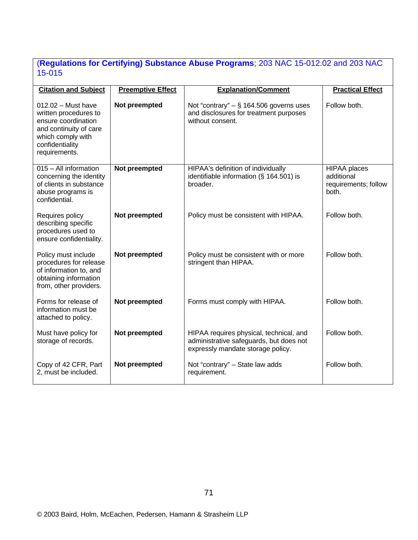# (**Regulations for Certifying) Substance Abuse Programs**; 203 NAC 15-012.02 and 203 NAC 15-015

| <b>Citation and Subject</b>                                                                                                                             | <b>Preemptive Effect</b> | <b>Explanation/Comment</b>                                                                                              | <b>Practical Effect</b>                                            |
|---------------------------------------------------------------------------------------------------------------------------------------------------------|--------------------------|-------------------------------------------------------------------------------------------------------------------------|--------------------------------------------------------------------|
| $012.02 -$ Must have<br>written procedures to<br>ensure coordination<br>and continuity of care<br>which comply with<br>confidentiality<br>requirements. | Not preempted            | Not "contrary" $-$ § 164.506 governs uses<br>and disclosures for treatment purposes<br>without consent.                 | Follow both.                                                       |
| 015 - All information<br>concerning the identity<br>of clients in substance<br>abuse programs is<br>confidential.                                       | Not preempted            | HIPAA's definition of individually<br>identifiable information (§ 164.501) is<br>broader.                               | <b>HIPAA</b> places<br>additional<br>requirements; follow<br>both. |
| Requires policy<br>describing specific<br>procedures used to<br>ensure confidentiality.                                                                 | Not preempted            | Policy must be consistent with HIPAA.                                                                                   | Follow both.                                                       |
| Policy must include<br>procedures for release<br>of information to, and<br>obtaining information<br>from, other providers.                              | Not preempted            | Policy must be consistent with or more<br>stringent than HIPAA.                                                         | Follow both.                                                       |
| Forms for release of<br>information must be<br>attached to policy.                                                                                      | Not preempted            | Forms must comply with HIPAA.                                                                                           | Follow both.                                                       |
| Must have policy for<br>storage of records.                                                                                                             | Not preempted            | HIPAA requires physical, technical, and<br>administrative safeguards, but does not<br>expressly mandate storage policy. | Follow both.                                                       |
| Copy of 42 CFR, Part<br>2, must be included.                                                                                                            | Not preempted            | Not "contrary" - State law adds<br>requirement.                                                                         | Follow both.                                                       |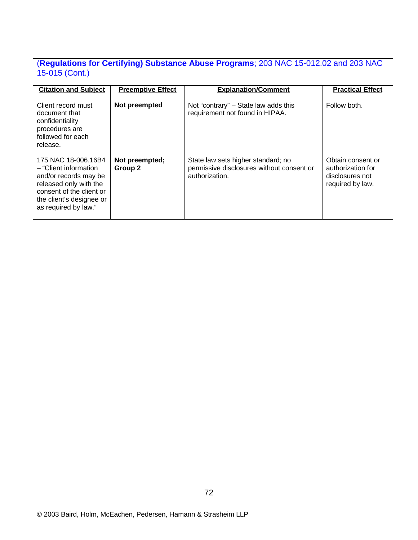# (**Regulations for Certifying) Substance Abuse Programs**; 203 NAC 15-012.02 and 203 NAC 15-015 (Cont.)

| <b>Citation and Subject</b>                                                                                                                                                      | <b>Preemptive Effect</b>  | <b>Explanation/Comment</b>                                                                        | <b>Practical Effect</b>                                                       |
|----------------------------------------------------------------------------------------------------------------------------------------------------------------------------------|---------------------------|---------------------------------------------------------------------------------------------------|-------------------------------------------------------------------------------|
| Client record must<br>document that<br>confidentiality<br>procedures are<br>followed for each<br>release.                                                                        | Not preempted             | Not "contrary" – State law adds this<br>requirement not found in HIPAA.                           | Follow both.                                                                  |
| 175 NAC 18-006.16B4<br>- "Client information"<br>and/or records may be<br>released only with the<br>consent of the client or<br>the client's designee or<br>as required by law." | Not preempted;<br>Group 2 | State law sets higher standard; no<br>permissive disclosures without consent or<br>authorization. | Obtain consent or<br>authorization for<br>disclosures not<br>required by law. |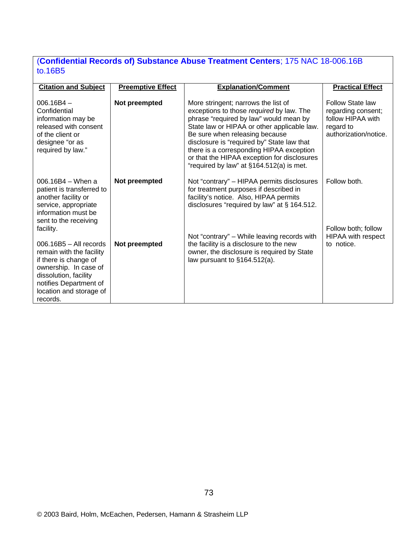# (**Confidential Records of) Substance Abuse Treatment Centers**; 175 NAC 18-006.16B to.16B5

| <b>Citation and Subject</b>                                                                                                                                                                      | <b>Preemptive Effect</b> | <b>Explanation/Comment</b>                                                                                                                                                                                                                                                                                                                                                                      | <b>Practical Effect</b>                                                                           |
|--------------------------------------------------------------------------------------------------------------------------------------------------------------------------------------------------|--------------------------|-------------------------------------------------------------------------------------------------------------------------------------------------------------------------------------------------------------------------------------------------------------------------------------------------------------------------------------------------------------------------------------------------|---------------------------------------------------------------------------------------------------|
| $006.16B4 -$<br>Confidential<br>information may be<br>released with consent<br>of the client or<br>designee "or as<br>required by law."                                                          | Not preempted            | More stringent; narrows the list of<br>exceptions to those required by law. The<br>phrase "required by law" would mean by<br>State law or HIPAA or other applicable law.<br>Be sure when releasing because<br>disclosure is "required by" State law that<br>there is a corresponding HIPAA exception<br>or that the HIPAA exception for disclosures<br>"required by law" at §164.512(a) is met. | Follow State law<br>regarding consent;<br>follow HIPAA with<br>regard to<br>authorization/notice. |
| $006.16B4 - When a$<br>patient is transferred to<br>another facility or<br>service, appropriate<br>information must be<br>sent to the receiving<br>facility.                                     | Not preempted            | Not "contrary" – HIPAA permits disclosures<br>for treatment purposes if described in<br>facility's notice. Also, HIPAA permits<br>disclosures "required by law" at § 164.512.                                                                                                                                                                                                                   | Follow both.<br>Follow both; follow                                                               |
| $006.16B5 - All records$<br>remain with the facility<br>if there is change of<br>ownership. In case of<br>dissolution, facility<br>notifies Department of<br>location and storage of<br>records. | Not preempted            | Not "contrary" - While leaving records with<br>the facility is a disclosure to the new<br>owner, the disclosure is required by State<br>law pursuant to $§164.512(a)$ .                                                                                                                                                                                                                         | <b>HIPAA with respect</b><br>to notice.                                                           |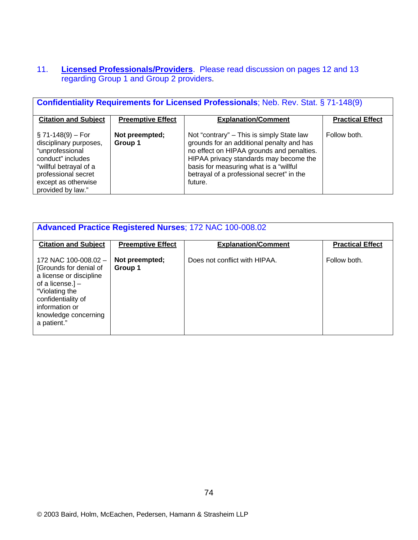# 11. **Licensed Professionals/Providers**. Please read discussion on pages 12 and 13 regarding Group 1 and Group 2 providers.

| <b>Confidentiality Requirements for Licensed Professionals; Neb. Rev. Stat. § 71-148(9)</b>                                                                                         |                           |                                                                                                                                                                                                                                                                                 |                         |  |
|-------------------------------------------------------------------------------------------------------------------------------------------------------------------------------------|---------------------------|---------------------------------------------------------------------------------------------------------------------------------------------------------------------------------------------------------------------------------------------------------------------------------|-------------------------|--|
| <b>Citation and Subject</b>                                                                                                                                                         | <b>Preemptive Effect</b>  | <b>Explanation/Comment</b>                                                                                                                                                                                                                                                      | <b>Practical Effect</b> |  |
| $\S$ 71-148(9) – For<br>disciplinary purposes,<br>"unprofessional<br>conduct" includes<br>"willful betrayal of a<br>professional secret<br>except as otherwise<br>provided by law." | Not preempted;<br>Group 1 | Not "contrary" – This is simply State law<br>grounds for an additional penalty and has<br>no effect on HIPAA grounds and penalties.<br>HIPAA privacy standards may become the<br>basis for measuring what is a "willful<br>betrayal of a professional secret" in the<br>future. | Follow both.            |  |

| <b>Advanced Practice Registered Nurses; 172 NAC 100-008.02</b>                                                                                                                                   |                           |                               |                         |  |
|--------------------------------------------------------------------------------------------------------------------------------------------------------------------------------------------------|---------------------------|-------------------------------|-------------------------|--|
| <b>Citation and Subject</b>                                                                                                                                                                      | <b>Preemptive Effect</b>  | <b>Explanation/Comment</b>    | <b>Practical Effect</b> |  |
| 172 NAC 100-008.02 -<br>[Grounds for denial of<br>a license or discipline<br>of a license.] $-$<br>"Violating the<br>confidentiality of<br>information or<br>knowledge concerning<br>a patient." | Not preempted;<br>Group 1 | Does not conflict with HIPAA. | Follow both.            |  |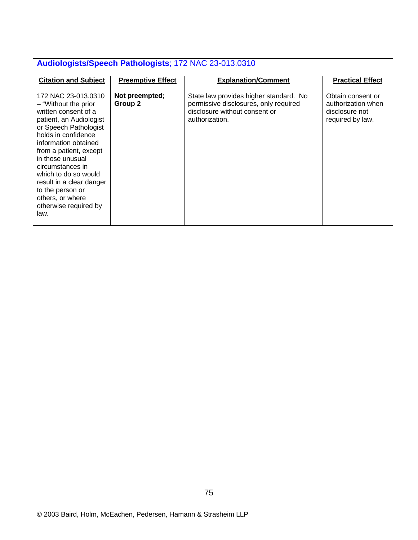| Audiologists/Speech Pathologists; 172 NAC 23-013.0310                                                                                                                                                                                                                                                                                                                  |                           |                                                                                                                                    |                                                                               |  |
|------------------------------------------------------------------------------------------------------------------------------------------------------------------------------------------------------------------------------------------------------------------------------------------------------------------------------------------------------------------------|---------------------------|------------------------------------------------------------------------------------------------------------------------------------|-------------------------------------------------------------------------------|--|
| <b>Citation and Subject</b>                                                                                                                                                                                                                                                                                                                                            | <b>Preemptive Effect</b>  | <b>Explanation/Comment</b>                                                                                                         | <b>Practical Effect</b>                                                       |  |
| 172 NAC 23-013.0310<br>- "Without the prior"<br>written consent of a<br>patient, an Audiologist<br>or Speech Pathologist<br>holds in confidence<br>information obtained<br>from a patient, except<br>in those unusual<br>circumstances in<br>which to do so would<br>result in a clear danger<br>to the person or<br>others, or where<br>otherwise required by<br>law. | Not preempted;<br>Group 2 | State law provides higher standard. No<br>permissive disclosures, only required<br>disclosure without consent or<br>authorization. | Obtain consent or<br>authorization when<br>disclosure not<br>required by law. |  |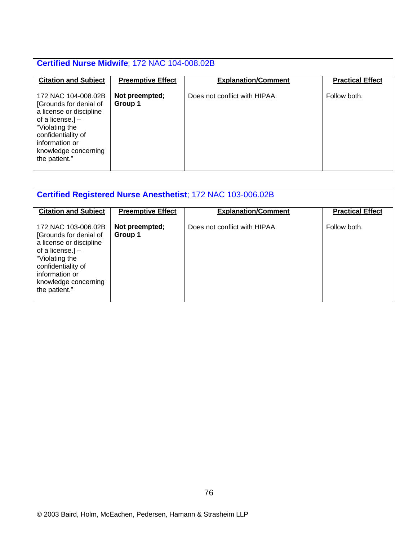| Certified Nurse Midwife; 172 NAC 104-008.02B                                                                                                                                                      |                           |                               |                         |  |
|---------------------------------------------------------------------------------------------------------------------------------------------------------------------------------------------------|---------------------------|-------------------------------|-------------------------|--|
| <b>Citation and Subject</b>                                                                                                                                                                       | <b>Preemptive Effect</b>  | <b>Explanation/Comment</b>    | <b>Practical Effect</b> |  |
| 172 NAC 104-008.02B<br>[Grounds for denial of<br>a license or discipline<br>of a license.] $-$<br>"Violating the<br>confidentiality of<br>information or<br>knowledge concerning<br>the patient." | Not preempted;<br>Group 1 | Does not conflict with HIPAA. | Follow both.            |  |

| <b>Certified Registered Nurse Anesthetist; 172 NAC 103-006.02B</b>                                                                                                                                |                           |                               |                         |  |
|---------------------------------------------------------------------------------------------------------------------------------------------------------------------------------------------------|---------------------------|-------------------------------|-------------------------|--|
| <b>Citation and Subject</b>                                                                                                                                                                       | <b>Preemptive Effect</b>  | <b>Explanation/Comment</b>    | <b>Practical Effect</b> |  |
| 172 NAC 103-006.02B<br>[Grounds for denial of<br>a license or discipline<br>of a license.] $-$<br>"Violating the<br>confidentiality of<br>information or<br>knowledge concerning<br>the patient." | Not preempted;<br>Group 1 | Does not conflict with HIPAA. | Follow both.            |  |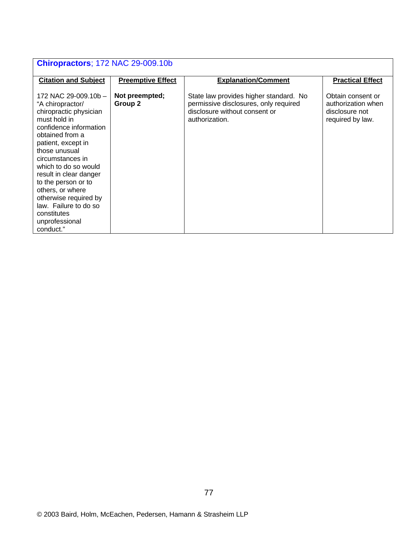| <b>Chiropractors</b> ; 172 NAC 29-009.10b                                                                                                                                                                                                                                                                                                                                               |                           |                                                                                                                                    |                                                                               |  |
|-----------------------------------------------------------------------------------------------------------------------------------------------------------------------------------------------------------------------------------------------------------------------------------------------------------------------------------------------------------------------------------------|---------------------------|------------------------------------------------------------------------------------------------------------------------------------|-------------------------------------------------------------------------------|--|
| <b>Citation and Subject</b>                                                                                                                                                                                                                                                                                                                                                             | <b>Preemptive Effect</b>  | <b>Explanation/Comment</b>                                                                                                         | <b>Practical Effect</b>                                                       |  |
| 172 NAC 29-009.10b -<br>"A chiropractor/<br>chiropractic physician<br>must hold in<br>confidence information<br>obtained from a<br>patient, except in<br>those unusual<br>circumstances in<br>which to do so would<br>result in clear danger<br>to the person or to<br>others, or where<br>otherwise required by<br>law. Failure to do so<br>constitutes<br>unprofessional<br>conduct." | Not preempted;<br>Group 2 | State law provides higher standard. No<br>permissive disclosures, only required<br>disclosure without consent or<br>authorization. | Obtain consent or<br>authorization when<br>disclosure not<br>required by law. |  |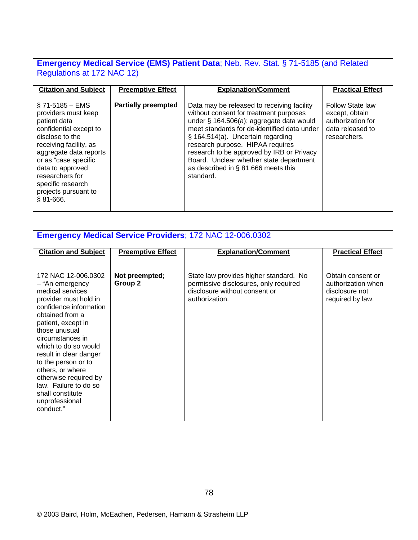# **Emergency Medical Service (EMS) Patient Data**; Neb. Rev. Stat. § 71-5185 (and Related Regulations at 172 NAC 12)

| <b>Citation and Subject</b>                                                                                                                                                                                                                                                          | <b>Preemptive Effect</b>   | <b>Explanation/Comment</b>                                                                                                                                                                                                                                                                                                                                                                           | <b>Practical Effect</b>                                                                     |
|--------------------------------------------------------------------------------------------------------------------------------------------------------------------------------------------------------------------------------------------------------------------------------------|----------------------------|------------------------------------------------------------------------------------------------------------------------------------------------------------------------------------------------------------------------------------------------------------------------------------------------------------------------------------------------------------------------------------------------------|---------------------------------------------------------------------------------------------|
| $\S$ 71-5185 – EMS<br>providers must keep<br>patient data<br>confidential except to<br>disclose to the<br>receiving facility, as<br>aggregate data reports<br>or as "case specific<br>data to approved<br>researchers for<br>specific research<br>projects pursuant to<br>$$81-666.$ | <b>Partially preempted</b> | Data may be released to receiving facility<br>without consent for treatment purposes<br>under § 164.506(a); aggregate data would<br>meet standards for de-identified data under<br>§ 164.514(a). Uncertain regarding<br>research purpose. HIPAA requires<br>research to be approved by IRB or Privacy<br>Board. Unclear whether state department<br>as described in § 81.666 meets this<br>standard. | Follow State law<br>except, obtain<br>authorization for<br>data released to<br>researchers. |

| <b>Emergency Medical Service Providers; 172 NAC 12-006.0302</b>                                                                                                                                                                                                                                                                                                                               |                           |                                                                                                                                    |                                                                               |  |
|-----------------------------------------------------------------------------------------------------------------------------------------------------------------------------------------------------------------------------------------------------------------------------------------------------------------------------------------------------------------------------------------------|---------------------------|------------------------------------------------------------------------------------------------------------------------------------|-------------------------------------------------------------------------------|--|
| <b>Citation and Subject</b>                                                                                                                                                                                                                                                                                                                                                                   | <b>Preemptive Effect</b>  | <b>Explanation/Comment</b>                                                                                                         | <b>Practical Effect</b>                                                       |  |
| 172 NAC 12-006.0302<br>- "An emergency<br>medical services<br>provider must hold in<br>confidence information<br>obtained from a<br>patient, except in<br>those unusual<br>circumstances in<br>which to do so would<br>result in clear danger<br>to the person or to<br>others, or where<br>otherwise required by<br>law. Failure to do so<br>shall constitute<br>unprofessional<br>conduct." | Not preempted;<br>Group 2 | State law provides higher standard. No<br>permissive disclosures, only required<br>disclosure without consent or<br>authorization. | Obtain consent or<br>authorization when<br>disclosure not<br>required by law. |  |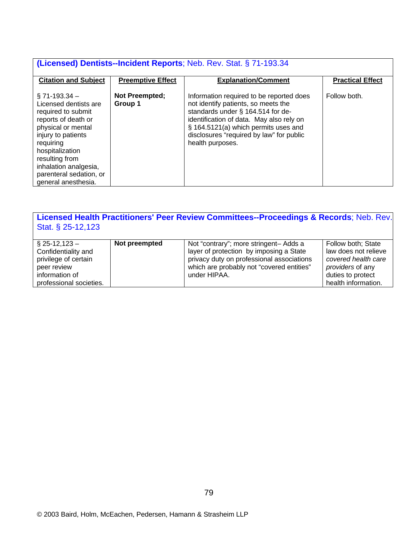| (Licensed) Dentists-Incident Reports; Neb. Rev. Stat. § 71-193.34                                                                                                                                                                                                 |                           |                                                                                                                                                                                                                                                                          |                         |  |
|-------------------------------------------------------------------------------------------------------------------------------------------------------------------------------------------------------------------------------------------------------------------|---------------------------|--------------------------------------------------------------------------------------------------------------------------------------------------------------------------------------------------------------------------------------------------------------------------|-------------------------|--|
| <b>Citation and Subject</b>                                                                                                                                                                                                                                       | <b>Preemptive Effect</b>  | <b>Explanation/Comment</b>                                                                                                                                                                                                                                               | <b>Practical Effect</b> |  |
| $\S$ 71-193.34 $-$<br>Licensed dentists are<br>required to submit<br>reports of death or<br>physical or mental<br>injury to patients<br>requiring<br>hospitalization<br>resulting from<br>inhalation analgesia,<br>parenteral sedation, or<br>general anesthesia. | Not Preempted;<br>Group 1 | Information required to be reported does<br>not identify patients, so meets the<br>standards under § 164.514 for de-<br>identification of data. May also rely on<br>§ 164.5121(a) which permits uses and<br>disclosures "required by law" for public<br>health purposes. | Follow both.            |  |

# **Licensed Health Practitioners' Peer Review Committees--Proceedings & Records**; Neb. Rev. Stat. § 25-12,123

| $\S$ 25-12,123 -        | Not preempted | Not "contrary"; more stringent- Adds a    | Follow both; State      |
|-------------------------|---------------|-------------------------------------------|-------------------------|
| Confidentiality and     |               | layer of protection by imposing a State   | law does not relieve    |
| privilege of certain    |               | privacy duty on professional associations | covered health care     |
| peer review             |               | which are probably not "covered entities" | <i>providers</i> of any |
| information of          |               | under HIPAA.                              | duties to protect       |
| professional societies. |               |                                           | health information.     |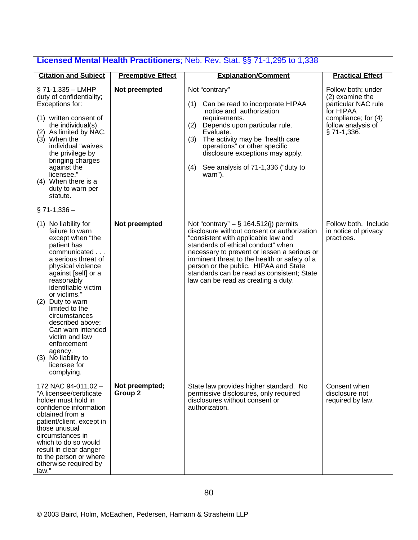| Licensed Mental Health Practitioners; Neb. Rev. Stat. 88 71-1,295 to 1,338                                                                                                                                                                                                                                                                                                                                          |                           |                                                                                                                                                                                                                                                                                                                                                                                                  |                                                                                                                                         |  |
|---------------------------------------------------------------------------------------------------------------------------------------------------------------------------------------------------------------------------------------------------------------------------------------------------------------------------------------------------------------------------------------------------------------------|---------------------------|--------------------------------------------------------------------------------------------------------------------------------------------------------------------------------------------------------------------------------------------------------------------------------------------------------------------------------------------------------------------------------------------------|-----------------------------------------------------------------------------------------------------------------------------------------|--|
| <b>Citation and Subject</b>                                                                                                                                                                                                                                                                                                                                                                                         | <b>Preemptive Effect</b>  | <b>Explanation/Comment</b>                                                                                                                                                                                                                                                                                                                                                                       | <b>Practical Effect</b>                                                                                                                 |  |
| § 71-1,335 - LMHP<br>duty of confidentiality;<br>Exceptions for:<br>(1) written consent of<br>the individual(s).<br>(2) As limited by NAC.<br>(3) When the<br>individual "waives<br>the privilege by<br>bringing charges<br>against the<br>licensee."<br>(4) When there is a<br>duty to warn per<br>statute.                                                                                                        | Not preempted             | Not "contrary"<br>Can be read to incorporate HIPAA<br>(1)<br>notice and authorization<br>requirements.<br>(2)<br>Depends upon particular rule.<br>Evaluate.<br>The activity may be "health care<br>(3)<br>operations" or other specific<br>disclosure exceptions may apply.<br>See analysis of 71-1,336 ("duty to<br>(4)<br>warn").                                                              | Follow both; under<br>(2) examine the<br>particular NAC rule<br>for HIPAA<br>compliance; for (4)<br>follow analysis of<br>$§$ 71-1,336. |  |
| $\S$ 71-1,336 -                                                                                                                                                                                                                                                                                                                                                                                                     |                           |                                                                                                                                                                                                                                                                                                                                                                                                  |                                                                                                                                         |  |
| (1) No liability for<br>failure to warn<br>except when "the<br>patient has<br>communicated<br>a serious threat of<br>physical violence<br>against [self] or a<br>reasonably<br>identifiable victim<br>or victims."<br>(2) Duty to warn<br>limited to the<br>circumstances<br>described above;<br>Can warn intended<br>victim and law<br>enforcement<br>agency.<br>(3) No liability to<br>licensee for<br>complying. | Not preempted             | Not "contrary" $-$ § 164.512(j) permits<br>disclosure without consent or authorization<br>"consistent with applicable law and<br>standards of ethical conduct" when<br>necessary to prevent or lessen a serious or<br>imminent threat to the health or safety of a<br>person or the public. HIPAA and State<br>standards can be read as consistent; State<br>law can be read as creating a duty. | Follow both. Include<br>in notice of privacy<br>practices.                                                                              |  |
| 172 NAC 94-011.02 -<br>"A licensee/certificate<br>holder must hold in<br>confidence information<br>obtained from a<br>patient/client, except in<br>those unusual<br>circumstances in<br>which to do so would<br>result in clear danger<br>to the person or where<br>otherwise required by<br>law."                                                                                                                  | Not preempted;<br>Group 2 | State law provides higher standard. No<br>permissive disclosures, only required<br>disclosures without consent or<br>authorization.                                                                                                                                                                                                                                                              | Consent when<br>disclosure not<br>required by law.                                                                                      |  |

### **Licensed Mental Health Practitioners**; Neb. Rev. Stat. §§ 71-1,295 to 1,338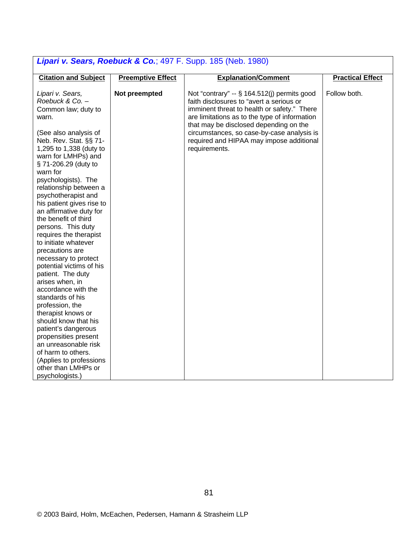| <b>Lipari v. Ocars, Nocouch &amp; Oo.</b> , 437 T. Oupp. 100 (1960. 1900)                                                                                                                                                                                                                                                                                                                                                                                                                                                                                                                                                                                                                                                                                                                                                                 |                          |                                                                                                                                                                                                                                                                                                                                              |                         |  |  |
|-------------------------------------------------------------------------------------------------------------------------------------------------------------------------------------------------------------------------------------------------------------------------------------------------------------------------------------------------------------------------------------------------------------------------------------------------------------------------------------------------------------------------------------------------------------------------------------------------------------------------------------------------------------------------------------------------------------------------------------------------------------------------------------------------------------------------------------------|--------------------------|----------------------------------------------------------------------------------------------------------------------------------------------------------------------------------------------------------------------------------------------------------------------------------------------------------------------------------------------|-------------------------|--|--|
| <b>Citation and Subject</b>                                                                                                                                                                                                                                                                                                                                                                                                                                                                                                                                                                                                                                                                                                                                                                                                               | <b>Preemptive Effect</b> | <b>Explanation/Comment</b>                                                                                                                                                                                                                                                                                                                   | <b>Practical Effect</b> |  |  |
| Lipari v. Sears,<br>Roebuck & Co. -<br>Common law; duty to<br>warn.<br>(See also analysis of<br>Neb. Rev. Stat. §§ 71-<br>1,295 to 1,338 (duty to<br>warn for LMHPs) and<br>§ 71-206.29 (duty to<br>warn for<br>psychologists). The<br>relationship between a<br>psychotherapist and<br>his patient gives rise to<br>an affirmative duty for<br>the benefit of third<br>persons. This duty<br>requires the therapist<br>to initiate whatever<br>precautions are<br>necessary to protect<br>potential victims of his<br>patient. The duty<br>arises when, in<br>accordance with the<br>standards of his<br>profession, the<br>therapist knows or<br>should know that his<br>patient's dangerous<br>propensities present<br>an unreasonable risk<br>of harm to others.<br>(Applies to professions<br>other than LMHPs or<br>psychologists.) | Not preempted            | Not "contrary" -- § 164.512(j) permits good<br>faith disclosures to "avert a serious or<br>imminent threat to health or safety." There<br>are limitations as to the type of information<br>that may be disclosed depending on the<br>circumstances, so case-by-case analysis is<br>required and HIPAA may impose additional<br>requirements. | Follow both.            |  |  |

# *Lipari v. Sears, Roebuck & Co.*; 497 F. Supp. 185 (Neb. 1980)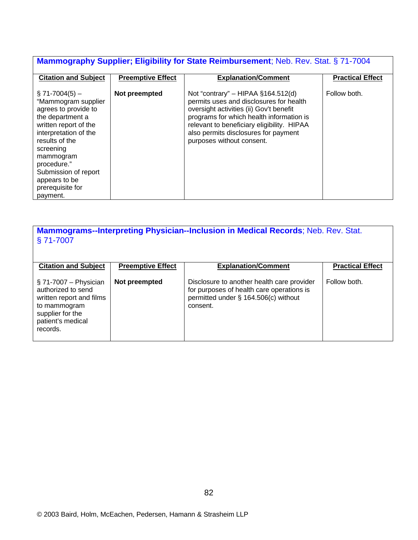# **Mammography Supplier; Eligibility for State Reimbursement**; Neb. Rev. Stat. § 71-7004

| <b>Citation and Subject</b>                                                                                                                                                                                                                                                | <b>Preemptive Effect</b> | <b>Explanation/Comment</b>                                                                                                                                                                                                                                                                | <b>Practical Effect</b> |
|----------------------------------------------------------------------------------------------------------------------------------------------------------------------------------------------------------------------------------------------------------------------------|--------------------------|-------------------------------------------------------------------------------------------------------------------------------------------------------------------------------------------------------------------------------------------------------------------------------------------|-------------------------|
|                                                                                                                                                                                                                                                                            |                          |                                                                                                                                                                                                                                                                                           |                         |
| $\S$ 71-7004(5) –<br>"Mammogram supplier<br>agrees to provide to<br>the department a<br>written report of the<br>interpretation of the<br>results of the<br>screening<br>mammogram<br>procedure."<br>Submission of report<br>appears to be<br>prerequisite for<br>payment. | Not preempted            | Not "contrary" – HIPAA $§164.512(d)$<br>permits uses and disclosures for health<br>oversight activities (ii) Gov't benefit<br>programs for which health information is<br>relevant to beneficiary eligibility. HIPAA<br>also permits disclosures for payment<br>purposes without consent. | Follow both.            |

**Mammograms--Interpreting Physician--Inclusion in Medical Records**; Neb. Rev. Stat. § 71-7007

| <b>Citation and Subject</b>                                                                                                                     | <b>Preemptive Effect</b> | <b>Explanation/Comment</b>                                                                                                                  | <b>Practical Effect</b> |
|-------------------------------------------------------------------------------------------------------------------------------------------------|--------------------------|---------------------------------------------------------------------------------------------------------------------------------------------|-------------------------|
| $\S$ 71-7007 - Physician<br>authorized to send<br>written report and films<br>to mammogram<br>supplier for the<br>patient's medical<br>records. | Not preempted            | Disclosure to another health care provider<br>for purposes of health care operations is<br>permitted under § 164.506(c) without<br>consent. | Follow both.            |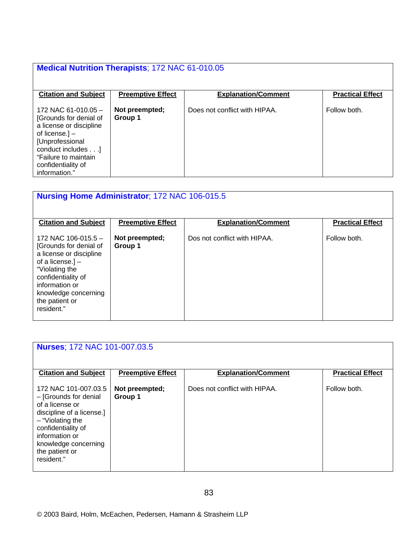#### **Medical Nutrition Therapists**; 172 NAC 61-010.05 **Citation and Subject Preemptive Effect Explanation/Comment Practical Effect** 172 NAC 61-010.05 – [Grounds for denial of a license or discipline of license.] – [Unprofessional conduct includes . . .] "Failure to maintain confidentiality of information." **Not preempted; Group 1** Does not conflict with HIPAA. Follow both.

| <b>Nursing Home Administrator; 172 NAC 106-015.5</b>                                                                                                                                                               |                           |                              |                         |  |
|--------------------------------------------------------------------------------------------------------------------------------------------------------------------------------------------------------------------|---------------------------|------------------------------|-------------------------|--|
| <b>Citation and Subject</b>                                                                                                                                                                                        | <b>Preemptive Effect</b>  | <b>Explanation/Comment</b>   | <b>Practical Effect</b> |  |
| 172 NAC 106-015.5 $-$<br>[Grounds for denial of<br>a license or discipline<br>of a license. $]-$<br>"Violating the<br>confidentiality of<br>information or<br>knowledge concerning<br>the patient or<br>resident." | Not preempted;<br>Group 1 | Dos not conflict with HIPAA. | Follow both.            |  |

|                                                                                                                                                                                                                     | <b>Nurses: 172 NAC 101-007.03.5</b> |                               |                         |  |  |
|---------------------------------------------------------------------------------------------------------------------------------------------------------------------------------------------------------------------|-------------------------------------|-------------------------------|-------------------------|--|--|
|                                                                                                                                                                                                                     |                                     |                               |                         |  |  |
| <b>Citation and Subject</b>                                                                                                                                                                                         | <b>Preemptive Effect</b>            | <b>Explanation/Comment</b>    | <b>Practical Effect</b> |  |  |
|                                                                                                                                                                                                                     |                                     |                               |                         |  |  |
| 172 NAC 101-007.03.5<br>- [Grounds for denial<br>of a license or<br>discipline of a license.]<br>$-$ "Violating the<br>confidentiality of<br>information or<br>knowledge concerning<br>the patient or<br>resident." | Not preempted;<br>Group 1           | Does not conflict with HIPAA. | Follow both.            |  |  |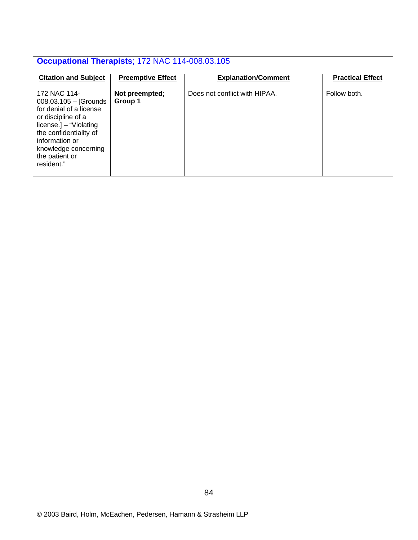| <b>Occupational Therapists; 172 NAC 114-008.03.105</b>                                                                                                                                                                     |                           |                               |                         |  |
|----------------------------------------------------------------------------------------------------------------------------------------------------------------------------------------------------------------------------|---------------------------|-------------------------------|-------------------------|--|
| <b>Citation and Subject</b>                                                                                                                                                                                                | <b>Preemptive Effect</b>  | <b>Explanation/Comment</b>    | <b>Practical Effect</b> |  |
| 172 NAC 114-<br>$008.03.105 -$ [Grounds]<br>for denial of a license<br>or discipline of a<br>$license.$ ] – "Violating<br>the confidentiality of<br>information or<br>knowledge concerning<br>the patient or<br>resident." | Not preempted;<br>Group 1 | Does not conflict with HIPAA. | Follow both.            |  |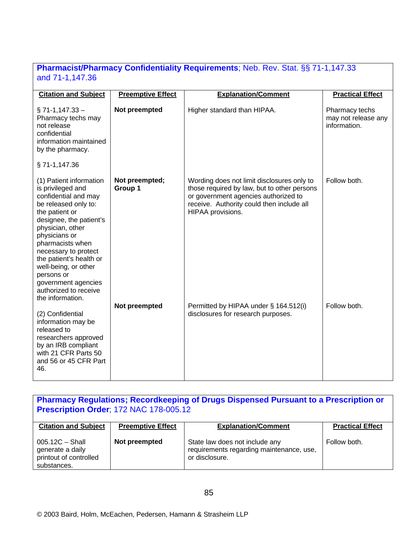### **Pharmacist/Pharmacy Confidentiality Requirements**; Neb. Rev. Stat. §§ 71-1,147.33 and 71-1,147.36

| <b>Citation and Subject</b>                                                                                                                                                                                                                                                                                                                                     | <b>Preemptive Effect</b>  | <b>Explanation/Comment</b>                                                                                                                                                                          | <b>Practical Effect</b>                               |
|-----------------------------------------------------------------------------------------------------------------------------------------------------------------------------------------------------------------------------------------------------------------------------------------------------------------------------------------------------------------|---------------------------|-----------------------------------------------------------------------------------------------------------------------------------------------------------------------------------------------------|-------------------------------------------------------|
| $\S$ 71-1,147.33 -<br>Pharmacy techs may<br>not release<br>confidential<br>information maintained<br>by the pharmacy.                                                                                                                                                                                                                                           | Not preempted             | Higher standard than HIPAA.                                                                                                                                                                         | Pharmacy techs<br>may not release any<br>information. |
| §71-1,147.36                                                                                                                                                                                                                                                                                                                                                    |                           |                                                                                                                                                                                                     |                                                       |
| (1) Patient information<br>is privileged and<br>confidential and may<br>be released only to:<br>the patient or<br>designee, the patient's<br>physician, other<br>physicians or<br>pharmacists when<br>necessary to protect<br>the patient's health or<br>well-being, or other<br>persons or<br>government agencies<br>authorized to receive<br>the information. | Not preempted;<br>Group 1 | Wording does not limit disclosures only to<br>those required by law, but to other persons<br>or government agencies authorized to<br>receive. Authority could then include all<br>HIPAA provisions. | Follow both.                                          |
| (2) Confidential<br>information may be<br>released to<br>researchers approved<br>by an IRB compliant<br>with 21 CFR Parts 50<br>and 56 or 45 CFR Part<br>46.                                                                                                                                                                                                    | Not preempted             | Permitted by HIPAA under § 164.512(i)<br>disclosures for research purposes.                                                                                                                         | Follow both.                                          |

### **Pharmacy Regulations; Recordkeeping of Drugs Dispensed Pursuant to a Prescription or Prescription Order**; 172 NAC 178-005.12

| <b>Citation and Subject</b>                                                    | <b>Preemptive Effect</b> | <b>Explanation/Comment</b>                                                                   | <b>Practical Effect</b> |
|--------------------------------------------------------------------------------|--------------------------|----------------------------------------------------------------------------------------------|-------------------------|
| $005.12C - Shall$<br>generate a daily<br>printout of controlled<br>substances. | Not preempted            | State law does not include any<br>requirements regarding maintenance, use,<br>or disclosure. | Follow both.            |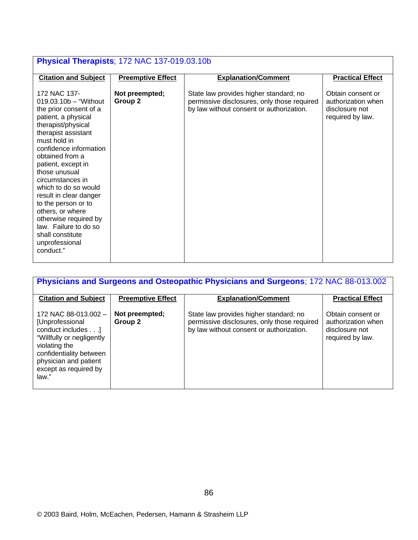| Physical Therapists; 172 NAC 137-019.03.10b                                                                                                                                                                                                                                                                                                                                                                                                                      |                           |                                                                                                                                   |                                                                               |
|------------------------------------------------------------------------------------------------------------------------------------------------------------------------------------------------------------------------------------------------------------------------------------------------------------------------------------------------------------------------------------------------------------------------------------------------------------------|---------------------------|-----------------------------------------------------------------------------------------------------------------------------------|-------------------------------------------------------------------------------|
| <b>Citation and Subject</b>                                                                                                                                                                                                                                                                                                                                                                                                                                      | <b>Preemptive Effect</b>  | <b>Explanation/Comment</b>                                                                                                        | <b>Practical Effect</b>                                                       |
| 172 NAC 137-<br>$019.03.10b - "Without"$<br>the prior consent of a<br>patient, a physical<br>therapist/physical<br>therapist assistant<br>must hold in<br>confidence information<br>obtained from a<br>patient, except in<br>those unusual<br>circumstances in<br>which to do so would<br>result in clear danger<br>to the person or to<br>others, or where<br>otherwise required by<br>law. Failure to do so<br>shall constitute<br>unprofessional<br>conduct." | Not preempted;<br>Group 2 | State law provides higher standard; no<br>permissive disclosures, only those required<br>by law without consent or authorization. | Obtain consent or<br>authorization when<br>disclosure not<br>required by law. |

| <b>Physicians and Surgeons and Osteopathic Physicians and Surgeons</b> ; 172 NAC 88-013.002                                                                                                      |                           |                                                                                                                                   |                                                                               |  |
|--------------------------------------------------------------------------------------------------------------------------------------------------------------------------------------------------|---------------------------|-----------------------------------------------------------------------------------------------------------------------------------|-------------------------------------------------------------------------------|--|
| <b>Citation and Subject</b>                                                                                                                                                                      | <b>Preemptive Effect</b>  | <b>Explanation/Comment</b>                                                                                                        | <b>Practical Effect</b>                                                       |  |
| 172 NAC 88-013.002 -<br>[Unprofessional<br>conduct includes]<br>"Willfully or negligently<br>violating the<br>confidentiality between<br>physician and patient<br>except as required by<br>law." | Not preempted;<br>Group 2 | State law provides higher standard; no<br>permissive disclosures, only those required<br>by law without consent or authorization. | Obtain consent or<br>authorization when<br>disclosure not<br>required by law. |  |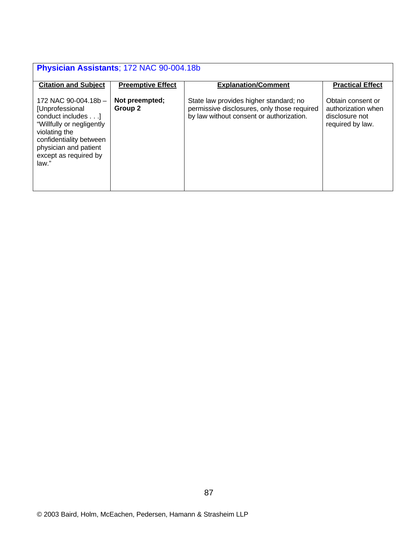| Physician Assistants; 172 NAC 90-004.18b                                                                                                                                                         |                           |                                                                                                                                   |                                                                               |  |
|--------------------------------------------------------------------------------------------------------------------------------------------------------------------------------------------------|---------------------------|-----------------------------------------------------------------------------------------------------------------------------------|-------------------------------------------------------------------------------|--|
| <b>Citation and Subject</b>                                                                                                                                                                      | <b>Preemptive Effect</b>  | <b>Explanation/Comment</b>                                                                                                        | <b>Practical Effect</b>                                                       |  |
| 172 NAC 90-004.18b -<br>[Unprofessional<br>conduct includes]<br>"Willfully or negligently<br>violating the<br>confidentiality between<br>physician and patient<br>except as required by<br>law." | Not preempted;<br>Group 2 | State law provides higher standard; no<br>permissive disclosures, only those required<br>by law without consent or authorization. | Obtain consent or<br>authorization when<br>disclosure not<br>required by law. |  |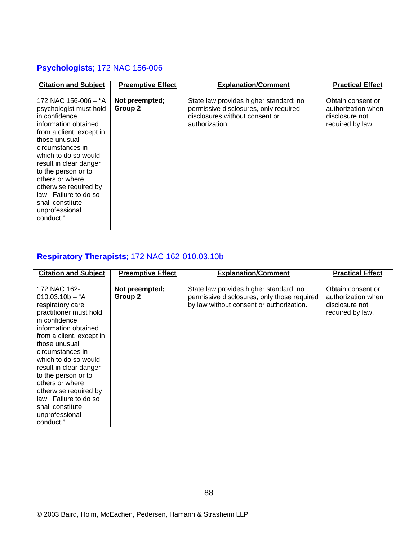# **Psychologists**; 172 NAC 156-006

| <b>Citation and Subject</b>                                                                                                                                                                                                                                                                                                                               | <b>Preemptive Effect</b>  | <b>Explanation/Comment</b>                                                                                                          | <b>Practical Effect</b>                                                       |
|-----------------------------------------------------------------------------------------------------------------------------------------------------------------------------------------------------------------------------------------------------------------------------------------------------------------------------------------------------------|---------------------------|-------------------------------------------------------------------------------------------------------------------------------------|-------------------------------------------------------------------------------|
| 172 NAC 156-006 – "A<br>psychologist must hold<br>in confidence<br>information obtained<br>from a client, except in<br>those unusual<br>circumstances in<br>which to do so would<br>result in clear danger<br>to the person or to<br>others or where<br>otherwise required by<br>law. Failure to do so<br>shall constitute<br>unprofessional<br>conduct." | Not preempted;<br>Group 2 | State law provides higher standard; no<br>permissive disclosures, only required<br>disclosures without consent or<br>authorization. | Obtain consent or<br>authorization when<br>disclosure not<br>required by law. |

| Respiratory Therapists; 172 NAC 162-010.03.10b                                                                                                                                                                                                                                                                                                                                             |                           |                                                                                                                                   |                                                                               |  |
|--------------------------------------------------------------------------------------------------------------------------------------------------------------------------------------------------------------------------------------------------------------------------------------------------------------------------------------------------------------------------------------------|---------------------------|-----------------------------------------------------------------------------------------------------------------------------------|-------------------------------------------------------------------------------|--|
| <b>Citation and Subject</b>                                                                                                                                                                                                                                                                                                                                                                | <b>Preemptive Effect</b>  | <b>Explanation/Comment</b>                                                                                                        | <b>Practical Effect</b>                                                       |  |
| 172 NAC 162-<br>$010.03.10b - "A$<br>respiratory care<br>practitioner must hold<br>in confidence<br>information obtained<br>from a client, except in<br>those unusual<br>circumstances in<br>which to do so would<br>result in clear danger<br>to the person or to<br>others or where<br>otherwise required by<br>law. Failure to do so<br>shall constitute<br>unprofessional<br>conduct." | Not preempted;<br>Group 2 | State law provides higher standard; no<br>permissive disclosures, only those required<br>by law without consent or authorization. | Obtain consent or<br>authorization when<br>disclosure not<br>required by law. |  |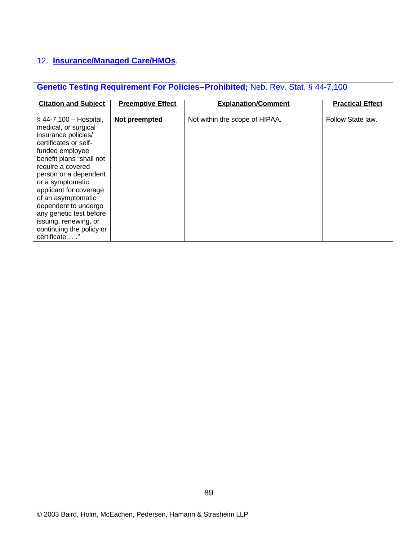# 12. **Insurance/Managed Care/HMOs**.

| <b>Genetic Testing Requirement For Policies--Prohibited;</b> Neb. Rev. Stat. § 44-7,100                                                                                                                                                                                                                                                                                                    |                          |                                |                         |  |
|--------------------------------------------------------------------------------------------------------------------------------------------------------------------------------------------------------------------------------------------------------------------------------------------------------------------------------------------------------------------------------------------|--------------------------|--------------------------------|-------------------------|--|
| <b>Citation and Subject</b>                                                                                                                                                                                                                                                                                                                                                                | <b>Preemptive Effect</b> | <b>Explanation/Comment</b>     | <b>Practical Effect</b> |  |
| $\S$ 44-7,100 – Hospital,<br>medical, or surgical<br>insurance policies/<br>certificates or self-<br>funded employee<br>benefit plans "shall not<br>require a covered<br>person or a dependent<br>or a symptomatic<br>applicant for coverage<br>of an asymptomatic<br>dependent to undergo<br>any genetic test before<br>issuing, renewing, or<br>continuing the policy or<br>certificate" | Not preempted            | Not within the scope of HIPAA. | Follow State law.       |  |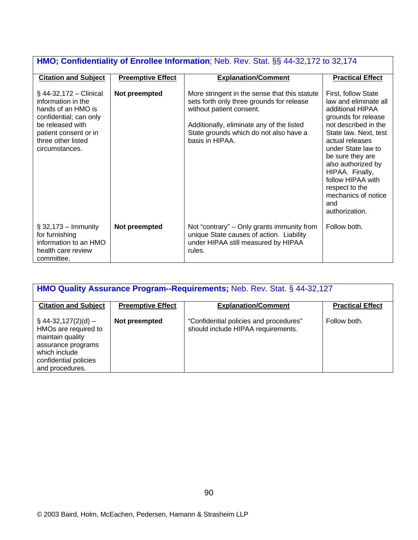| <b>HMO; Confidentiality of Enrollee Information</b> ; Neb. Rev. Stat. §§ 44-32,172 to 32,174                                                                                         |                          |                                                                                                                                                                                                                                  |                                                                                                                                                                                                                                                                                                                                       |  |
|--------------------------------------------------------------------------------------------------------------------------------------------------------------------------------------|--------------------------|----------------------------------------------------------------------------------------------------------------------------------------------------------------------------------------------------------------------------------|---------------------------------------------------------------------------------------------------------------------------------------------------------------------------------------------------------------------------------------------------------------------------------------------------------------------------------------|--|
| <b>Citation and Subject</b>                                                                                                                                                          | <b>Preemptive Effect</b> | <b>Explanation/Comment</b>                                                                                                                                                                                                       | <b>Practical Effect</b>                                                                                                                                                                                                                                                                                                               |  |
| $\S$ 44-32,172 – Clinical<br>information in the<br>hands of an HMO is<br>confidential; can only<br>be released with<br>patient consent or in<br>three other listed<br>circumstances. | Not preempted            | More stringent in the sense that this statute<br>sets forth only three grounds for release<br>without patient consent.<br>Additionally, eliminate any of the listed<br>State grounds which do not also have a<br>basis in HIPAA. | First, follow State<br>law and eliminate all<br>additional HIPAA<br>grounds for release<br>not described in the<br>State law. Next, test<br>actual releases<br>under State law to<br>be sure they are<br>also authorized by<br>HIPAA. Finally,<br>follow HIPAA with<br>respect to the<br>mechanics of notice<br>and<br>authorization. |  |
| $\S$ 32,173 - Immunity<br>for furnishing<br>information to an HMO<br>health care review<br>committee.                                                                                | Not preempted            | Not "contrary" – Only grants immunity from<br>unique State causes of action. Liability<br>under HIPAA still measured by HIPAA<br>rules.                                                                                          | Follow both.                                                                                                                                                                                                                                                                                                                          |  |

| <b>HMO Quality Assurance Program--Requirements; Neb. Rev. Stat. § 44-32,127</b>                                                                       |                          |                                                                              |                         |
|-------------------------------------------------------------------------------------------------------------------------------------------------------|--------------------------|------------------------------------------------------------------------------|-------------------------|
| <b>Citation and Subject</b>                                                                                                                           | <b>Preemptive Effect</b> | <b>Explanation/Comment</b>                                                   | <b>Practical Effect</b> |
| $\S$ 44-32,127(2)(d) –<br>HMOs are required to<br>maintain quality<br>assurance programs<br>which include<br>confidential policies<br>and procedures. | Not preempted            | "Confidential policies and procedures"<br>should include HIPAA requirements. | Follow both.            |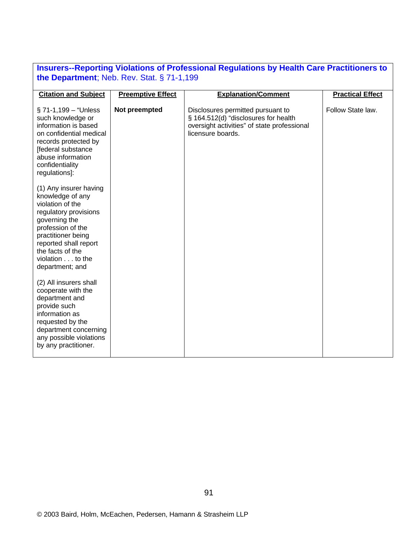| <b>Insurers--Reporting Violations of Professional Regulations by Health Care Practitioners to</b> |  |
|---------------------------------------------------------------------------------------------------|--|
| the Department; Neb. Rev. Stat. $\S$ 71-1,199                                                     |  |

| <b>Citation and Subject</b>                                                                                                                                                                                                             | <b>Preemptive Effect</b> | <b>Explanation/Comment</b>                                                                                                                    | <b>Practical Effect</b> |
|-----------------------------------------------------------------------------------------------------------------------------------------------------------------------------------------------------------------------------------------|--------------------------|-----------------------------------------------------------------------------------------------------------------------------------------------|-------------------------|
| $\S$ 71-1,199 – "Unless<br>such knowledge or<br>information is based<br>on confidential medical<br>records protected by<br>[federal substance<br>abuse information<br>confidentiality<br>regulations]:                                  | Not preempted            | Disclosures permitted pursuant to<br>§ 164.512(d) "disclosures for health<br>oversight activities" of state professional<br>licensure boards. | Follow State law.       |
| (1) Any insurer having<br>knowledge of any<br>violation of the<br>regulatory provisions<br>governing the<br>profession of the<br>practitioner being<br>reported shall report<br>the facts of the<br>violation to the<br>department; and |                          |                                                                                                                                               |                         |
| (2) All insurers shall<br>cooperate with the<br>department and<br>provide such<br>information as<br>requested by the<br>department concerning<br>any possible violations<br>by any practitioner.                                        |                          |                                                                                                                                               |                         |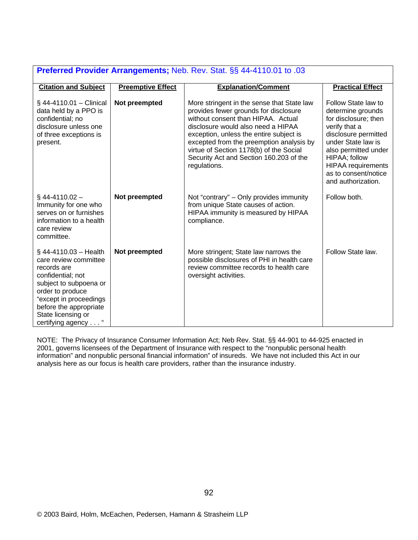| Preferred Provider Arrangements; Neb. Rev. Stat. §§ 44-4110.01 to .03                                                                                                                                                               |                          |                                                                                                                                                                                                                                                                                                                                                              |                                                                                                                                                                                                                                                     |
|-------------------------------------------------------------------------------------------------------------------------------------------------------------------------------------------------------------------------------------|--------------------------|--------------------------------------------------------------------------------------------------------------------------------------------------------------------------------------------------------------------------------------------------------------------------------------------------------------------------------------------------------------|-----------------------------------------------------------------------------------------------------------------------------------------------------------------------------------------------------------------------------------------------------|
| <b>Citation and Subject</b>                                                                                                                                                                                                         | <b>Preemptive Effect</b> | <b>Explanation/Comment</b>                                                                                                                                                                                                                                                                                                                                   | <b>Practical Effect</b>                                                                                                                                                                                                                             |
| $§$ 44-4110.01 – Clinical<br>data held by a PPO is<br>confidential; no<br>disclosure unless one<br>of three exceptions is<br>present.                                                                                               | Not preempted            | More stringent in the sense that State law<br>provides fewer grounds for disclosure<br>without consent than HIPAA. Actual<br>disclosure would also need a HIPAA<br>exception, unless the entire subject is<br>excepted from the preemption analysis by<br>virtue of Section 1178(b) of the Social<br>Security Act and Section 160.203 of the<br>regulations. | Follow State law to<br>determine grounds<br>for disclosure; then<br>verify that a<br>disclosure permitted<br>under State law is<br>also permitted under<br>HIPAA; follow<br><b>HIPAA</b> requirements<br>as to consent/notice<br>and authorization. |
| $\S$ 44-4110.02 -<br>Immunity for one who<br>serves on or furnishes<br>information to a health<br>care review<br>committee.                                                                                                         | Not preempted            | Not "contrary" – Only provides immunity<br>from unique State causes of action.<br>HIPAA immunity is measured by HIPAA<br>compliance.                                                                                                                                                                                                                         | Follow both.                                                                                                                                                                                                                                        |
| $§$ 44-4110.03 - Health<br>care review committee<br>records are<br>confidential; not<br>subject to subpoena or<br>order to produce<br>"except in proceedings<br>before the appropriate<br>State licensing or<br>certifying agency " | Not preempted            | More stringent; State law narrows the<br>possible disclosures of PHI in health care<br>review committee records to health care<br>oversight activities.                                                                                                                                                                                                      | Follow State law.                                                                                                                                                                                                                                   |

NOTE: The Privacy of Insurance Consumer Information Act; Neb Rev. Stat. §§ 44-901 to 44-925 enacted in 2001, governs licensees of the Department of Insurance with respect to the "nonpublic personal health information" and nonpublic personal financial information" of insureds. We have not included this Act in our analysis here as our focus is health care providers, rather than the insurance industry.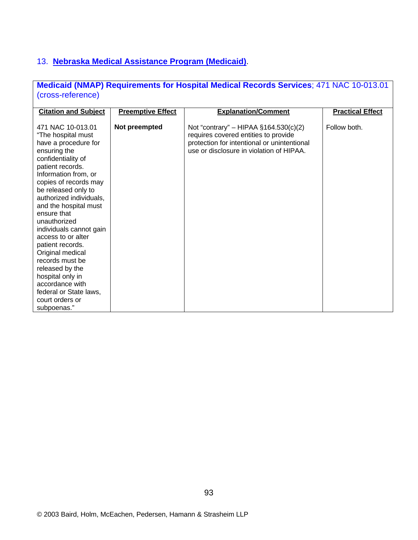# 13. **Nebraska Medical Assistance Program (Medicaid)**.

|                   | <b>Medicaid (NMAP) Requirements for Hospital Medical Records Services; 471 NAC 10-013.01</b> |
|-------------------|----------------------------------------------------------------------------------------------|
| (cross-reference) |                                                                                              |

| <b>Citation and Subject</b>                                                                                                                                                                                                                                                                                                                                                                                                                                                                                            | <b>Preemptive Effect</b> | <b>Explanation/Comment</b>                                                                                                                                                 | <b>Practical Effect</b> |
|------------------------------------------------------------------------------------------------------------------------------------------------------------------------------------------------------------------------------------------------------------------------------------------------------------------------------------------------------------------------------------------------------------------------------------------------------------------------------------------------------------------------|--------------------------|----------------------------------------------------------------------------------------------------------------------------------------------------------------------------|-------------------------|
| 471 NAC 10-013.01<br>"The hospital must<br>have a procedure for<br>ensuring the<br>confidentiality of<br>patient records.<br>Information from, or<br>copies of records may<br>be released only to<br>authorized individuals,<br>and the hospital must<br>ensure that<br>unauthorized<br>individuals cannot gain<br>access to or alter<br>patient records.<br>Original medical<br>records must be<br>released by the<br>hospital only in<br>accordance with<br>federal or State laws,<br>court orders or<br>subpoenas." | Not preempted            | Not "contrary" – HIPAA $§164.530(c)(2)$<br>requires covered entities to provide<br>protection for intentional or unintentional<br>use or disclosure in violation of HIPAA. | Follow both.            |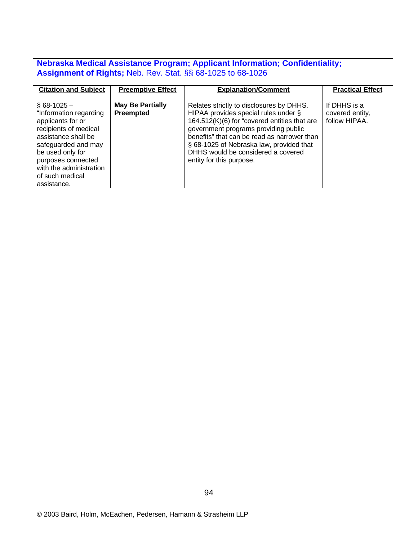# **Nebraska Medical Assistance Program; Applicant Information; Confidentiality; Assignment of Rights;** Neb. Rev. Stat. §§ 68-1025 to 68-1026

| <b>Citation and Subject</b>                                                                                                                                                                                                                | <b>Preemptive Effect</b>                    | <b>Explanation/Comment</b>                                                                                                                                                                                                                                                                                                            | <b>Practical Effect</b>                          |
|--------------------------------------------------------------------------------------------------------------------------------------------------------------------------------------------------------------------------------------------|---------------------------------------------|---------------------------------------------------------------------------------------------------------------------------------------------------------------------------------------------------------------------------------------------------------------------------------------------------------------------------------------|--------------------------------------------------|
| $§$ 68-1025 -<br>"Information regarding<br>applicants for or<br>recipients of medical<br>assistance shall be<br>safeguarded and may<br>be used only for<br>purposes connected<br>with the administration<br>of such medical<br>assistance. | <b>May Be Partially</b><br><b>Preempted</b> | Relates strictly to disclosures by DHHS.<br>HIPAA provides special rules under §<br>164.512(K)(6) for "covered entities that are<br>government programs providing public<br>benefits" that can be read as narrower than<br>§ 68-1025 of Nebraska law, provided that<br>DHHS would be considered a covered<br>entity for this purpose. | If DHHS is a<br>covered entity,<br>follow HIPAA. |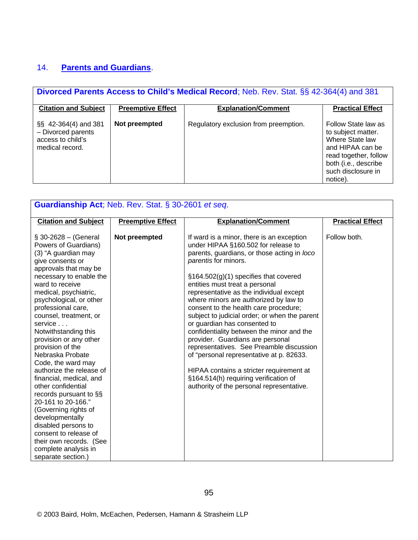# 14. **Parents and Guardians**.

| Divorced Parents Access to Child's Medical Record; Neb. Rev. Stat. §§ 42-364(4) and 381 |                          |                                       |                                                                                                                                                                     |
|-----------------------------------------------------------------------------------------|--------------------------|---------------------------------------|---------------------------------------------------------------------------------------------------------------------------------------------------------------------|
| <b>Citation and Subject</b>                                                             | <b>Preemptive Effect</b> | <b>Explanation/Comment</b>            | <b>Practical Effect</b>                                                                                                                                             |
| §§ 42-364(4) and 381<br>- Divorced parents<br>access to child's<br>medical record.      | Not preempted            | Regulatory exclusion from preemption. | Follow State law as<br>to subject matter.<br>Where State law<br>and HIPAA can be<br>read together, follow<br>both (i.e., describe<br>such disclosure in<br>notice). |

| Guardianship Act; Neb. Rev. Stat. § 30-2601 et seq.                                                                                                                                                                                                                                                                                                                                                                                                                                                                                                                                                                                                                                              |                          |                                                                                                                                                                                                                                                                                                                                                                                                                                                                                                                                                                                                                                                                                                                                                                |                         |
|--------------------------------------------------------------------------------------------------------------------------------------------------------------------------------------------------------------------------------------------------------------------------------------------------------------------------------------------------------------------------------------------------------------------------------------------------------------------------------------------------------------------------------------------------------------------------------------------------------------------------------------------------------------------------------------------------|--------------------------|----------------------------------------------------------------------------------------------------------------------------------------------------------------------------------------------------------------------------------------------------------------------------------------------------------------------------------------------------------------------------------------------------------------------------------------------------------------------------------------------------------------------------------------------------------------------------------------------------------------------------------------------------------------------------------------------------------------------------------------------------------------|-------------------------|
| <b>Citation and Subject</b>                                                                                                                                                                                                                                                                                                                                                                                                                                                                                                                                                                                                                                                                      | <b>Preemptive Effect</b> | <b>Explanation/Comment</b>                                                                                                                                                                                                                                                                                                                                                                                                                                                                                                                                                                                                                                                                                                                                     | <b>Practical Effect</b> |
| $$30-2628 - (General)$<br>Powers of Guardians)<br>(3) "A guardian may<br>give consents or<br>approvals that may be<br>necessary to enable the<br>ward to receive<br>medical, psychiatric,<br>psychological, or other<br>professional care,<br>counsel, treatment, or<br>service<br>Notwithstanding this<br>provision or any other<br>provision of the<br>Nebraska Probate<br>Code, the ward may<br>authorize the release of<br>financial, medical, and<br>other confidential<br>records pursuant to §§<br>20-161 to 20-166."<br>(Governing rights of<br>developmentally<br>disabled persons to<br>consent to release of<br>their own records. (See<br>complete analysis in<br>separate section.) | Not preempted            | If ward is a minor, there is an exception<br>under HIPAA §160.502 for release to<br>parents, guardians, or those acting in loco<br>parentis for minors.<br>$\S164.502(g)(1)$ specifies that covered<br>entities must treat a personal<br>representative as the individual except<br>where minors are authorized by law to<br>consent to the health care procedure;<br>subject to judicial order; or when the parent<br>or guardian has consented to<br>confidentiality between the minor and the<br>provider. Guardians are personal<br>representatives. See Preamble discussion<br>of "personal representative at p. 82633.<br>HIPAA contains a stricter requirement at<br>§164.514(h) requiring verification of<br>authority of the personal representative. | Follow both.            |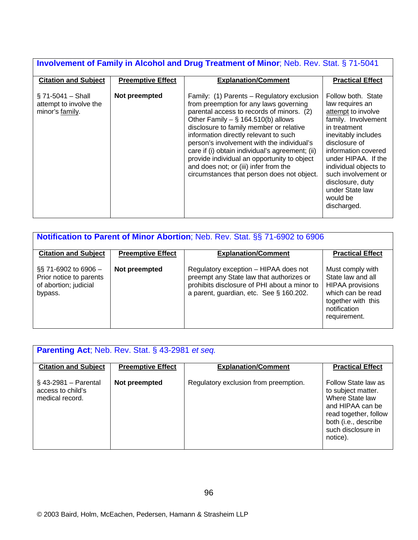# **Involvement of Family in Alcohol and Drug Treatment of Minor**; Neb. Rev. Stat. § 71-5041

| <b>Citation and Subject</b><br><b>Preemptive Effect</b>                           | <b>Explanation/Comment</b>                                                                                                                                                                                                                                                                                                                                                                                                                                                                           | <b>Practical Effect</b>                                                                                                                                                                                                                                                                                    |
|-----------------------------------------------------------------------------------|------------------------------------------------------------------------------------------------------------------------------------------------------------------------------------------------------------------------------------------------------------------------------------------------------------------------------------------------------------------------------------------------------------------------------------------------------------------------------------------------------|------------------------------------------------------------------------------------------------------------------------------------------------------------------------------------------------------------------------------------------------------------------------------------------------------------|
| Not preempted<br>$§$ 71-5041 - Shall<br>attempt to involve the<br>minor's family. | Family: (1) Parents – Regulatory exclusion<br>from preemption for any laws governing<br>parental access to records of minors. (2)<br>Other Family $-$ § 164.510(b) allows<br>disclosure to family member or relative<br>information directly relevant to such<br>person's involvement with the individual's<br>care if (i) obtain individual's agreement; (ii)<br>provide individual an opportunity to object<br>and does not; or (iii) infer from the<br>circumstances that person does not object. | Follow both. State<br>law requires an<br>attempt to involve<br>family. Involvement<br>in treatment<br>inevitably includes<br>disclosure of<br>information covered<br>under HIPAA. If the<br>individual objects to<br>such involvement or<br>disclosure, duty<br>under State law<br>would be<br>discharged. |

| Notification to Parent of Minor Abortion; Neb. Rev. Stat. §§ 71-6902 to 6906          |                          |                                                                                                                                                                              |                                                                                                                                             |
|---------------------------------------------------------------------------------------|--------------------------|------------------------------------------------------------------------------------------------------------------------------------------------------------------------------|---------------------------------------------------------------------------------------------------------------------------------------------|
| <b>Citation and Subject</b>                                                           | <b>Preemptive Effect</b> | <b>Explanation/Comment</b>                                                                                                                                                   | <b>Practical Effect</b>                                                                                                                     |
| $\S$ 71-6902 to 6906 –<br>Prior notice to parents<br>of abortion; judicial<br>bypass. | Not preempted            | Regulatory exception - HIPAA does not<br>preempt any State law that authorizes or<br>prohibits disclosure of PHI about a minor to<br>a parent, guardian, etc. See § 160.202. | Must comply with<br>State law and all<br><b>HIPAA</b> provisions<br>which can be read<br>together with this<br>notification<br>requirement. |

| <b>Parenting Act</b> ; Neb. Rev. Stat. § 43-2981 et seq.        |                          |                                       |                                                                                                                                                                     |
|-----------------------------------------------------------------|--------------------------|---------------------------------------|---------------------------------------------------------------------------------------------------------------------------------------------------------------------|
| <b>Citation and Subject</b>                                     | <b>Preemptive Effect</b> | <b>Explanation/Comment</b>            | <b>Practical Effect</b>                                                                                                                                             |
| $\S$ 43-2981 – Parental<br>access to child's<br>medical record. | Not preempted            | Regulatory exclusion from preemption. | Follow State law as<br>to subject matter.<br>Where State law<br>and HIPAA can be<br>read together, follow<br>both (i.e., describe<br>such disclosure in<br>notice). |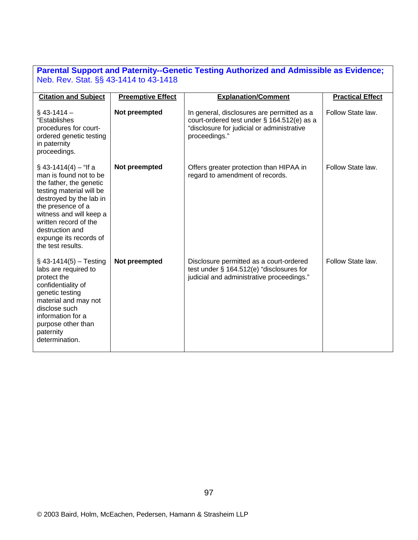# **Parental Support and Paternity--Genetic Testing Authorized and Admissible as Evidence;**  Neb. Rev. Stat. §§ 43-1414 to 43-1418

| <b>Citation and Subject</b>                                                                                                                                                                                                                                                    | <b>Preemptive Effect</b> | <b>Explanation/Comment</b>                                                                                                                              | <b>Practical Effect</b> |
|--------------------------------------------------------------------------------------------------------------------------------------------------------------------------------------------------------------------------------------------------------------------------------|--------------------------|---------------------------------------------------------------------------------------------------------------------------------------------------------|-------------------------|
| $§$ 43-1414 -<br>"Establishes<br>procedures for court-<br>ordered genetic testing<br>in paternity<br>proceedings.                                                                                                                                                              | Not preempted            | In general, disclosures are permitted as a<br>court-ordered test under § 164.512(e) as a<br>"disclosure for judicial or administrative<br>proceedings." | Follow State law.       |
| $\S$ 43-1414(4) – "If a<br>man is found not to be<br>the father, the genetic<br>testing material will be<br>destroyed by the lab in<br>the presence of a<br>witness and will keep a<br>written record of the<br>destruction and<br>expunge its records of<br>the test results. | Not preempted            | Offers greater protection than HIPAA in<br>regard to amendment of records.                                                                              | Follow State law.       |
| $\S$ 43-1414(5) – Testing<br>labs are required to<br>protect the<br>confidentiality of<br>genetic testing<br>material and may not<br>disclose such<br>information for a<br>purpose other than<br>paternity<br>determination.                                                   | Not preempted            | Disclosure permitted as a court-ordered<br>test under § 164.512(e) "disclosures for<br>judicial and administrative proceedings."                        | Follow State law.       |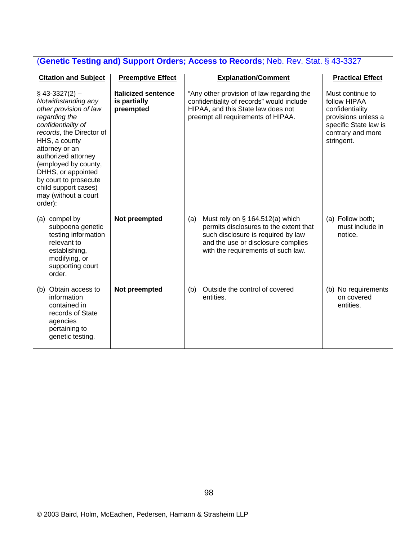| (Genetic Testing and) Support Orders; Access to Records; Neb. Rev. Stat. § 43-3327                                                                                                                                                                                                                                              |                                                         |                                                                                                                                                                                                       |                                                                                                                                        |
|---------------------------------------------------------------------------------------------------------------------------------------------------------------------------------------------------------------------------------------------------------------------------------------------------------------------------------|---------------------------------------------------------|-------------------------------------------------------------------------------------------------------------------------------------------------------------------------------------------------------|----------------------------------------------------------------------------------------------------------------------------------------|
| <b>Citation and Subject</b>                                                                                                                                                                                                                                                                                                     | <b>Preemptive Effect</b>                                | <b>Explanation/Comment</b>                                                                                                                                                                            | <b>Practical Effect</b>                                                                                                                |
| $$43-3327(2)$ -<br>Notwithstanding any<br>other provision of law<br>regarding the<br>confidentiality of<br>records, the Director of<br>HHS, a county<br>attorney or an<br>authorized attorney<br>(employed by county,<br>DHHS, or appointed<br>by court to prosecute<br>child support cases)<br>may (without a court<br>order): | <b>Italicized sentence</b><br>is partially<br>preempted | "Any other provision of law regarding the<br>confidentiality of records" would include<br>HIPAA, and this State law does not<br>preempt all requirements of HIPAA.                                    | Must continue to<br>follow HIPAA<br>confidentiality<br>provisions unless a<br>specific State law is<br>contrary and more<br>stringent. |
| (a) compel by<br>subpoena genetic<br>testing information<br>relevant to<br>establishing,<br>modifying, or<br>supporting court<br>order.                                                                                                                                                                                         | Not preempted                                           | (a)<br>Must rely on $\S$ 164.512(a) which<br>permits disclosures to the extent that<br>such disclosure is required by law<br>and the use or disclosure complies<br>with the requirements of such law. | (a) Follow both;<br>must include in<br>notice.                                                                                         |
| (b) Obtain access to<br>information<br>contained in<br>records of State<br>agencies<br>pertaining to<br>genetic testing.                                                                                                                                                                                                        | Not preempted                                           | Outside the control of covered<br>(b)<br>entities.                                                                                                                                                    | (b) No requirements<br>on covered<br>entities.                                                                                         |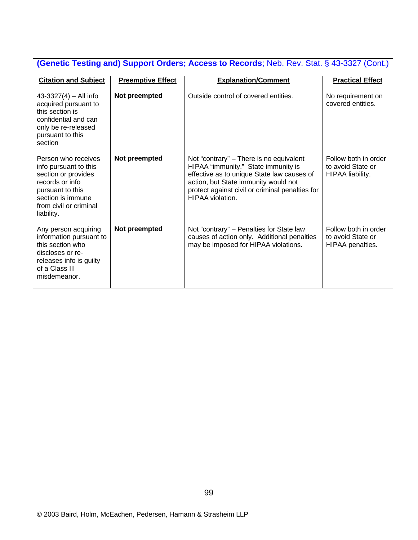| <b>(Genetic Testing and) Support Orders; Access to Records; Neb. Rev. Stat. § 43-3327 (Cont.)</b>                                                                       |                          |                                                                                                                                                                                                                                             |                                                               |  |  |  |
|-------------------------------------------------------------------------------------------------------------------------------------------------------------------------|--------------------------|---------------------------------------------------------------------------------------------------------------------------------------------------------------------------------------------------------------------------------------------|---------------------------------------------------------------|--|--|--|
| <b>Citation and Subject</b>                                                                                                                                             | <b>Preemptive Effect</b> | <b>Explanation/Comment</b>                                                                                                                                                                                                                  | <b>Practical Effect</b>                                       |  |  |  |
| $43-3327(4) - All info$<br>acquired pursuant to<br>this section is<br>confidential and can<br>only be re-released<br>pursuant to this<br>section                        | Not preempted            | Outside control of covered entities.                                                                                                                                                                                                        | No requirement on<br>covered entities.                        |  |  |  |
| Person who receives<br>info pursuant to this<br>section or provides<br>records or info<br>pursuant to this<br>section is immune<br>from civil or criminal<br>liability. | Not preempted            | Not "contrary" – There is no equivalent<br>HIPAA "immunity." State immunity is<br>effective as to unique State law causes of<br>action, but State immunity would not<br>protect against civil or criminal penalties for<br>HIPAA violation. | Follow both in order<br>to avoid State or<br>HIPAA liability. |  |  |  |
| Any person acquiring<br>information pursuant to<br>this section who<br>discloses or re-<br>releases info is guilty<br>of a Class III<br>misdemeanor.                    | Not preempted            | Not "contrary" - Penalties for State law<br>causes of action only. Additional penalties<br>may be imposed for HIPAA violations.                                                                                                             | Follow both in order<br>to avoid State or<br>HIPAA penalties. |  |  |  |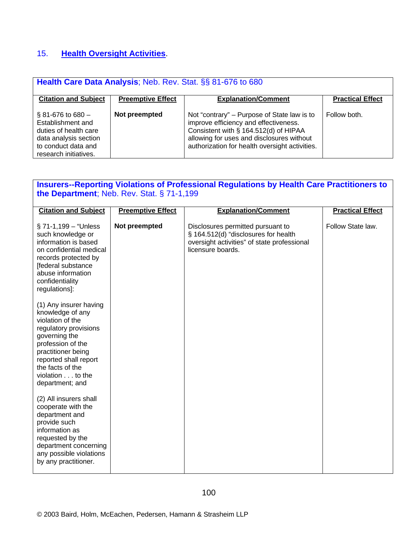# 15. **Health Oversight Activities**.

| Health Care Data Analysis; Neb. Rev. Stat. §§ 81-676 to 680                                                                                     |                          |                                                                                                                                                                                                                              |                         |  |  |  |
|-------------------------------------------------------------------------------------------------------------------------------------------------|--------------------------|------------------------------------------------------------------------------------------------------------------------------------------------------------------------------------------------------------------------------|-------------------------|--|--|--|
| <b>Citation and Subject</b>                                                                                                                     | <b>Preemptive Effect</b> | <b>Explanation/Comment</b>                                                                                                                                                                                                   | <b>Practical Effect</b> |  |  |  |
| $\S 81 - 676$ to $680 -$<br>Establishment and<br>duties of health care<br>data analysis section<br>to conduct data and<br>research initiatives. | Not preempted            | Not "contrary" – Purpose of State law is to<br>improve efficiency and effectiveness.<br>Consistent with § 164.512(d) of HIPAA<br>allowing for uses and disclosures without<br>authorization for health oversight activities. | Follow both.            |  |  |  |

# **Insurers--Reporting Violations of Professional Regulations by Health Care Practitioners to the Department**; Neb. Rev. Stat. § 71-1,199

| <b>Citation and Subject</b>                                                                                                                                                                                                             | <b>Preemptive Effect</b> | <b>Explanation/Comment</b>                                                                                                                    | <b>Practical Effect</b> |
|-----------------------------------------------------------------------------------------------------------------------------------------------------------------------------------------------------------------------------------------|--------------------------|-----------------------------------------------------------------------------------------------------------------------------------------------|-------------------------|
| $\S$ 71-1,199 – "Unless<br>such knowledge or<br>information is based<br>on confidential medical<br>records protected by<br>[federal substance<br>abuse information<br>confidentiality<br>regulations]:                                  | Not preempted            | Disclosures permitted pursuant to<br>§ 164.512(d) "disclosures for health<br>oversight activities" of state professional<br>licensure boards. | Follow State law.       |
| (1) Any insurer having<br>knowledge of any<br>violation of the<br>regulatory provisions<br>governing the<br>profession of the<br>practitioner being<br>reported shall report<br>the facts of the<br>violation to the<br>department; and |                          |                                                                                                                                               |                         |
| (2) All insurers shall<br>cooperate with the<br>department and<br>provide such<br>information as<br>requested by the<br>department concerning<br>any possible violations<br>by any practitioner.                                        |                          |                                                                                                                                               |                         |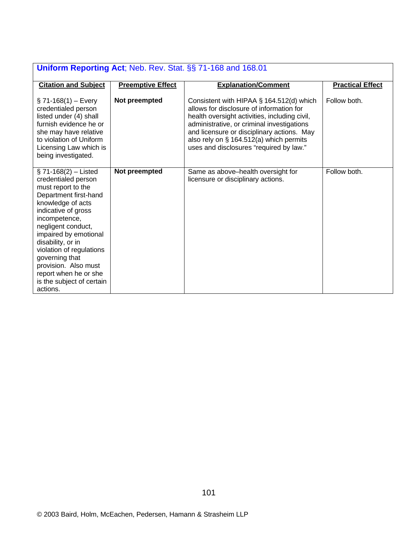| Uniform Reporting Act; Neb. Rev. Stat. §§ 71-168 and 168.01                                                                                                                                                                                                                                                                                                            |                          |                                                                                                                                                                                                                                                                                                                         |                         |  |  |  |
|------------------------------------------------------------------------------------------------------------------------------------------------------------------------------------------------------------------------------------------------------------------------------------------------------------------------------------------------------------------------|--------------------------|-------------------------------------------------------------------------------------------------------------------------------------------------------------------------------------------------------------------------------------------------------------------------------------------------------------------------|-------------------------|--|--|--|
| <b>Citation and Subject</b>                                                                                                                                                                                                                                                                                                                                            | <b>Preemptive Effect</b> | <b>Explanation/Comment</b>                                                                                                                                                                                                                                                                                              | <b>Practical Effect</b> |  |  |  |
| $\S$ 71-168(1) – Every<br>credentialed person<br>listed under (4) shall<br>furnish evidence he or<br>she may have relative<br>to violation of Uniform<br>Licensing Law which is<br>being investigated.                                                                                                                                                                 | Not preempted            | Consistent with HIPAA § 164.512(d) which<br>allows for disclosure of information for<br>health oversight activities, including civil,<br>administrative, or criminal investigations<br>and licensure or disciplinary actions. May<br>also rely on § 164.512(a) which permits<br>uses and disclosures "required by law." | Follow both.            |  |  |  |
| $\S 71-168(2) -$ Listed<br>credentialed person<br>must report to the<br>Department first-hand<br>knowledge of acts<br>indicative of gross<br>incompetence,<br>negligent conduct,<br>impaired by emotional<br>disability, or in<br>violation of regulations<br>governing that<br>provision. Also must<br>report when he or she<br>is the subject of certain<br>actions. | Not preempted            | Same as above-health oversight for<br>licensure or disciplinary actions.                                                                                                                                                                                                                                                | Follow both.            |  |  |  |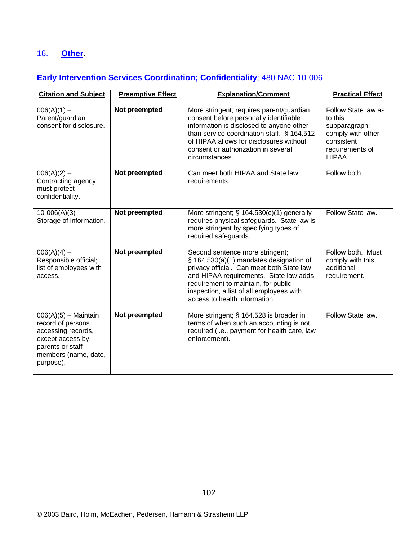## 16. **Other**.

## **Early Intervention Services Coordination; Confidentiality**; 480 NAC 10-006

| <b>Citation and Subject</b>                                                                                                                    | <b>Preemptive Effect</b> | <b>Explanation/Comment</b>                                                                                                                                                                                                                                                            | <b>Practical Effect</b>                                                                                               |
|------------------------------------------------------------------------------------------------------------------------------------------------|--------------------------|---------------------------------------------------------------------------------------------------------------------------------------------------------------------------------------------------------------------------------------------------------------------------------------|-----------------------------------------------------------------------------------------------------------------------|
| $006(A)(1) -$<br>Parent/guardian<br>consent for disclosure.                                                                                    | Not preempted            | More stringent; requires parent/guardian<br>consent before personally identifiable<br>information is disclosed to anyone other<br>than service coordination staff. § 164.512<br>of HIPAA allows for disclosures without<br>consent or authorization in several<br>circumstances.      | Follow State law as<br>to this<br>subparagraph;<br>comply with other<br>consistent<br>requirements of<br><b>HIPAA</b> |
| $006(A)(2) -$<br>Contracting agency<br>must protect<br>confidentiality.                                                                        | Not preempted            | Can meet both HIPAA and State law<br>requirements.                                                                                                                                                                                                                                    | Follow both.                                                                                                          |
| $10-006(A)(3) -$<br>Storage of information.                                                                                                    | Not preempted            | More stringent; $\S$ 164.530(c)(1) generally<br>requires physical safeguards. State law is<br>more stringent by specifying types of<br>required safeguards.                                                                                                                           | Follow State law.                                                                                                     |
| $006(A)(4) -$<br>Responsible official;<br>list of employees with<br>access.                                                                    | Not preempted            | Second sentence more stringent;<br>§ 164.530(a)(1) mandates designation of<br>privacy official. Can meet both State law<br>and HIPAA requirements. State law adds<br>requirement to maintain, for public<br>inspection, a list of all employees with<br>access to health information. | Follow both. Must<br>comply with this<br>additional<br>requirement.                                                   |
| $006(A)(5)$ – Maintain<br>record of persons<br>accessing records,<br>except access by<br>parents or staff<br>members (name, date,<br>purpose). | Not preempted            | More stringent; § 164.528 is broader in<br>terms of when such an accounting is not<br>required (i.e., payment for health care, law<br>enforcement).                                                                                                                                   | Follow State law.                                                                                                     |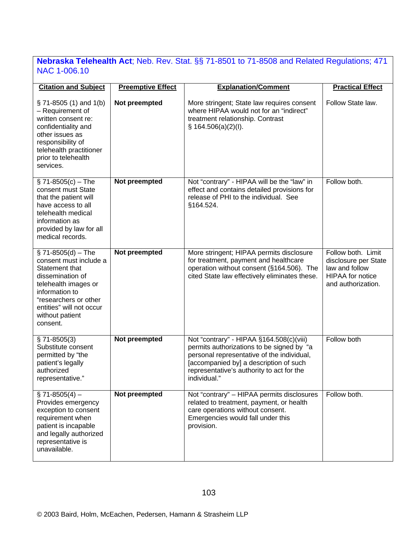## **Nebraska Telehealth Act**; Neb. Rev. Stat. §§ 71-8501 to 71-8508 and Related Regulations; 471 NAC 1-006.10

| <b>Citation and Subject</b>                                                                                                                                                                                       | <b>Preemptive Effect</b> | <b>Explanation/Comment</b>                                                                                                                                                                                                                 | <b>Practical Effect</b>                                                                                       |
|-------------------------------------------------------------------------------------------------------------------------------------------------------------------------------------------------------------------|--------------------------|--------------------------------------------------------------------------------------------------------------------------------------------------------------------------------------------------------------------------------------------|---------------------------------------------------------------------------------------------------------------|
| $\S$ 71-8505 (1) and 1(b)<br>- Requirement of<br>written consent re:<br>confidentiality and<br>other issues as<br>responsibility of<br>telehealth practitioner<br>prior to telehealth<br>services.                | Not preempted            | More stringent; State law requires consent<br>where HIPAA would not for an "indirect"<br>treatment relationship. Contrast<br>§ 164.506(a)(2)(I).                                                                                           | Follow State law.                                                                                             |
| $\S$ 71-8505(c) – The<br>consent must State<br>that the patient will<br>have access to all<br>telehealth medical<br>information as<br>provided by law for all<br>medical records.                                 | Not preempted            | Not "contrary" - HIPAA will be the "law" in<br>effect and contains detailed provisions for<br>release of PHI to the individual. See<br>§164.524.                                                                                           | Follow both.                                                                                                  |
| $$71-8505(d) - The$<br>consent must include a<br>Statement that<br>dissemination of<br>telehealth images or<br>information to<br>"researchers or other<br>entities" will not occur<br>without patient<br>consent. | Not preempted            | More stringent; HIPAA permits disclosure<br>for treatment, payment and healthcare<br>operation without consent (§164.506). The<br>cited State law effectively eliminates these.                                                            | Follow both. Limit<br>disclosure per State<br>law and follow<br><b>HIPAA</b> for notice<br>and authorization. |
| $$71-8505(3)$<br>Substitute consent<br>permitted by "the<br>patient's legally<br>authorized<br>representative."                                                                                                   | Not preempted            | Not "contrary" - HIPAA §164.508(c)(viii)<br>permits authorizations to be signed by "a<br>personal representative of the individual,<br>[accompanied by] a description of such<br>representative's authority to act for the<br>individual." | Follow both                                                                                                   |
| $\S$ 71-8505(4) –<br>Provides emergency<br>exception to consent<br>requirement when<br>patient is incapable<br>and legally authorized<br>representative is<br>unavailable.                                        | Not preempted            | Not "contrary" - HIPAA permits disclosures<br>related to treatment, payment, or health<br>care operations without consent.<br>Emergencies would fall under this<br>provision.                                                              | Follow both.                                                                                                  |